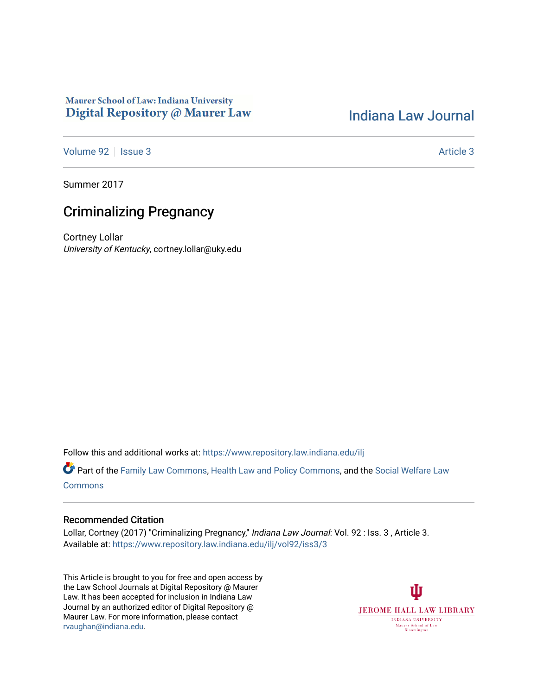# Maurer School of Law: Indiana University Digital Repository @ Maurer Law

# [Indiana Law Journal](https://www.repository.law.indiana.edu/ilj)

[Volume 92](https://www.repository.law.indiana.edu/ilj/vol92) | [Issue 3](https://www.repository.law.indiana.edu/ilj/vol92/iss3) Article 3

Summer 2017

# Criminalizing Pregnancy

Cortney Lollar University of Kentucky, cortney.lollar@uky.edu

Follow this and additional works at: [https://www.repository.law.indiana.edu/ilj](https://www.repository.law.indiana.edu/ilj?utm_source=www.repository.law.indiana.edu%2Filj%2Fvol92%2Fiss3%2F3&utm_medium=PDF&utm_campaign=PDFCoverPages) 

Part of the [Family Law Commons,](http://network.bepress.com/hgg/discipline/602?utm_source=www.repository.law.indiana.edu%2Filj%2Fvol92%2Fiss3%2F3&utm_medium=PDF&utm_campaign=PDFCoverPages) [Health Law and Policy Commons](http://network.bepress.com/hgg/discipline/901?utm_source=www.repository.law.indiana.edu%2Filj%2Fvol92%2Fiss3%2F3&utm_medium=PDF&utm_campaign=PDFCoverPages), and the [Social Welfare Law](http://network.bepress.com/hgg/discipline/878?utm_source=www.repository.law.indiana.edu%2Filj%2Fvol92%2Fiss3%2F3&utm_medium=PDF&utm_campaign=PDFCoverPages) [Commons](http://network.bepress.com/hgg/discipline/878?utm_source=www.repository.law.indiana.edu%2Filj%2Fvol92%2Fiss3%2F3&utm_medium=PDF&utm_campaign=PDFCoverPages)

# Recommended Citation

Lollar, Cortney (2017) "Criminalizing Pregnancy," Indiana Law Journal: Vol. 92 : Iss. 3, Article 3. Available at: [https://www.repository.law.indiana.edu/ilj/vol92/iss3/3](https://www.repository.law.indiana.edu/ilj/vol92/iss3/3?utm_source=www.repository.law.indiana.edu%2Filj%2Fvol92%2Fiss3%2F3&utm_medium=PDF&utm_campaign=PDFCoverPages) 

This Article is brought to you for free and open access by the Law School Journals at Digital Repository @ Maurer Law. It has been accepted for inclusion in Indiana Law Journal by an authorized editor of Digital Repository @ Maurer Law. For more information, please contact [rvaughan@indiana.edu.](mailto:rvaughan@indiana.edu)

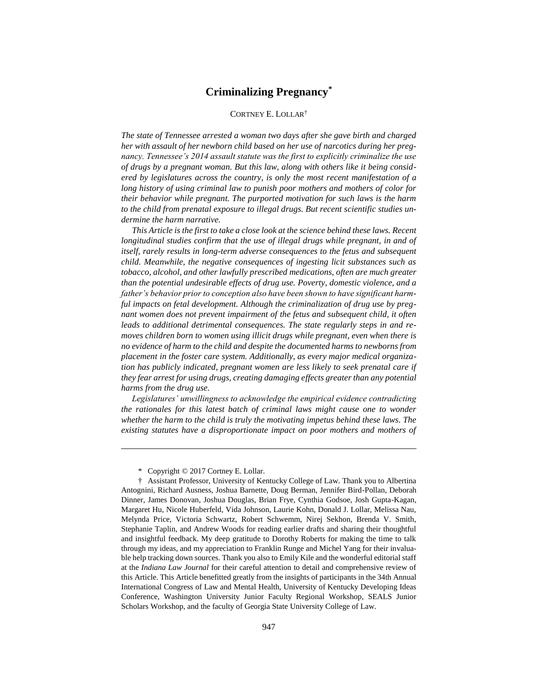# **Criminalizing Pregnancy\***

# CORTNEY E. LOLLAR†

*The state of Tennessee arrested a woman two days after she gave birth and charged her with assault of her newborn child based on her use of narcotics during her pregnancy. Tennessee's 2014 assault statute was the first to explicitly criminalize the use of drugs by a pregnant woman. But this law, along with others like it being considered by legislatures across the country, is only the most recent manifestation of a long history of using criminal law to punish poor mothers and mothers of color for their behavior while pregnant. The purported motivation for such laws is the harm to the child from prenatal exposure to illegal drugs. But recent scientific studies undermine the harm narrative.* 

*This Article is the first to take a close look at the science behind these laws. Recent longitudinal studies confirm that the use of illegal drugs while pregnant, in and of itself, rarely results in long-term adverse consequences to the fetus and subsequent child. Meanwhile, the negative consequences of ingesting licit substances such as tobacco, alcohol, and other lawfully prescribed medications, often are much greater than the potential undesirable effects of drug use. Poverty, domestic violence, and a father's behavior prior to conception also have been shown to have significant harmful impacts on fetal development. Although the criminalization of drug use by pregnant women does not prevent impairment of the fetus and subsequent child, it often leads to additional detrimental consequences. The state regularly steps in and removes children born to women using illicit drugs while pregnant, even when there is no evidence of harm to the child and despite the documented harms to newborns from placement in the foster care system. Additionally, as every major medical organization has publicly indicated, pregnant women are less likely to seek prenatal care if they fear arrest for using drugs, creating damaging effects greater than any potential harms from the drug use.* 

*Legislatures' unwillingness to acknowledge the empirical evidence contradicting the rationales for this latest batch of criminal laws might cause one to wonder whether the harm to the child is truly the motivating impetus behind these laws. The existing statutes have a disproportionate impact on poor mothers and mothers of* 

\* Copyright © 2017 Cortney E. Lollar.

<sup>†</sup> Assistant Professor, University of Kentucky College of Law. Thank you to Albertina Antognini, Richard Ausness, Joshua Barnette, Doug Berman, Jennifer Bird-Pollan, Deborah Dinner, James Donovan, Joshua Douglas, Brian Frye, Cynthia Godsoe, Josh Gupta-Kagan, Margaret Hu, Nicole Huberfeld, Vida Johnson, Laurie Kohn, Donald J. Lollar, Melissa Nau, Melynda Price, Victoria Schwartz, Robert Schwemm, Nirej Sekhon, Brenda V. Smith, Stephanie Taplin, and Andrew Woods for reading earlier drafts and sharing their thoughtful and insightful feedback. My deep gratitude to Dorothy Roberts for making the time to talk through my ideas, and my appreciation to Franklin Runge and Michel Yang for their invaluable help tracking down sources. Thank you also to Emily Kile and the wonderful editorial staff at the *Indiana Law Journal* for their careful attention to detail and comprehensive review of this Article. This Article benefitted greatly from the insights of participants in the 34th Annual International Congress of Law and Mental Health, University of Kentucky Developing Ideas Conference, Washington University Junior Faculty Regional Workshop, SEALS Junior Scholars Workshop, and the faculty of Georgia State University College of Law.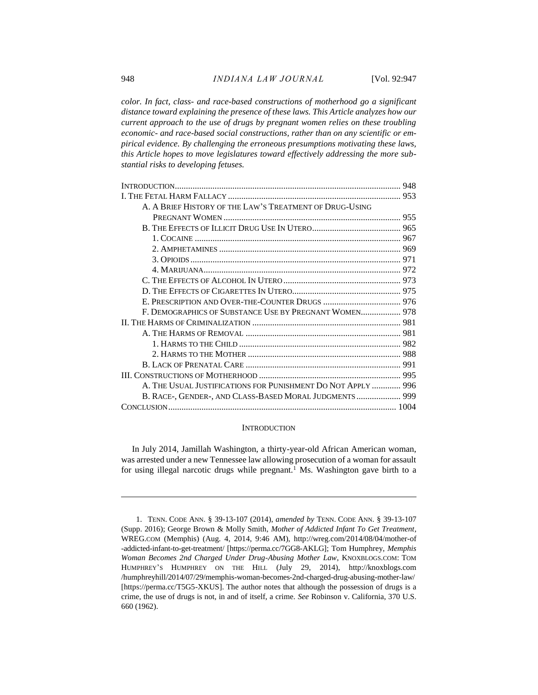*color. In fact, class- and race-based constructions of motherhood go a significant distance toward explaining the presence of these laws. This Article analyzes how our current approach to the use of drugs by pregnant women relies on these troubling economic- and race-based social constructions, rather than on any scientific or empirical evidence. By challenging the erroneous presumptions motivating these laws, this Article hopes to move legislatures toward effectively addressing the more substantial risks to developing fetuses.*

| A. A BRIEF HISTORY OF THE LAW'S TREATMENT OF DRUG-USING      |  |
|--------------------------------------------------------------|--|
|                                                              |  |
|                                                              |  |
|                                                              |  |
|                                                              |  |
|                                                              |  |
|                                                              |  |
|                                                              |  |
|                                                              |  |
|                                                              |  |
| F. DEMOGRAPHICS OF SUBSTANCE USE BY PREGNANT WOMEN 978       |  |
|                                                              |  |
|                                                              |  |
|                                                              |  |
|                                                              |  |
|                                                              |  |
|                                                              |  |
| A. THE USUAL JUSTIFICATIONS FOR PUNISHMENT DO NOT APPLY  996 |  |
| B. RACE-, GENDER-, AND CLASS-BASED MORAL JUDGMENTS 999       |  |
|                                                              |  |
|                                                              |  |

## <span id="page-2-0"></span>**INTRODUCTION**

In July 2014, Jamillah Washington, a thirty-year-old African American woman, was arrested under a new Tennessee law allowing prosecution of a woman for assault for using illegal narcotic drugs while pregnant.<sup>1</sup> Ms. Washington gave birth to a

<sup>1.</sup> TENN. CODE ANN. § 39-13-107 (2014), *amended by* TENN. CODE ANN. § 39-13-107 (Supp. 2016); George Brown & Molly Smith, *Mother of Addicted Infant To Get Treatment*, WREG.COM (Memphis) (Aug. 4, 2014, 9:46 AM), http://wreg.com/2014/08/04/mother-of -addicted-infant-to-get-treatment/ [https://perma.cc/7GG8-AKLG]; Tom Humphrey, *Memphis Woman Becomes 2nd Charged Under Drug-Abusing Mother Law*, KNOXBLOGS.COM: TOM HUMPHREY'S HUMPHREY ON THE HILL (July 29, 2014), http://knoxblogs.com /humphreyhill/2014/07/29/memphis-woman-becomes-2nd-charged-drug-abusing-mother-law/ [https://perma.cc/T5G5-XKUS]. The author notes that although the possession of drugs is a crime, the use of drugs is not, in and of itself, a crime. *See* Robinson v. California, 370 U.S. 660 (1962).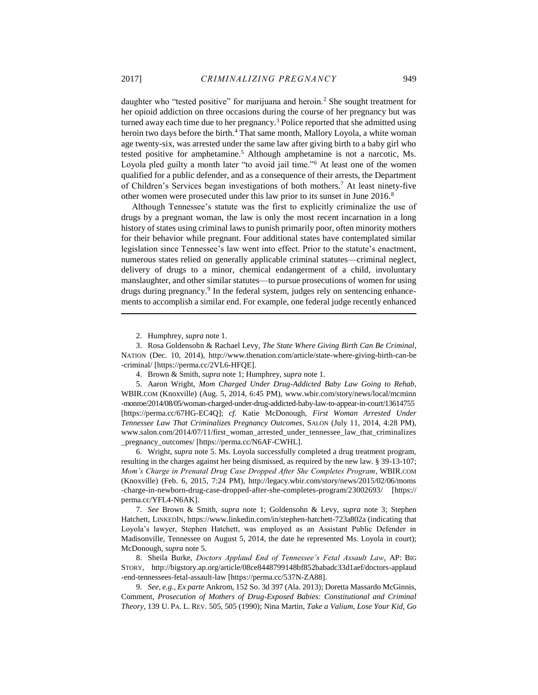daughter who "tested positive" for marijuana and heroin.<sup>2</sup> She sought treatment for her opioid addiction on three occasions during the course of her pregnancy but was turned away each time due to her pregnancy.<sup>3</sup> Police reported that she admitted using heroin two days before the birth.<sup>4</sup> That same month, Mallory Loyola, a white woman age twenty-six, was arrested under the same law after giving birth to a baby girl who tested positive for amphetamine.<sup>5</sup> Although amphetamine is not a narcotic, Ms. Loyola pled guilty a month later "to avoid jail time."<sup>6</sup> At least one of the women qualified for a public defender, and as a consequence of their arrests, the Department of Children's Services began investigations of both mothers.<sup>7</sup> At least ninety-five other women were prosecuted under this law prior to its sunset in June 2016.<sup>8</sup>

Although Tennessee's statute was the first to explicitly criminalize the use of drugs by a pregnant woman, the law is only the most recent incarnation in a long history of states using criminal laws to punish primarily poor, often minority mothers for their behavior while pregnant. Four additional states have contemplated similar legislation since Tennessee's law went into effect. Prior to the statute's enactment, numerous states relied on generally applicable criminal statutes—criminal neglect, delivery of drugs to a minor, chemical endangerment of a child, involuntary manslaughter, and other similar statutes—to pursue prosecutions of women for using drugs during pregnancy.<sup>9</sup> In the federal system, judges rely on sentencing enhancements to accomplish a similar end. For example, one federal judge recently enhanced

2. Humphrey, *supra* note 1.

3. Rosa Goldensohn & Rachael Levy, *The State Where Giving Birth Can Be Criminal*, NATION (Dec. 10, 2014), http://www.thenation.com/article/state-where-giving-birth-can-be -criminal/ [https://perma.cc/2VL6-HFQE].

5. Aaron Wright, *Mom Charged Under Drug-Addicted Baby Law Going to Rehab*, WBIR.COM (Knoxville) (Aug. 5, 2014, 6:45 PM), www.wbir.com/story/news/local/mcminn -monroe/2014/08/05/woman-charged-under-drug-addicted-baby-law-to-appear-in-court/13614755 [https://perma.cc/67HG-EC4Q]; *cf.* Katie McDonough, *First Woman Arrested Under Tennessee Law That Criminalizes Pregnancy Outcomes*, SALON (July 11, 2014, 4:28 PM), www.salon.com/2014/07/11/first\_woman\_arrested\_under\_tennessee\_law\_that\_criminalizes \_pregnancy\_outcomes/ [https://perma.cc/N6AF-CWHL].

6. Wright, *supra* note 5. Ms. Loyola successfully completed a drug treatment program, resulting in the charges against her being dismissed, as required by the new law. § 39-13-107; *Mom's Charge in Prenatal Drug Case Dropped After She Completes Program*, WBIR.COM (Knoxville) (Feb. 6, 2015, 7:24 PM), http://legacy.wbir.com/story/news/2015/02/06/moms -charge-in-newborn-drug-case-dropped-after-she-completes-program/23002693/ [https:// perma.cc/YFL4-N6AK].

7. *See* Brown & Smith, *supra* note 1; Goldensohn & Levy, *supra* note 3; Stephen Hatchett, LINKEDIN, https://www.linkedin.com/in/stephen-hatchett-723a802a (indicating that Loyola's lawyer, Stephen Hatchett, was employed as an Assistant Public Defender in Madisonville, Tennessee on August 5, 2014, the date he represented Ms. Loyola in court); McDonough, *supra* note 5.

8. Sheila Burke, *Doctors Applaud End of Tennessee's Fetal Assault Law*, AP: BIG STORY, http://bigstory.ap.org/article/08ce8448799148bf852babadc33d1aef/doctors-applaud -end-tennessees-fetal-assault-law [https://perma.cc/537N-ZA88].

9. *See, e.g.*, *Ex parte* Ankrom, 152 So. 3d 397 (Ala. 2013); Doretta Massardo McGinnis, Comment, *Prosecution of Mothers of Drug-Exposed Babies: Constitutional and Criminal Theory*, 139 U. PA. L. REV. 505, 505 (1990); Nina Martin, *Take a Valium, Lose Your Kid, Go* 

<sup>4.</sup> Brown & Smith, *supra* note 1; Humphrey, *supra* note 1.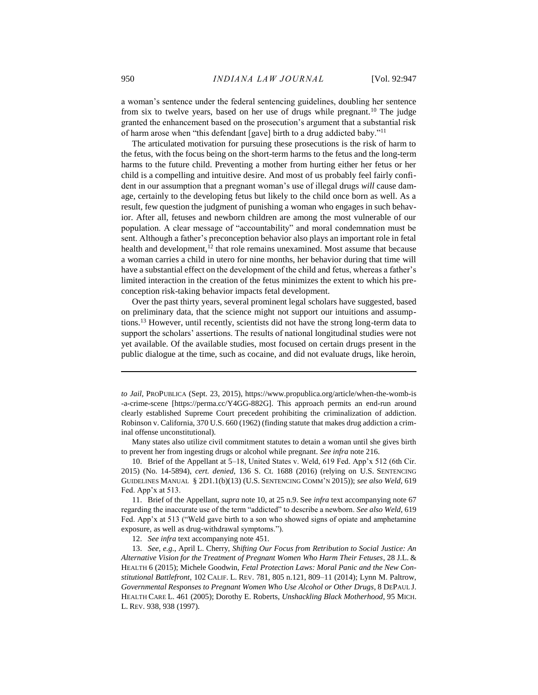a woman's sentence under the federal sentencing guidelines, doubling her sentence from six to twelve years, based on her use of drugs while pregnant.<sup>10</sup> The judge granted the enhancement based on the prosecution's argument that a substantial risk of harm arose when "this defendant [gave] birth to a drug addicted baby."<sup>11</sup>

The articulated motivation for pursuing these prosecutions is the risk of harm to the fetus, with the focus being on the short-term harms to the fetus and the long-term harms to the future child. Preventing a mother from hurting either her fetus or her child is a compelling and intuitive desire. And most of us probably feel fairly confident in our assumption that a pregnant woman's use of illegal drugs *will* cause damage, certainly to the developing fetus but likely to the child once born as well. As a result, few question the judgment of punishing a woman who engages in such behavior. After all, fetuses and newborn children are among the most vulnerable of our population. A clear message of "accountability" and moral condemnation must be sent. Although a father's preconception behavior also plays an important role in fetal health and development,<sup>12</sup> that role remains unexamined. Most assume that because a woman carries a child in utero for nine months, her behavior during that time will have a substantial effect on the development of the child and fetus, whereas a father's limited interaction in the creation of the fetus minimizes the extent to which his preconception risk-taking behavior impacts fetal development.

Over the past thirty years, several prominent legal scholars have suggested, based on preliminary data, that the science might not support our intuitions and assumptions.<sup>13</sup> However, until recently, scientists did not have the strong long-term data to support the scholars' assertions. The results of national longitudinal studies were not yet available. Of the available studies, most focused on certain drugs present in the public dialogue at the time, such as cocaine, and did not evaluate drugs, like heroin,

Many states also utilize civil commitment statutes to detain a woman until she gives birth to prevent her from ingesting drugs or alcohol while pregnant. *See infra* note 216.

10. Brief of the Appellant at 5–18, United States v. Weld, 619 Fed. App'x 512 (6th Cir. 2015) (No. 14-5894), *cert. denied*, 136 S. Ct. 1688 (2016) (relying on U.S. SENTENCING GUIDELINES MANUAL § 2D1.1(b)(13) (U.S. SENTENCING COMM'N 2015)); *see also Weld*, 619 Fed. App'x at 513.

11. Brief of the Appellant, *supra* note 10, at 25 n.9. See *infra* text accompanying note 67 regarding the inaccurate use of the term "addicted" to describe a newborn. *See also Weld*, 619 Fed. App'x at 513 ("Weld gave birth to a son who showed signs of opiate and amphetamine exposure, as well as drug-withdrawal symptoms.").

12. *See infra* text accompanying note 451.

13. *See, e.g.*, April L. Cherry, *Shifting Our Focus from Retribution to Social Justice: An Alternative Vision for the Treatment of Pregnant Women Who Harm Their Fetuses*, 28 J.L. & HEALTH 6 (2015); Michele Goodwin, *Fetal Protection Laws: Moral Panic and the New Constitutional Battlefront*, 102 CALIF. L. REV. 781, 805 n.121, 809–11 (2014); Lynn M. Paltrow, *Governmental Responses to Pregnant Women Who Use Alcohol or Other Drugs*, 8 DEPAUL J. HEALTH CARE L. 461 (2005); Dorothy E. Roberts, *Unshackling Black Motherhood*, 95 MICH. L. REV. 938, 938 (1997).

*to Jail*, PROPUBLICA (Sept. 23, 2015), https://www.propublica.org/article/when-the-womb-is -a-crime-scene [https://perma.cc/Y4GG-882G]. This approach permits an end-run around clearly established Supreme Court precedent prohibiting the criminalization of addiction. Robinson v. California, 370 U.S. 660 (1962) (finding statute that makes drug addiction a criminal offense unconstitutional).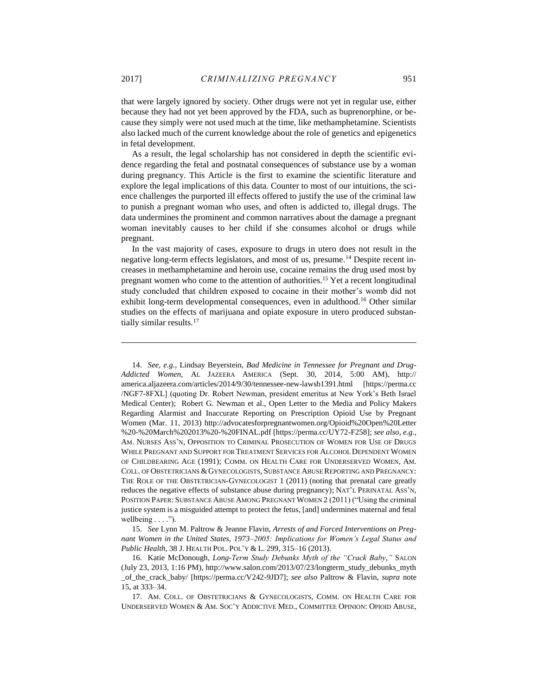that were largely ignored by society. Other drugs were not yet in regular use, either because they had not yet been approved by the FDA, such as buprenorphine, or because they simply were not used much at the time, like methamphetamine. Scientists also lacked much of the current knowledge about the role of genetics and epigenetics

As a result, the legal scholarship has not considered in depth the scientific evidence regarding the fetal and postnatal consequences of substance use by a woman during pregnancy. This Article is the first to examine the scientific literature and explore the legal implications of this data. Counter to most of our intuitions, the science challenges the purported ill effects offered to justify the use of the criminal law to punish a pregnant woman who uses, and often is addicted to, illegal drugs. The data undermines the prominent and common narratives about the damage a pregnant woman inevitably causes to her child if she consumes alcohol or drugs while pregnant.

In the vast majority of cases, exposure to drugs in utero does not result in the negative long-term effects legislators, and most of us, presume.<sup>14</sup> Despite recent increases in methamphetamine and heroin use, cocaine remains the drug used most by pregnant women who come to the attention of authorities.<sup>15</sup> Yet a recent longitudinal study concluded that children exposed to cocaine in their mother's womb did not exhibit long-term developmental consequences, even in adulthood.<sup>16</sup> Other similar studies on the effects of marijuana and opiate exposure in utero produced substantially similar results.<sup>17</sup>

14. *See, e.g.*, Lindsay Beyerstein, *Bad Medicine in Tennessee for Pregnant and Drug-Addicted Women,* AL JAZEERA AMERICA (Sept. 30, 2014, 5:00 AM), http:// america.aljazeera.com/articles/2014/9/30/tennessee-new-lawsb1391.html [https://perma.cc /NGF7-8FXL] (quoting Dr. Robert Newman, president emeritus at New York's Beth Israel Medical Center); Robert G. Newman et al., Open Letter to the Media and Policy Makers Regarding Alarmist and Inaccurate Reporting on Prescription Opioid Use by Pregnant Women (Mar. 11, 2013) http://advocatesforpregnantwomen.org/Opioid%20Open%20Letter %20-%20March%202013%20-%20FINAL.pdf [https://perma.cc/UY72-F258]; *see also, e.g.*, AM. NURSES ASS'N, OPPOSITION TO CRIMINAL PROSECUTION OF WOMEN FOR USE OF DRUGS WHILE PREGNANT AND SUPPORT FOR TREATMENT SERVICES FOR ALCOHOL DEPENDENT WOMEN OF CHILDBEARING AGE (1991); COMM. ON HEALTH CARE FOR UNDERSERVED WOMEN, AM. COLL. OF OBSTETRICIANS & GYNECOLOGISTS, SUBSTANCE ABUSE REPORTING AND PREGNANCY: THE ROLE OF THE OBSTETRICIAN-GYNECOLOGIST 1 (2011) (noting that prenatal care greatly reduces the negative effects of substance abuse during pregnancy); NAT'L PERINATAL ASS'N, POSITION PAPER: SUBSTANCE ABUSE AMONG PREGNANT WOMEN 2 (2011) ("Using the criminal justice system is a misguided attempt to protect the fetus, [and] undermines maternal and fetal wellbeing . . . .").

15. *See* Lynn M. Paltrow & Jeanne Flavin, *Arrests of and Forced Interventions on Pregnant Women in the United States, 1973–2005: Implications for Women's Legal Status and Public Health*, 38 J. HEALTH POL. POL'Y & L. 299, 315–16 (2013).

16. Katie McDonough, *Long-Term Study Debunks Myth of the "Crack Baby*,*"* SALON (July 23, 2013, 1:16 PM), http://www.salon.com/2013/07/23/longterm\_study\_debunks\_myth \_of\_the\_crack\_baby/ [https://perma.cc/V242-9JD7]; *see also* Paltrow & Flavin, *supra* note 15, at 333–34.

17. AM. COLL. OF OBSTETRICIANS & GYNECOLOGISTS, COMM. ON HEALTH CARE FOR UNDERSERVED WOMEN & AM. SOC'Y ADDICTIVE MED., COMMITTEE OPINION: OPIOID ABUSE,

 $\overline{a}$ 

in fetal development.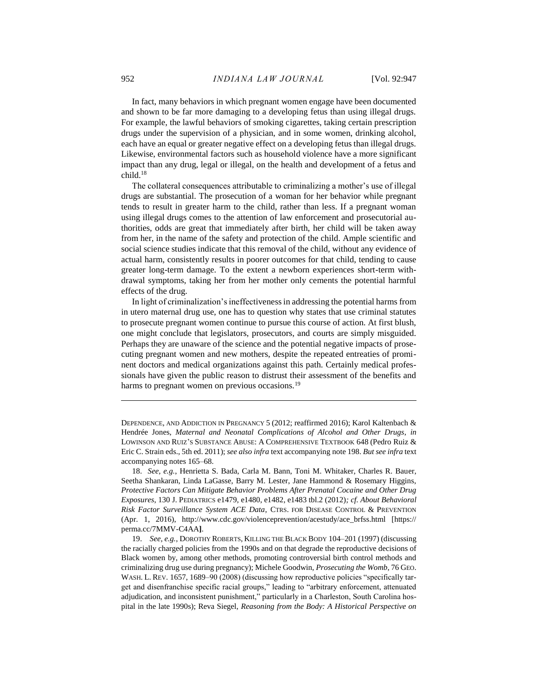In fact, many behaviors in which pregnant women engage have been documented and shown to be far more damaging to a developing fetus than using illegal drugs. For example, the lawful behaviors of smoking cigarettes, taking certain prescription drugs under the supervision of a physician, and in some women, drinking alcohol, each have an equal or greater negative effect on a developing fetus than illegal drugs. Likewise, environmental factors such as household violence have a more significant impact than any drug, legal or illegal, on the health and development of a fetus and child.<sup>18</sup>

The collateral consequences attributable to criminalizing a mother's use of illegal drugs are substantial. The prosecution of a woman for her behavior while pregnant tends to result in greater harm to the child, rather than less. If a pregnant woman using illegal drugs comes to the attention of law enforcement and prosecutorial authorities, odds are great that immediately after birth, her child will be taken away from her, in the name of the safety and protection of the child. Ample scientific and social science studies indicate that this removal of the child, without any evidence of actual harm, consistently results in poorer outcomes for that child, tending to cause greater long-term damage. To the extent a newborn experiences short-term withdrawal symptoms, taking her from her mother only cements the potential harmful effects of the drug.

In light of criminalization's ineffectiveness in addressing the potential harms from in utero maternal drug use, one has to question why states that use criminal statutes to prosecute pregnant women continue to pursue this course of action. At first blush, one might conclude that legislators, prosecutors, and courts are simply misguided. Perhaps they are unaware of the science and the potential negative impacts of prosecuting pregnant women and new mothers, despite the repeated entreaties of prominent doctors and medical organizations against this path. Certainly medical professionals have given the public reason to distrust their assessment of the benefits and harms to pregnant women on previous occasions.<sup>19</sup>

DEPENDENCE, AND ADDICTION IN PREGNANCY 5 (2012; reaffirmed 2016); Karol Kaltenbach & Hendrée Jones, *Maternal and Neonatal Complications of Alcohol and Other Drugs*, *in* LOWINSON AND RUIZ'S SUBSTANCE ABUSE: A COMPREHENSIVE TEXTBOOK 648 (Pedro Ruiz & Eric C. Strain eds., 5th ed. 2011); *see also infra* text accompanying note 198. *But see infra* text accompanying notes 165–68.

18. *See, e.g.*, Henrietta S. Bada, Carla M. Bann, Toni M. Whitaker, Charles R. Bauer, Seetha Shankaran, Linda LaGasse, Barry M. Lester, Jane Hammond & Rosemary Higgins, *Protective Factors Can Mitigate Behavior Problems After Prenatal Cocaine and Other Drug Exposures*, 130 J. PEDIATRICS e1479, e1480, e1482, e1483 tbl.2 (2012)*; cf. About Behavioral Risk Factor Surveillance System ACE Data*, CTRS. FOR DISEASE CONTROL & PREVENTION (Apr. 1, 2016), http://www.cdc.gov/violenceprevention/acestudy/ace\_brfss.html [https:// perma.cc/7MMV-C4AA**]**.

19. *See, e.g.*, DOROTHY ROBERTS, KILLING THE BLACK BODY 104–201 (1997) (discussing the racially charged policies from the 1990s and on that degrade the reproductive decisions of Black women by, among other methods, promoting controversial birth control methods and criminalizing drug use during pregnancy); Michele Goodwin, *Prosecuting the Womb*, 76 GEO. WASH. L. REV. 1657, 1689–90 (2008) (discussing how reproductive policies "specifically target and disenfranchise specific racial groups," leading to "arbitrary enforcement, attenuated adjudication, and inconsistent punishment," particularly in a Charleston, South Carolina hospital in the late 1990s); Reva Siegel, *Reasoning from the Body: A Historical Perspective on*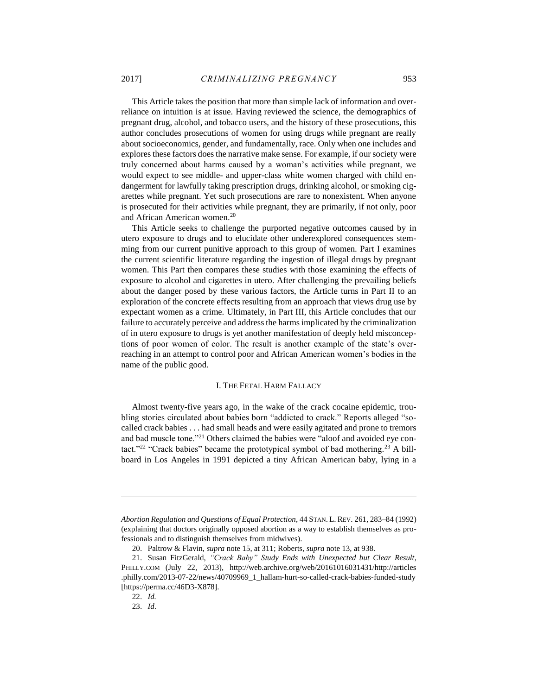This Article takes the position that more than simple lack of information and overreliance on intuition is at issue. Having reviewed the science, the demographics of pregnant drug, alcohol, and tobacco users, and the history of these prosecutions, this author concludes prosecutions of women for using drugs while pregnant are really about socioeconomics, gender, and fundamentally, race. Only when one includes and explores these factors does the narrative make sense. For example, if our society were truly concerned about harms caused by a woman's activities while pregnant, we would expect to see middle- and upper-class white women charged with child endangerment for lawfully taking prescription drugs, drinking alcohol, or smoking cigarettes while pregnant. Yet such prosecutions are rare to nonexistent. When anyone is prosecuted for their activities while pregnant, they are primarily, if not only, poor and African American women.<sup>20</sup>

This Article seeks to challenge the purported negative outcomes caused by in utero exposure to drugs and to elucidate other underexplored consequences stemming from our current punitive approach to this group of women. Part I examines the current scientific literature regarding the ingestion of illegal drugs by pregnant women. This Part then compares these studies with those examining the effects of exposure to alcohol and cigarettes in utero. After challenging the prevailing beliefs about the danger posed by these various factors, the Article turns in Part II to an exploration of the concrete effects resulting from an approach that views drug use by expectant women as a crime. Ultimately, in Part III, this Article concludes that our failure to accurately perceive and address the harms implicated by the criminalization of in utero exposure to drugs is yet another manifestation of deeply held misconceptions of poor women of color. The result is another example of the state's overreaching in an attempt to control poor and African American women's bodies in the name of the public good.

# I. THE FETAL HARM FALLACY

<span id="page-7-0"></span>Almost twenty-five years ago, in the wake of the crack cocaine epidemic, troubling stories circulated about babies born "addicted to crack." Reports alleged "socalled crack babies . . . had small heads and were easily agitated and prone to tremors and bad muscle tone."<sup>21</sup> Others claimed the babies were "aloof and avoided eye contact."<sup>22</sup> "Crack babies" became the prototypical symbol of bad mothering.<sup>23</sup> A billboard in Los Angeles in 1991 depicted a tiny African American baby, lying in a

*Abortion Regulation and Questions of Equal Protection*, 44 STAN. L. REV. 261, 283–84 (1992) (explaining that doctors originally opposed abortion as a way to establish themselves as professionals and to distinguish themselves from midwives).

<sup>20.</sup> Paltrow & Flavin, *supra* note 15, at 311; Roberts, *supra* note 13, at 938.

<sup>21.</sup> Susan FitzGerald, *"Crack Baby" Study Ends with Unexpected but Clear Result*, PHILLY.COM (July 22, 2013), http://web.archive.org/web/20161016031431/http://articles .philly.com/2013-07-22/news/40709969\_1\_hallam-hurt-so-called-crack-babies-funded-study [https://perma.cc/46D3-X878].

<sup>22.</sup> *Id.*

<sup>23.</sup> *Id*.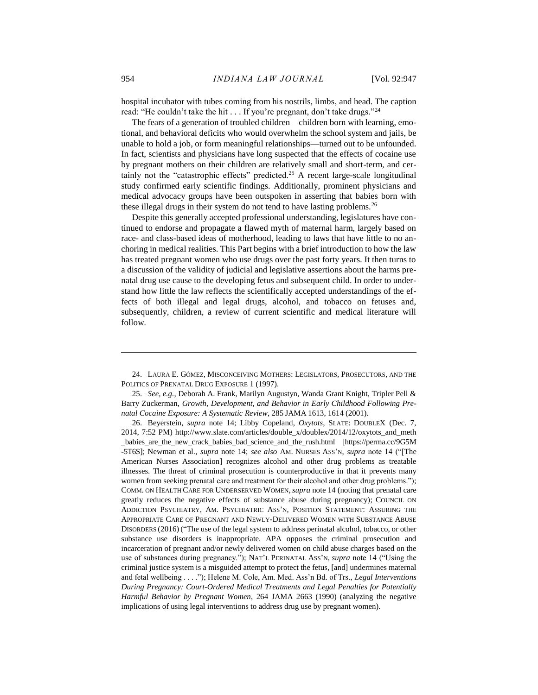hospital incubator with tubes coming from his nostrils, limbs, and head. The caption read: "He couldn't take the hit . . . If you're pregnant, don't take drugs."<sup>24</sup>

The fears of a generation of troubled children—children born with learning, emotional, and behavioral deficits who would overwhelm the school system and jails, be unable to hold a job, or form meaningful relationships—turned out to be unfounded. In fact, scientists and physicians have long suspected that the effects of cocaine use by pregnant mothers on their children are relatively small and short-term, and certainly not the "catastrophic effects" predicted.<sup>25</sup> A recent large-scale longitudinal study confirmed early scientific findings. Additionally, prominent physicians and medical advocacy groups have been outspoken in asserting that babies born with these illegal drugs in their system do not tend to have lasting problems.<sup>26</sup>

Despite this generally accepted professional understanding, legislatures have continued to endorse and propagate a flawed myth of maternal harm, largely based on race- and class-based ideas of motherhood, leading to laws that have little to no anchoring in medical realities. This Part begins with a brief introduction to how the law has treated pregnant women who use drugs over the past forty years. It then turns to a discussion of the validity of judicial and legislative assertions about the harms prenatal drug use cause to the developing fetus and subsequent child. In order to understand how little the law reflects the scientifically accepted understandings of the effects of both illegal and legal drugs, alcohol, and tobacco on fetuses and, subsequently, children, a review of current scientific and medical literature will follow.

<sup>24.</sup> LAURA E. GÓMEZ, MISCONCEIVING MOTHERS: LEGISLATORS, PROSECUTORS, AND THE POLITICS OF PRENATAL DRUG EXPOSURE 1 (1997).

<sup>25.</sup> *See, e.g.*, Deborah A. Frank, Marilyn Augustyn, Wanda Grant Knight, Tripler Pell & Barry Zuckerman, *Growth, Development, and Behavior in Early Childhood Following Prenatal Cocaine Exposure: A Systematic Review*, 285 JAMA 1613, 1614 (2001).

<sup>26.</sup> Beyerstein, *supra* note 14; Libby Copeland, *Oxytots*, SLATE: DOUBLEX (Dec. 7, 2014, 7:52 PM) http://www.slate.com/articles/double\_x/doublex/2014/12/oxytots\_and\_meth \_babies\_are\_the\_new\_crack\_babies\_bad\_science\_and\_the\_rush.html [https://perma.cc/9G5M -5T6S]; Newman et al., *supra* note 14; *see also* AM. NURSES ASS'N, *supra* note 14 ("[The American Nurses Association] recognizes alcohol and other drug problems as treatable illnesses. The threat of criminal prosecution is counterproductive in that it prevents many women from seeking prenatal care and treatment for their alcohol and other drug problems."); COMM. ON HEALTH CARE FOR UNDERSERVED WOMEN,*supra* note 14 (noting that prenatal care greatly reduces the negative effects of substance abuse during pregnancy); COUNCIL ON ADDICTION PSYCHIATRY, AM. PSYCHIATRIC ASS'N, POSITION STATEMENT: ASSURING THE APPROPRIATE CARE OF PREGNANT AND NEWLY-DELIVERED WOMEN WITH SUBSTANCE ABUSE DISORDERS (2016) ("The use of the legal system to address perinatal alcohol, tobacco, or other substance use disorders is inappropriate. APA opposes the criminal prosecution and incarceration of pregnant and/or newly delivered women on child abuse charges based on the use of substances during pregnancy."); NAT'L PERINATAL ASS'N, *supra* note 14 ("Using the criminal justice system is a misguided attempt to protect the fetus, [and] undermines maternal and fetal wellbeing . . . ."); Helene M. Cole, Am. Med. Ass'n Bd. of Trs., *Legal Interventions During Pregnancy: Court-Ordered Medical Treatments and Legal Penalties for Potentially Harmful Behavior by Pregnant Women*, 264 JAMA 2663 (1990) (analyzing the negative implications of using legal interventions to address drug use by pregnant women).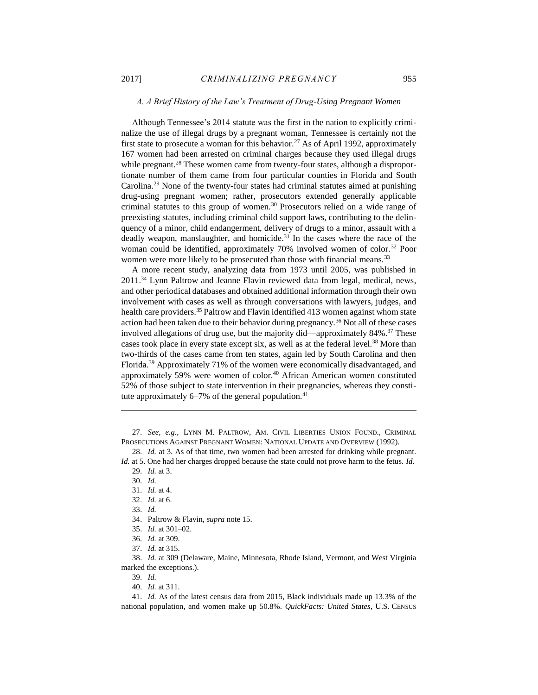# <span id="page-9-0"></span>*A. A Brief History of the Law's Treatment of Drug-Using Pregnant Women*

Although Tennessee's 2014 statute was the first in the nation to explicitly criminalize the use of illegal drugs by a pregnant woman, Tennessee is certainly not the first state to prosecute a woman for this behavior.<sup>27</sup> As of April 1992, approximately 167 women had been arrested on criminal charges because they used illegal drugs while pregnant.<sup>28</sup> These women came from twenty-four states, although a disproportionate number of them came from four particular counties in Florida and South Carolina.<sup>29</sup> None of the twenty-four states had criminal statutes aimed at punishing drug-using pregnant women; rather, prosecutors extended generally applicable criminal statutes to this group of women.<sup>30</sup> Prosecutors relied on a wide range of preexisting statutes, including criminal child support laws, contributing to the delinquency of a minor, child endangerment, delivery of drugs to a minor, assault with a deadly weapon, manslaughter, and homicide.<sup>31</sup> In the cases where the race of the woman could be identified, approximately 70% involved women of color.<sup>32</sup> Poor women were more likely to be prosecuted than those with financial means.<sup>33</sup>

A more recent study, analyzing data from 1973 until 2005, was published in 2011.<sup>34</sup> Lynn Paltrow and Jeanne Flavin reviewed data from legal, medical, news, and other periodical databases and obtained additional information through their own involvement with cases as well as through conversations with lawyers, judges, and health care providers.<sup>35</sup> Paltrow and Flavin identified 413 women against whom state action had been taken due to their behavior during pregnancy.<sup>36</sup> Not all of these cases involved allegations of drug use, but the majority did—approximately 84%.<sup>37</sup> These cases took place in every state except six, as well as at the federal level.<sup>38</sup> More than two-thirds of the cases came from ten states, again led by South Carolina and then Florida.<sup>39</sup> Approximately 71% of the women were economically disadvantaged, and approximately 59% were women of color.<sup>40</sup> African American women constituted 52% of those subject to state intervention in their pregnancies, whereas they constitute approximately  $6-7%$  of the general population.<sup>41</sup>

27. *See, e.g.*, LYNN M. PALTROW, AM. CIVIL LIBERTIES UNION FOUND., CRIMINAL PROSECUTIONS AGAINST PREGNANT WOMEN: NATIONAL UPDATE AND OVERVIEW (1992).

 $\overline{a}$ 

- 32. *Id.* at 6.
- 33. *Id.*

- 34. Paltrow & Flavin, *supra* note 15.
- 35. *Id.* at 301–02.
- 36. *Id.* at 309.
- 37. *Id.* at 315.

38. *Id.* at 309 (Delaware, Maine, Minnesota, Rhode Island, Vermont, and West Virginia marked the exceptions.).

- 39. *Id.*
- 40. *Id.* at 311.

41. *Id.* As of the latest census data from 2015, Black individuals made up 13.3% of the national population, and women make up 50.8%. *QuickFacts: United States*, U.S. CENSUS

<sup>28.</sup> *Id.* at 3. As of that time, two women had been arrested for drinking while pregnant. *Id.* at 5. One had her charges dropped because the state could not prove harm to the fetus. *Id.*

<sup>29.</sup> *Id.* at 3. 30. *Id.*

<sup>31.</sup> *Id.* at 4.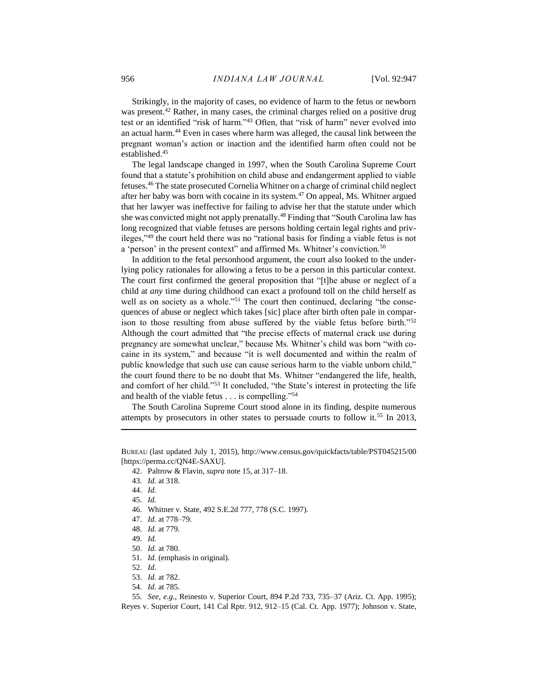Strikingly, in the majority of cases, no evidence of harm to the fetus or newborn was present.<sup>42</sup> Rather, in many cases, the criminal charges relied on a positive drug test or an identified "risk of harm."<sup>43</sup> Often, that "risk of harm" never evolved into an actual harm.<sup>44</sup> Even in cases where harm was alleged, the causal link between the pregnant woman's action or inaction and the identified harm often could not be established.<sup>45</sup>

The legal landscape changed in 1997, when the South Carolina Supreme Court found that a statute's prohibition on child abuse and endangerment applied to viable fetuses.<sup>46</sup> The state prosecuted Cornelia Whitner on a charge of criminal child neglect after her baby was born with cocaine in its system.<sup>47</sup> On appeal, Ms. Whitner argued that her lawyer was ineffective for failing to advise her that the statute under which she was convicted might not apply prenatally.<sup>48</sup> Finding that "South Carolina law has long recognized that viable fetuses are persons holding certain legal rights and privileges,"<sup>49</sup> the court held there was no "rational basis for finding a viable fetus is not a 'person' in the present context'' and affirmed Ms. Whitner's conviction.<sup>50</sup>

In addition to the fetal personhood argument, the court also looked to the underlying policy rationales for allowing a fetus to be a person in this particular context. The court first confirmed the general proposition that "[t]he abuse or neglect of a child at *any* time during childhood can exact a profound toll on the child herself as well as on society as a whole."<sup>51</sup> The court then continued, declaring "the consequences of abuse or neglect which takes [sic] place after birth often pale in comparison to those resulting from abuse suffered by the viable fetus before birth."<sup>52</sup> Although the court admitted that "the precise effects of maternal crack use during pregnancy are somewhat unclear," because Ms. Whitner's child was born "with cocaine in its system," and because "it is well documented and within the realm of public knowledge that such use can cause serious harm to the viable unborn child," the court found there to be no doubt that Ms. Whitner "endangered the life, health, and comfort of her child."<sup>53</sup> It concluded, "the State's interest in protecting the life and health of the viable fetus . . . is compelling."<sup>54</sup>

The South Carolina Supreme Court stood alone in its finding, despite numerous attempts by prosecutors in other states to persuade courts to follow it.<sup>55</sup> In 2013,

 $\overline{a}$ 

- 46. Whitner v. State, 492 S.E.2d 777, 778 (S.C. 1997).
- 47. *Id.* at 778–79.
- 48. *Id.* at 779.
- 49. *Id.*
- 50. *Id.* at 780.
- 51. *Id.* (emphasis in original).
- 52. *Id*.
- 53. *Id.* at 782.
- 54. *Id.* at 785.

55. *See, e.g.*, Reinesto v. Superior Court, 894 P.2d 733, 735–37 (Ariz. Ct. App. 1995); Reyes v. Superior Court, 141 Cal Rptr. 912, 912–15 (Cal. Ct. App. 1977); Johnson v. State,

BUREAU (last updated July 1, 2015), http://www.census.gov/quickfacts/table/PST045215/00 [https://perma.cc/QN4E-SAXU].

<sup>42.</sup> Paltrow & Flavin, *supra* note 15, at 317–18.

<sup>43.</sup> *Id.* at 318.

<sup>44.</sup> *Id.*

<sup>45.</sup> *Id.*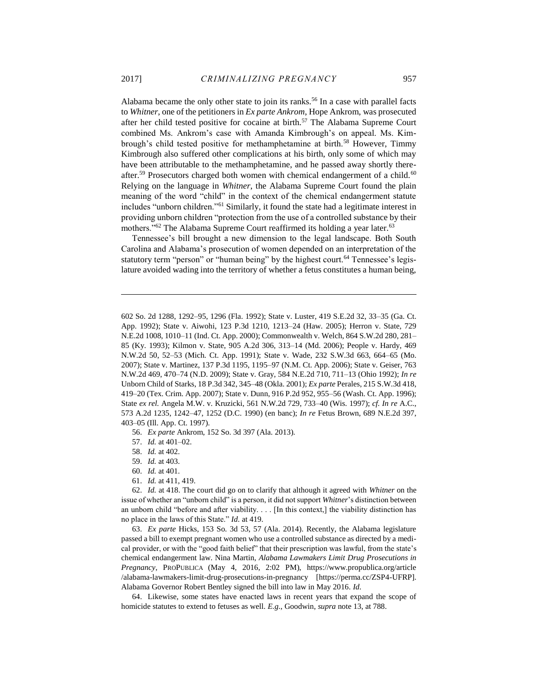Alabama became the only other state to join its ranks.<sup>56</sup> In a case with parallel facts to *Whitner*, one of the petitioners in *Ex parte Ankrom*, Hope Ankrom, was prosecuted after her child tested positive for cocaine at birth.<sup>57</sup> The Alabama Supreme Court combined Ms. Ankrom's case with Amanda Kimbrough's on appeal. Ms. Kimbrough's child tested positive for methamphetamine at birth.<sup>58</sup> However, Timmy Kimbrough also suffered other complications at his birth, only some of which may have been attributable to the methamphetamine, and he passed away shortly thereafter.<sup>59</sup> Prosecutors charged both women with chemical endangerment of a child.<sup>60</sup> Relying on the language in *Whitner*, the Alabama Supreme Court found the plain meaning of the word "child" in the context of the chemical endangerment statute includes "unborn children."<sup>61</sup> Similarly, it found the state had a legitimate interest in providing unborn children "protection from the use of a controlled substance by their mothers."<sup>62</sup> The Alabama Supreme Court reaffirmed its holding a year later.<sup>63</sup>

Tennessee's bill brought a new dimension to the legal landscape. Both South Carolina and Alabama's prosecution of women depended on an interpretation of the statutory term "person" or "human being" by the highest court.<sup>64</sup> Tennessee's legislature avoided wading into the territory of whether a fetus constitutes a human being,

56. *Ex parte* Ankrom, 152 So. 3d 397 (Ala. 2013).

57. *Id.* at 401–02.

58. *Id.* at 402.

59. *Id.* at 403.

60. *Id.* at 401.

61. *Id.* at 411, 419.

62. *Id.* at 418. The court did go on to clarify that although it agreed with *Whitner* on the issue of whether an "unborn child" is a person, it did not support *Whitner*'s distinction between an unborn child "before and after viability. . . . [In this context,] the viability distinction has no place in the laws of this State." *Id.* at 419.

63. *Ex parte* Hicks, 153 So. 3d 53, 57 (Ala. 2014). Recently, the Alabama legislature passed a bill to exempt pregnant women who use a controlled substance as directed by a medical provider, or with the "good faith belief" that their prescription was lawful, from the state's chemical endangerment law. Nina Martin, *Alabama Lawmakers Limit Drug Prosecutions in Pregnancy*, PROPUBLICA (May 4, 2016, 2:02 PM), https://www.propublica.org/article /alabama-lawmakers-limit-drug-prosecutions-in-pregnancy [https://perma.cc/ZSP4-UFRP]. Alabama Governor Robert Bentley signed the bill into law in May 2016. *Id.*

64. Likewise, some states have enacted laws in recent years that expand the scope of homicide statutes to extend to fetuses as well. *E.g.*, Goodwin, *supra* note 13, at 788.

<sup>602</sup> So. 2d 1288, 1292–95, 1296 (Fla. 1992); State v. Luster, 419 S.E.2d 32, 33–35 (Ga. Ct. App. 1992); State v. Aiwohi, 123 P.3d 1210, 1213–24 (Haw. 2005); Herron v. State, 729 N.E.2d 1008, 1010–11 (Ind. Ct. App. 2000); Commonwealth v. Welch, 864 S.W.2d 280, 281– 85 (Ky. 1993); Kilmon v. State, 905 A.2d 306, 313–14 (Md. 2006); People v. Hardy, 469 N.W.2d 50, 52–53 (Mich. Ct. App. 1991); State v. Wade, 232 S.W.3d 663, 664–65 (Mo. 2007); State v. Martinez, 137 P.3d 1195, 1195–97 (N.M. Ct. App. 2006); State v. Geiser, 763 N.W.2d 469, 470–74 (N.D. 2009); State v. Gray, 584 N.E.2d 710, 711–13 (Ohio 1992); *In re* Unborn Child of Starks, 18 P.3d 342, 345–48 (Okla. 2001); *Ex parte* Perales, 215 S.W.3d 418, 419–20 (Tex. Crim. App. 2007); State v. Dunn, 916 P.2d 952, 955–56 (Wash. Ct. App. 1996); State *ex rel.* Angela M.W. v. Kruzicki, 561 N.W.2d 729, 733–40 (Wis. 1997); *cf. In re* A.C., 573 A.2d 1235, 1242–47, 1252 (D.C. 1990) (en banc); *In re* Fetus Brown, 689 N.E.2d 397, 403–05 (Ill. App. Ct. 1997).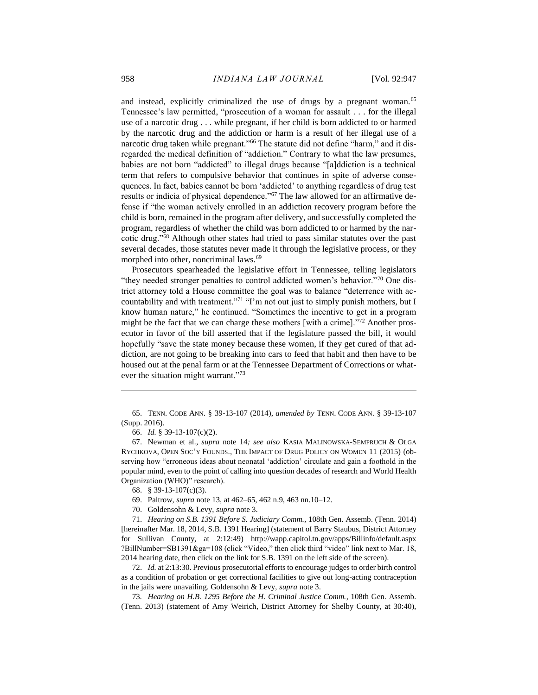and instead, explicitly criminalized the use of drugs by a pregnant woman.<sup>65</sup> Tennessee's law permitted, "prosecution of a woman for assault . . . for the illegal use of a narcotic drug . . . while pregnant, if her child is born addicted to or harmed by the narcotic drug and the addiction or harm is a result of her illegal use of a narcotic drug taken while pregnant."<sup>66</sup> The statute did not define "harm," and it disregarded the medical definition of "addiction." Contrary to what the law presumes, babies are not born "addicted" to illegal drugs because "[a]ddiction is a technical term that refers to compulsive behavior that continues in spite of adverse consequences. In fact, babies cannot be born 'addicted' to anything regardless of drug test results or indicia of physical dependence."<sup>67</sup> The law allowed for an affirmative defense if "the woman actively enrolled in an addiction recovery program before the child is born, remained in the program after delivery, and successfully completed the program, regardless of whether the child was born addicted to or harmed by the narcotic drug."<sup>68</sup> Although other states had tried to pass similar statutes over the past several decades, those statutes never made it through the legislative process, or they morphed into other, noncriminal laws.<sup>69</sup>

Prosecutors spearheaded the legislative effort in Tennessee, telling legislators "they needed stronger penalties to control addicted women's behavior."<sup>70</sup> One district attorney told a House committee the goal was to balance "deterrence with accountability and with treatment."<sup>71</sup> "I'm not out just to simply punish mothers, but I know human nature," he continued. "Sometimes the incentive to get in a program might be the fact that we can charge these mothers [with a crime]."<sup>72</sup> Another prosecutor in favor of the bill asserted that if the legislature passed the bill, it would hopefully "save the state money because these women, if they get cured of that addiction, are not going to be breaking into cars to feed that habit and then have to be housed out at the penal farm or at the Tennessee Department of Corrections or whatever the situation might warrant."<sup>73</sup>

65. TENN. CODE ANN. § 39-13-107 (2014), *amended by* TENN. CODE ANN. § 39-13-107 (Supp. 2016).

 $\overline{a}$ 

67. Newman et al.*, supra* note 14*; see also* KASIA MALINOWSKA-SEMPRUCH & OLGA RYCHKOVA, OPEN SOC'Y FOUNDS., THE IMPACT OF DRUG POLICY ON WOMEN 11 (2015) (observing how "erroneous ideas about neonatal 'addiction' circulate and gain a foothold in the popular mind, even to the point of calling into question decades of research and World Health Organization (WHO)" research).

- 69. Paltrow, *supra* note 13, at 462–65, 462 n.9, 463 nn.10–12.
- 70. Goldensohn & Levy, *supra* note 3.

71. *Hearing on S.B. 1391 Before S. Judiciary Comm.,* 108th Gen. Assemb. (Tenn. 2014) [hereinafter Mar. 18, 2014, S.B. 1391 Hearing] (statement of Barry Staubus, District Attorney for Sullivan County, at 2:12:49) http://wapp.capitol.tn.gov/apps/Billinfo/default.aspx ?BillNumber=SB1391&ga=108 (click "Video," then click third "video" link next to Mar. 18, 2014 hearing date, then click on the link for S.B. 1391 on the left side of the screen).

72. *Id.* at 2:13:30. Previous prosecutorial efforts to encourage judges to order birth control as a condition of probation or get correctional facilities to give out long-acting contraception in the jails were unavailing. Goldensohn & Levy, *supra* note 3.

73*. Hearing on H.B. 1295 Before the H. Criminal Justice Comm.*, 108th Gen. Assemb. (Tenn. 2013) (statement of Amy Weirich, District Attorney for Shelby County, at 30:40),

<sup>66.</sup> *Id.* § 39-13-107(c)(2).

<sup>68.</sup> § 39-13-107(c)(3).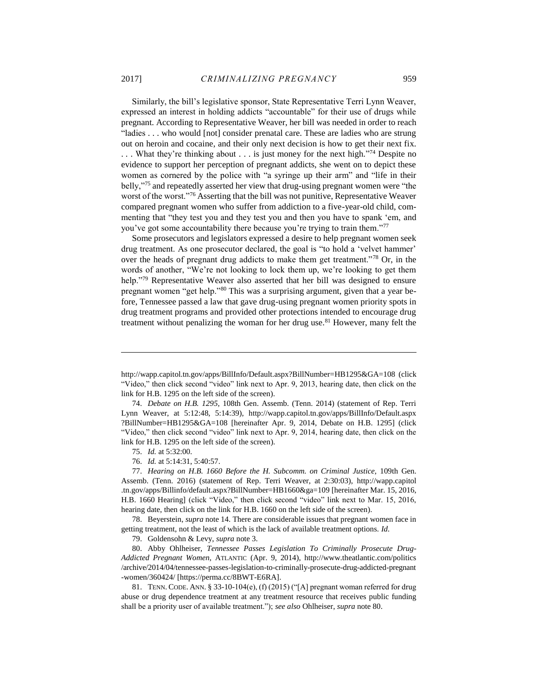Similarly, the bill's legislative sponsor, State Representative Terri Lynn Weaver, expressed an interest in holding addicts "accountable" for their use of drugs while pregnant. According to Representative Weaver, her bill was needed in order to reach "ladies . . . who would [not] consider prenatal care. These are ladies who are strung out on heroin and cocaine, and their only next decision is how to get their next fix. ... What they're thinking about ... is just money for the next high."<sup>74</sup> Despite no evidence to support her perception of pregnant addicts, she went on to depict these women as cornered by the police with "a syringe up their arm" and "life in their belly,"<sup>75</sup> and repeatedly asserted her view that drug-using pregnant women were "the worst of the worst."<sup>76</sup> Asserting that the bill was not punitive, Representative Weaver compared pregnant women who suffer from addiction to a five-year-old child, commenting that "they test you and they test you and then you have to spank 'em, and you've got some accountability there because you're trying to train them."<sup>77</sup>

Some prosecutors and legislators expressed a desire to help pregnant women seek drug treatment. As one prosecutor declared, the goal is "to hold a 'velvet hammer' over the heads of pregnant drug addicts to make them get treatment."<sup>78</sup> Or, in the words of another, "We're not looking to lock them up, we're looking to get them help."<sup>79</sup> Representative Weaver also asserted that her bill was designed to ensure pregnant women "get help."<sup>80</sup> This was a surprising argument, given that a year before, Tennessee passed a law that gave drug-using pregnant women priority spots in drug treatment programs and provided other protections intended to encourage drug treatment without penalizing the woman for her drug use.<sup>81</sup> However, many felt the

http://wapp.capitol.tn.gov/apps/BillInfo/Default.aspx?BillNumber=HB1295&GA=108 (click "Video," then click second "video" link next to Apr. 9, 2013, hearing date, then click on the link for H.B. 1295 on the left side of the screen).

<sup>74.</sup> *Debate on H.B. 1295*, 108th Gen. Assemb. (Tenn. 2014) (statement of Rep. Terri Lynn Weaver, at 5:12:48, 5:14:39), http://wapp.capitol.tn.gov/apps/BillInfo/Default.aspx ?BillNumber=HB1295&GA=108 [hereinafter Apr. 9, 2014, Debate on H.B. 1295] (click "Video," then click second "video" link next to Apr. 9, 2014, hearing date, then click on the link for H.B. 1295 on the left side of the screen).

<sup>75.</sup> *Id.* at 5:32:00.

<sup>76.</sup> *Id.* at 5:14:31, 5:40:57.

<sup>77.</sup> *Hearing on H.B. 1660 Before the H. Subcomm. on Criminal Justice,* 109th Gen. Assemb. (Tenn. 2016) (statement of Rep. Terri Weaver, at 2:30:03), http://wapp.capitol .tn.gov/apps/Billinfo/default.aspx?BillNumber=HB1660&ga=109 [hereinafter Mar. 15, 2016, H.B. 1660 Hearing] (click "Video," then click second "video" link next to Mar. 15, 2016, hearing date, then click on the link for H.B. 1660 on the left side of the screen).

<sup>78.</sup> Beyerstein, *supra* note 14. There are considerable issues that pregnant women face in getting treatment, not the least of which is the lack of available treatment options. *Id.* 

<sup>79.</sup> Goldensohn & Levy, *supra* note 3.

<sup>80.</sup> Abby Ohlheiser, *Tennessee Passes Legislation To Criminally Prosecute Drug-Addicted Pregnant Women*, ATLANTIC (Apr. 9, 2014), http://www.theatlantic.com/politics /archive/2014/04/tennessee-passes-legislation-to-criminally-prosecute-drug-addicted-pregnant -women/360424/ [https://perma.cc/8BWT-E6RA].

<sup>81.</sup> TENN. CODE. ANN. § 33-10-104(e), (f) (2015) ("[A] pregnant woman referred for drug abuse or drug dependence treatment at any treatment resource that receives public funding shall be a priority user of available treatment."); *see also* Ohlheiser, *supra* note 80.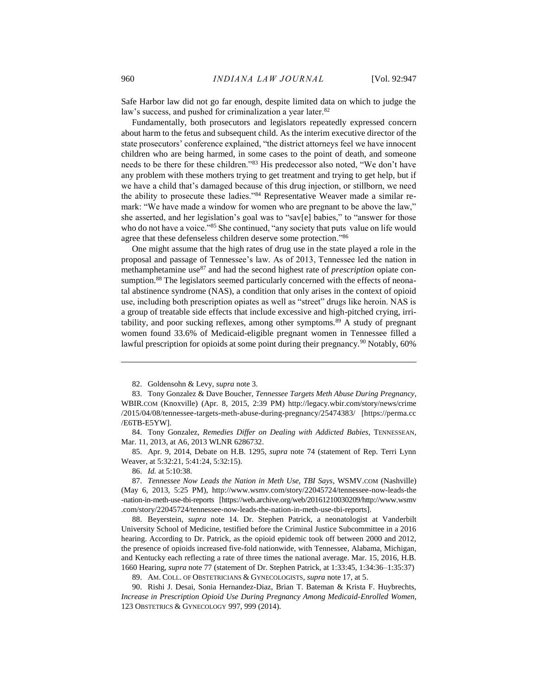Safe Harbor law did not go far enough, despite limited data on which to judge the law's success, and pushed for criminalization a year later.<sup>82</sup>

Fundamentally, both prosecutors and legislators repeatedly expressed concern about harm to the fetus and subsequent child. As the interim executive director of the state prosecutors' conference explained, "the district attorneys feel we have innocent children who are being harmed, in some cases to the point of death, and someone needs to be there for these children."<sup>83</sup> His predecessor also noted, "We don't have any problem with these mothers trying to get treatment and trying to get help, but if we have a child that's damaged because of this drug injection, or stillborn, we need the ability to prosecute these ladies."<sup>84</sup> Representative Weaver made a similar remark: "We have made a window for women who are pregnant to be above the law," she asserted, and her legislation's goal was to "sav[e] babies," to "answer for those who do not have a voice."<sup>85</sup> She continued, "any society that puts value on life would agree that these defenseless children deserve some protection."<sup>86</sup>

One might assume that the high rates of drug use in the state played a role in the proposal and passage of Tennessee's law. As of 2013, Tennessee led the nation in methamphetamine use<sup>87</sup> and had the second highest rate of *prescription* opiate consumption.<sup>88</sup> The legislators seemed particularly concerned with the effects of neonatal abstinence syndrome (NAS), a condition that only arises in the context of opioid use, including both prescription opiates as well as "street" drugs like heroin. NAS is a group of treatable side effects that include excessive and high-pitched crying, irritability, and poor sucking reflexes, among other symptoms.<sup>89</sup> A study of pregnant women found 33.6% of Medicaid-eligible pregnant women in Tennessee filled a lawful prescription for opioids at some point during their pregnancy.<sup>90</sup> Notably, 60%

85. Apr. 9, 2014, Debate on H.B. 1295, *supra* note 74 (statement of Rep. Terri Lynn Weaver, at 5:32:21, 5:41:24, 5:32:15).

86. *Id.* at 5:10:38.

 $\overline{a}$ 

88. Beyerstein, *supra* note 14. Dr. Stephen Patrick, a neonatologist at Vanderbilt University School of Medicine, testified before the Criminal Justice Subcommittee in a 2016 hearing. According to Dr. Patrick, as the opioid epidemic took off between 2000 and 2012, the presence of opioids increased five-fold nationwide, with Tennessee, Alabama, Michigan, and Kentucky each reflecting a rate of three times the national average. Mar. 15, 2016, H.B. 1660 Hearing, *supra* note 77 (statement of Dr. Stephen Patrick, at 1:33:45, 1:34:36–1:35:37)

89. AM. COLL. OF OBSTETRICIANS & GYNECOLOGISTS, *supra* note 17, at 5.

90. Rishi J. Desai, Sonia Hernandez-Diaz, Brian T. Bateman & Krista F. Huybrechts, *Increase in Prescription Opioid Use During Pregnancy Among Medicaid-Enrolled Women*, 123 OBSTETRICS & GYNECOLOGY 997, 999 (2014).

<sup>82.</sup> Goldensohn & Levy, *supra* note 3.

<sup>83.</sup> Tony Gonzalez & Dave Boucher, *Tennessee Targets Meth Abuse During Pregnancy*, WBIR.COM (Knoxville) (Apr. 8, 2015, 2:39 PM) http://legacy.wbir.com/story/news/crime /2015/04/08/tennessee-targets-meth-abuse-during-pregnancy/25474383/ [https://perma.cc /E6TB-E5YW].

<sup>84.</sup> Tony Gonzalez, *Remedies Differ on Dealing with Addicted Babies*, TENNESSEAN, Mar. 11, 2013, at A6, 2013 WLNR 6286732.

<sup>87.</sup> *Tennessee Now Leads the Nation in Meth Use, TBI Says*, WSMV.COM (Nashville) (May 6, 2013, 5:25 PM), http://www.wsmv.com/story/22045724/tennessee-now-leads-the -nation-in-meth-use-tbi-reports [https://web.archive.org/web/20161210030209/http://www.wsmv .com/story/22045724/tennessee-now-leads-the-nation-in-meth-use-tbi-reports].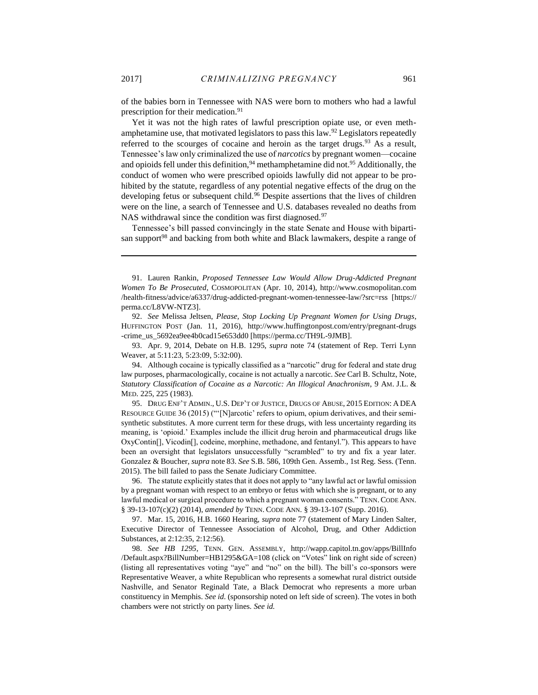of the babies born in Tennessee with NAS were born to mothers who had a lawful prescription for their medication.<sup>91</sup>

Yet it was not the high rates of lawful prescription opiate use, or even methamphetamine use, that motivated legislators to pass this law.<sup>92</sup> Legislators repeatedly referred to the scourges of cocaine and heroin as the target drugs. $93$  As a result, Tennessee's law only criminalized the use of *narcotics* by pregnant women—cocaine and opioids fell under this definition,  $94$  methamphetamine did not.  $95$  Additionally, the conduct of women who were prescribed opioids lawfully did not appear to be prohibited by the statute, regardless of any potential negative effects of the drug on the developing fetus or subsequent child.<sup>96</sup> Despite assertions that the lives of children were on the line, a search of Tennessee and U.S. databases revealed no deaths from NAS withdrawal since the condition was first diagnosed.<sup>97</sup>

Tennessee's bill passed convincingly in the state Senate and House with bipartisan support<sup>98</sup> and backing from both white and Black lawmakers, despite a range of

91. Lauren Rankin, *Proposed Tennessee Law Would Allow Drug-Addicted Pregnant Women To Be Prosecuted*, COSMOPOLITAN (Apr. 10, 2014), http://www.cosmopolitan.com /health-fitness/advice/a6337/drug-addicted-pregnant-women-tennessee-law/?src=rss [https:// perma.cc/L8VW-NTZ3].

92. *See* Melissa Jeltsen, *Please, Stop Locking Up Pregnant Women for Using Drugs*, HUFFINGTON POST (Jan. 11, 2016), http://www.huffingtonpost.com/entry/pregnant-drugs -crime\_us\_5692ea9ee4b0cad15e653dd0 [https://perma.cc/TH9L-9JMB].

93. Apr. 9, 2014, Debate on H.B. 1295, *supra* note 74 (statement of Rep. Terri Lynn Weaver, at 5:11:23, 5:23:09, 5:32:00).

94. Although cocaine is typically classified as a "narcotic" drug for federal and state drug law purposes, pharmacologically, cocaine is not actually a narcotic. *See* Carl B. Schultz, Note, *Statutory Classification of Cocaine as a Narcotic: An Illogical Anachronism*, 9 AM. J.L. & MED. 225, 225 (1983).

95. DRUG ENF'T ADMIN., U.S. DEP'T OF JUSTICE, DRUGS OF ABUSE, 2015 EDITION: A DEA RESOURCE GUIDE 36 (2015) ("'[N]arcotic' refers to opium, opium derivatives, and their semisynthetic substitutes. A more current term for these drugs, with less uncertainty regarding its meaning, is 'opioid.' Examples include the illicit drug heroin and pharmaceutical drugs like OxyContin[], Vicodin[], codeine, morphine, methadone, and fentanyl."). This appears to have been an oversight that legislators unsuccessfully "scrambled" to try and fix a year later. Gonzalez & Boucher, *supra* note 83. *See* S.B. 586, 109th Gen. Assemb., 1st Reg. Sess. (Tenn. 2015). The bill failed to pass the Senate Judiciary Committee.

96. The statute explicitly states that it does not apply to "any lawful act or lawful omission by a pregnant woman with respect to an embryo or fetus with which she is pregnant, or to any lawful medical or surgical procedure to which a pregnant woman consents." TENN. CODE ANN. § 39-13-107(c)(2) (2014), *amended by* TENN. CODE ANN. § 39-13-107 (Supp. 2016).

97. Mar. 15, 2016, H.B. 1660 Hearing, *supra* note 77 (statement of Mary Linden Salter, Executive Director of Tennessee Association of Alcohol, Drug, and Other Addiction Substances, at 2:12:35, 2:12:56).

98. *See HB 1295*, TENN. GEN. ASSEMBLY, http://wapp.capitol.tn.gov/apps/BillInfo /Default.aspx?BillNumber=HB1295&GA=108 (click on "Votes" link on right side of screen) (listing all representatives voting "aye" and "no" on the bill). The bill's co-sponsors were Representative Weaver, a white Republican who represents a somewhat rural district outside Nashville, and Senator Reginald Tate, a Black Democrat who represents a more urban constituency in Memphis. *See id.* (sponsorship noted on left side of screen). The votes in both chambers were not strictly on party lines. *See id.*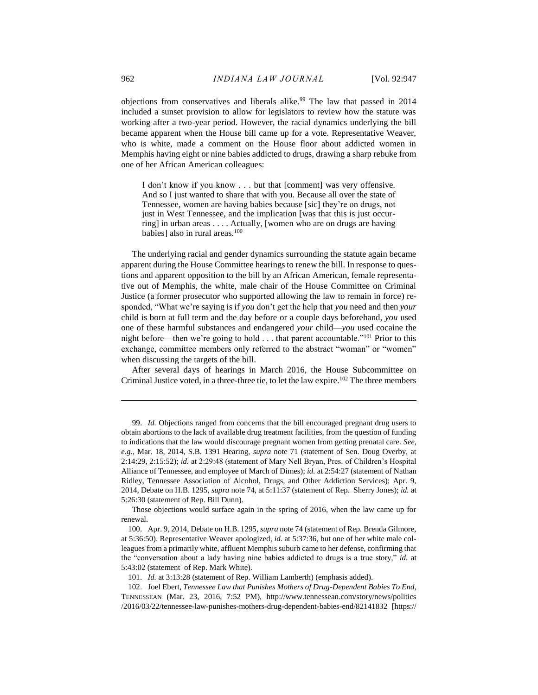objections from conservatives and liberals alike.<sup>99</sup> The law that passed in 2014 included a sunset provision to allow for legislators to review how the statute was working after a two-year period. However, the racial dynamics underlying the bill became apparent when the House bill came up for a vote. Representative Weaver, who is white, made a comment on the House floor about addicted women in Memphis having eight or nine babies addicted to drugs, drawing a sharp rebuke from one of her African American colleagues:

I don't know if you know . . . but that [comment] was very offensive. And so I just wanted to share that with you. Because all over the state of Tennessee, women are having babies because [sic] they're on drugs, not just in West Tennessee, and the implication [was that this is just occurring] in urban areas . . . . Actually, [women who are on drugs are having babies] also in rural areas.<sup>100</sup>

The underlying racial and gender dynamics surrounding the statute again became apparent during the House Committee hearings to renew the bill. In response to questions and apparent opposition to the bill by an African American, female representative out of Memphis, the white, male chair of the House Committee on Criminal Justice (a former prosecutor who supported allowing the law to remain in force) responded, "What we're saying is if *you* don't get the help that *you* need and then *your* child is born at full term and the day before or a couple days beforehand, *you* used one of these harmful substances and endangered *your* child—*you* used cocaine the night before—then we're going to hold . . . that parent accountable."<sup>101</sup> Prior to this exchange, committee members only referred to the abstract "woman" or "women" when discussing the targets of the bill.

After several days of hearings in March 2016, the House Subcommittee on Criminal Justice voted, in a three-three tie, to let the law expire.<sup>102</sup> The three members

Those objections would surface again in the spring of 2016, when the law came up for renewal.

<sup>99.</sup> *Id.* Objections ranged from concerns that the bill encouraged pregnant drug users to obtain abortions to the lack of available drug treatment facilities, from the question of funding to indications that the law would discourage pregnant women from getting prenatal care. *See, e.g.*, Mar. 18, 2014, S.B. 1391 Hearing, *supra* note 71 (statement of Sen. Doug Overby, at 2:14:29, 2:15:52); *id.* at 2:29:48 (statement of Mary Nell Bryan, Pres. of Children's Hospital Alliance of Tennessee, and employee of March of Dimes); *id.* at 2:54:27 (statement of Nathan Ridley, Tennessee Association of Alcohol, Drugs, and Other Addiction Services); Apr. 9, 2014, Debate on H.B. 1295, *supra* note 74, at 5:11:37 (statement of Rep. Sherry Jones); *id.* at 5:26:30 (statement of Rep. Bill Dunn).

<sup>100.</sup> Apr. 9, 2014, Debate on H.B. 1295, *supra* note 74 (statement of Rep. Brenda Gilmore, at 5:36:50). Representative Weaver apologized, *id.* at 5:37:36, but one of her white male colleagues from a primarily white, affluent Memphis suburb came to her defense, confirming that the "conversation about a lady having nine babies addicted to drugs is a true story," *id.* at 5:43:02 (statement of Rep. Mark White).

<sup>101.</sup> *Id.* at 3:13:28 (statement of Rep. William Lamberth) (emphasis added).

<sup>102.</sup> Joel Ebert, *Tennessee Law that Punishes Mothers of Drug-Dependent Babies To End*, TENNESSEAN (Mar. 23, 2016, 7:52 PM), http://www.tennessean.com/story/news/politics /2016/03/22/tennessee-law-punishes-mothers-drug-dependent-babies-end/82141832 [https://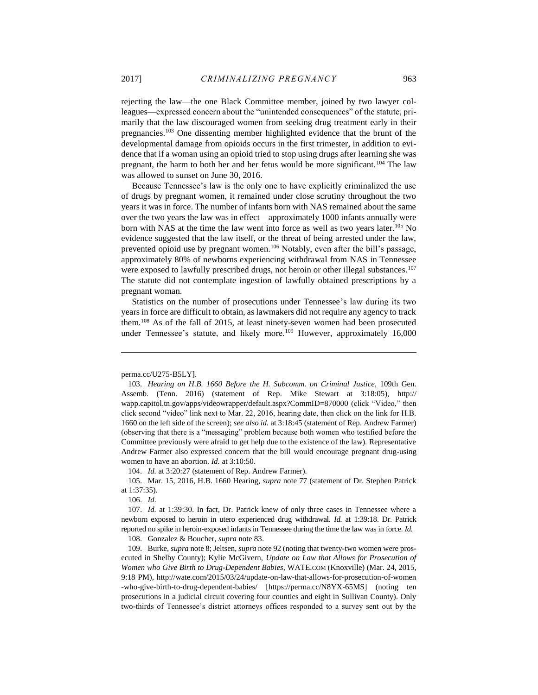rejecting the law—the one Black Committee member, joined by two lawyer colleagues—expressed concern about the "unintended consequences" of the statute, primarily that the law discouraged women from seeking drug treatment early in their pregnancies.<sup>103</sup> One dissenting member highlighted evidence that the brunt of the developmental damage from opioids occurs in the first trimester, in addition to evidence that if a woman using an opioid tried to stop using drugs after learning she was pregnant, the harm to both her and her fetus would be more significant.<sup>104</sup> The law was allowed to sunset on June 30, 2016.

Because Tennessee's law is the only one to have explicitly criminalized the use of drugs by pregnant women, it remained under close scrutiny throughout the two years it was in force. The number of infants born with NAS remained about the same over the two years the law was in effect—approximately 1000 infants annually were born with NAS at the time the law went into force as well as two years later.<sup>105</sup> No evidence suggested that the law itself, or the threat of being arrested under the law, prevented opioid use by pregnant women.<sup>106</sup> Notably, even after the bill's passage, approximately 80% of newborns experiencing withdrawal from NAS in Tennessee were exposed to lawfully prescribed drugs, not heroin or other illegal substances.<sup>107</sup> The statute did not contemplate ingestion of lawfully obtained prescriptions by a pregnant woman.

Statistics on the number of prosecutions under Tennessee's law during its two years in force are difficult to obtain, as lawmakers did not require any agency to track them.<sup>108</sup> As of the fall of 2015, at least ninety-seven women had been prosecuted under Tennessee's statute, and likely more.<sup>109</sup> However, approximately 16,000

 $\overline{a}$ 

104. *Id.* at 3:20:27 (statement of Rep. Andrew Farmer).

105. Mar. 15, 2016, H.B. 1660 Hearing, *supra* note 77 (statement of Dr. Stephen Patrick at 1:37:35).

106. *Id*.

107. *Id.* at 1:39:30. In fact, Dr. Patrick knew of only three cases in Tennessee where a newborn exposed to heroin in utero experienced drug withdrawal. *Id.* at 1:39:18. Dr. Patrick reported no spike in heroin-exposed infants in Tennessee during the time the law was in force. *Id.*

108. Gonzalez & Boucher, *supra* note 83.

109. Burke, *supra* note 8; Jeltsen, *supra* note 92 (noting that twenty-two women were prosecuted in Shelby County); Kylie McGivern, *Update on Law that Allows for Prosecution of Women who Give Birth to Drug-Dependent Babies*, WATE.COM (Knoxville) (Mar. 24, 2015, 9:18 PM), http://wate.com/2015/03/24/update-on-law-that-allows-for-prosecution-of-women -who-give-birth-to-drug-dependent-babies/ [https://perma.cc/N8YX-65MS] (noting ten prosecutions in a judicial circuit covering four counties and eight in Sullivan County). Only two-thirds of Tennessee's district attorneys offices responded to a survey sent out by the

perma.cc/U275-B5LY].

<sup>103.</sup> *Hearing on H.B. 1660 Before the H. Subcomm. on Criminal Justice*, 109th Gen. Assemb. (Tenn. 2016) (statement of Rep. Mike Stewart at 3:18:05), http:// wapp.capitol.tn.gov/apps/videowrapper/default.aspx?CommID=870000 (click "Video," then click second "video" link next to Mar. 22, 2016, hearing date, then click on the link for H.B. 1660 on the left side of the screen); *see also id.* at 3:18:45 (statement of Rep. Andrew Farmer) (observing that there is a "messaging" problem because both women who testified before the Committee previously were afraid to get help due to the existence of the law). Representative Andrew Farmer also expressed concern that the bill would encourage pregnant drug-using women to have an abortion. *Id.* at 3:10:50.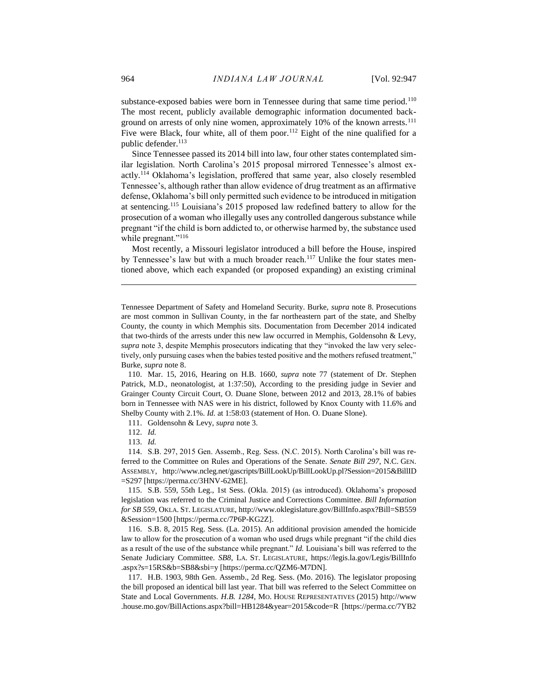substance-exposed babies were born in Tennessee during that same time period.<sup>110</sup> The most recent, publicly available demographic information documented background on arrests of only nine women, approximately 10% of the known arrests.<sup>111</sup> Five were Black, four white, all of them poor.<sup>112</sup> Eight of the nine qualified for a public defender.<sup>113</sup>

Since Tennessee passed its 2014 bill into law, four other states contemplated similar legislation. North Carolina's 2015 proposal mirrored Tennessee's almost exactly.<sup>114</sup> Oklahoma's legislation, proffered that same year, also closely resembled Tennessee's, although rather than allow evidence of drug treatment as an affirmative defense, Oklahoma's bill only permitted such evidence to be introduced in mitigation at sentencing.<sup>115</sup> Louisiana's 2015 proposed law redefined battery to allow for the prosecution of a woman who illegally uses any controlled dangerous substance while pregnant "if the child is born addicted to, or otherwise harmed by, the substance used while pregnant."<sup>116</sup>

Most recently, a Missouri legislator introduced a bill before the House, inspired by Tennessee's law but with a much broader reach.<sup>117</sup> Unlike the four states mentioned above, which each expanded (or proposed expanding) an existing criminal

Tennessee Department of Safety and Homeland Security. Burke, *supra* note 8. Prosecutions are most common in Sullivan County, in the far northeastern part of the state, and Shelby County, the county in which Memphis sits. Documentation from December 2014 indicated that two-thirds of the arrests under this new law occurred in Memphis, Goldensohn & Levy, *supra* note 3, despite Memphis prosecutors indicating that they "invoked the law very selectively, only pursuing cases when the babies tested positive and the mothers refused treatment," Burke, *supra* note 8.

110. Mar. 15, 2016, Hearing on H.B. 1660, *supra* note 77 (statement of Dr. Stephen Patrick, M.D., neonatologist, at 1:37:50), According to the presiding judge in Sevier and Grainger County Circuit Court, O. Duane Slone, between 2012 and 2013, 28.1% of babies born in Tennessee with NAS were in his district, followed by Knox County with 11.6% and Shelby County with 2.1%. *Id.* at 1:58:03 (statement of Hon. O. Duane Slone).

111. Goldensohn & Levy, *supra* note 3.

113. *Id.*

114. S.B. 297, 2015 Gen. Assemb., Reg. Sess. (N.C. 2015). North Carolina's bill was referred to the Committee on Rules and Operations of the Senate. *Senate Bill 297*, N.C. GEN. ASSEMBLY, http://www.ncleg.net/gascripts/BillLookUp/BillLookUp.pl?Session=2015&BillID =S297 [https://perma.cc/3HNV-62ME].

115. S.B. 559, 55th Leg., 1st Sess. (Okla. 2015) (as introduced). Oklahoma's proposed legislation was referred to the Criminal Justice and Corrections Committee. *Bill Information for SB 559*, OKLA. ST. LEGISLATURE, http://www.oklegislature.gov/BillInfo.aspx?Bill=SB559 &Session=1500 [https://perma.cc/7P6P-KG2Z].

116. S.B. 8, 2015 Reg. Sess. (La. 2015). An additional provision amended the homicide law to allow for the prosecution of a woman who used drugs while pregnant "if the child dies as a result of the use of the substance while pregnant." *Id.* Louisiana's bill was referred to the Senate Judiciary Committee. *SB8*, LA. ST. LEGISLATURE, https://legis.la.gov/Legis/BillInfo .aspx?s=15RS&b=SB8&sbi=y [https://perma.cc/QZM6-M7DN].

117. H.B. 1903, 98th Gen. Assemb., 2d Reg. Sess. (Mo. 2016). The legislator proposing the bill proposed an identical bill last year. That bill was referred to the Select Committee on State and Local Governments. *H.B. 1284*, MO. HOUSE REPRESENTATIVES (2015) http://www .house.mo.gov/BillActions.aspx?bill=HB1284&year=2015&code=R [https://perma.cc/7YB2

<sup>112.</sup> *Id.*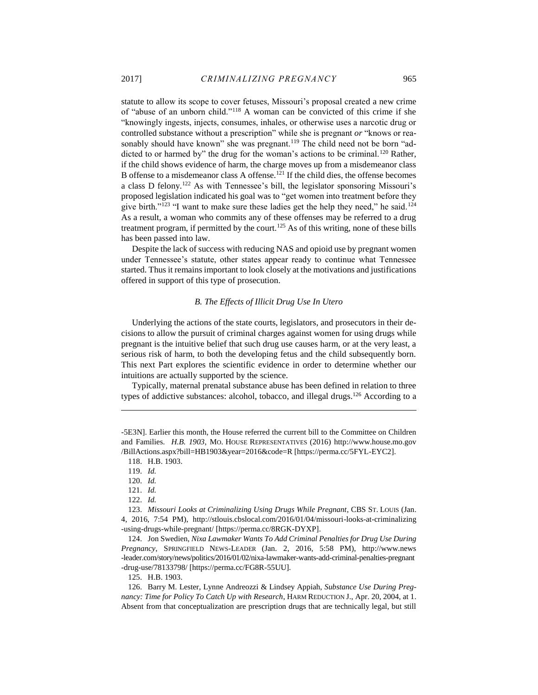statute to allow its scope to cover fetuses, Missouri's proposal created a new crime of "abuse of an unborn child."<sup>118</sup> A woman can be convicted of this crime if she "knowingly ingests, injects, consumes, inhales, or otherwise uses a narcotic drug or controlled substance without a prescription" while she is pregnant *or* "knows or reasonably should have known" she was pregnant.<sup>119</sup> The child need not be born "addicted to or harmed by" the drug for the woman's actions to be criminal.<sup>120</sup> Rather, if the child shows evidence of harm, the charge moves up from a misdemeanor class B offense to a misdemeanor class A offense.<sup>121</sup> If the child dies, the offense becomes a class D felony.<sup>122</sup> As with Tennessee's bill, the legislator sponsoring Missouri's proposed legislation indicated his goal was to "get women into treatment before they give birth."<sup>123</sup> "I want to make sure these ladies get the help they need," he said.<sup>124</sup> As a result, a woman who commits any of these offenses may be referred to a drug treatment program, if permitted by the court.<sup>125</sup> As of this writing, none of these bills has been passed into law.

Despite the lack of success with reducing NAS and opioid use by pregnant women under Tennessee's statute, other states appear ready to continue what Tennessee started. Thus it remains important to look closely at the motivations and justifications offered in support of this type of prosecution.

# *B. The Effects of Illicit Drug Use In Utero*

<span id="page-19-0"></span>Underlying the actions of the state courts, legislators, and prosecutors in their decisions to allow the pursuit of criminal charges against women for using drugs while pregnant is the intuitive belief that such drug use causes harm, or at the very least, a serious risk of harm, to both the developing fetus and the child subsequently born. This next Part explores the scientific evidence in order to determine whether our intuitions are actually supported by the science.

Typically, maternal prenatal substance abuse has been defined in relation to three types of addictive substances: alcohol, tobacco, and illegal drugs.<sup>126</sup> According to a

 $\overline{a}$ 

125. H.B. 1903.

126. Barry M. Lester, Lynne Andreozzi & Lindsey Appiah, *Substance Use During Pregnancy: Time for Policy To Catch Up with Research*, HARM REDUCTION J., Apr. 20, 2004, at 1. Absent from that conceptualization are prescription drugs that are technically legal, but still

<sup>-5</sup>E3N]. Earlier this month, the House referred the current bill to the Committee on Children and Families. *H.B. 1903*, MO. HOUSE REPRESENTATIVES (2016) http://www.house.mo.gov /BillActions.aspx?bill=HB1903&year=2016&code=R [https://perma.cc/5FYL-EYC2].

<sup>118.</sup> H.B. 1903.

<sup>119.</sup> *Id.*

<sup>120.</sup> *Id.*

<sup>121.</sup> *Id.*

<sup>122.</sup> *Id.* 

<sup>123.</sup> *Missouri Looks at Criminalizing Using Drugs While Pregnant*, CBS ST. LOUIS (Jan. 4, 2016, 7:54 PM), http://stlouis.cbslocal.com/2016/01/04/missouri-looks-at-criminalizing -using-drugs-while-pregnant/ [https://perma.cc/8RGK-DYXP].

<sup>124.</sup> Jon Swedien, *Nixa Lawmaker Wants To Add Criminal Penalties for Drug Use During Pregnancy*, SPRINGFIELD NEWS-LEADER (Jan. 2, 2016, 5:58 PM), http://www.news -leader.com/story/news/politics/2016/01/02/nixa-lawmaker-wants-add-criminal-penalties-pregnant -drug-use/78133798/ [https://perma.cc/FG8R-55UU].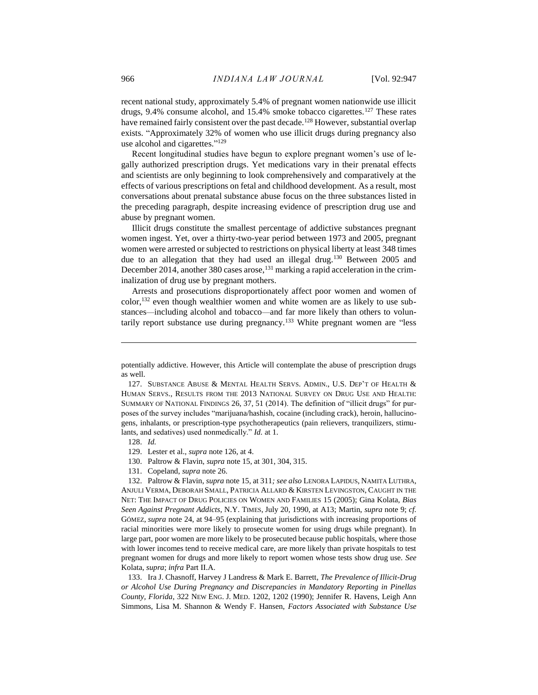recent national study, approximately 5.4% of pregnant women nationwide use illicit drugs, 9.4% consume alcohol, and 15.4% smoke tobacco cigarettes.<sup>127</sup> These rates have remained fairly consistent over the past decade.<sup>128</sup> However, substantial overlap exists. "Approximately 32% of women who use illicit drugs during pregnancy also use alcohol and cigarettes."<sup>129</sup>

Recent longitudinal studies have begun to explore pregnant women's use of legally authorized prescription drugs. Yet medications vary in their prenatal effects and scientists are only beginning to look comprehensively and comparatively at the effects of various prescriptions on fetal and childhood development. As a result, most conversations about prenatal substance abuse focus on the three substances listed in the preceding paragraph, despite increasing evidence of prescription drug use and abuse by pregnant women.

Illicit drugs constitute the smallest percentage of addictive substances pregnant women ingest. Yet, over a thirty-two-year period between 1973 and 2005, pregnant women were arrested or subjected to restrictions on physical liberty at least 348 times due to an allegation that they had used an illegal drug.<sup>130</sup> Between 2005 and December 2014, another 380 cases arose,<sup>131</sup> marking a rapid acceleration in the criminalization of drug use by pregnant mothers.

Arrests and prosecutions disproportionately affect poor women and women of color,<sup>132</sup> even though wealthier women and white women are as likely to use substances—including alcohol and tobacco—and far more likely than others to voluntarily report substance use during pregnancy.<sup>133</sup> White pregnant women are "less

128. *Id.*

 $\overline{a}$ 

129. Lester et al., *supra* note 126, at 4.

130. Paltrow & Flavin, *supra* note 15, at 301, 304, 315.

131. Copeland, *supra* note 26.

132. Paltrow & Flavin, *supra* note 15, at 311*; see also* LENORA LAPIDUS, NAMITA LUTHRA, ANJULI VERMA, DEBORAH SMALL, PATRICIA ALLARD & KIRSTEN LEVINGSTON, CAUGHT IN THE NET: THE IMPACT OF DRUG POLICIES ON WOMEN AND FAMILIES 15 (2005); Gina Kolata, *Bias Seen Against Pregnant Addicts*, N.Y. TIMES, July 20, 1990, at A13; Martin, *supra* note 9; *cf.*  GÓMEZ, *supra* note 24, at 94–95 (explaining that jurisdictions with increasing proportions of racial minorities were more likely to prosecute women for using drugs while pregnant). In large part, poor women are more likely to be prosecuted because public hospitals, where those with lower incomes tend to receive medical care, are more likely than private hospitals to test pregnant women for drugs and more likely to report women whose tests show drug use. *See*  Kolata, *supra*; *infra* Part II.A.

133. Ira J. Chasnoff, Harvey J Landress & Mark E. Barrett, *The Prevalence of Illicit-Drug or Alcohol Use During Pregnancy and Discrepancies in Mandatory Reporting in Pinellas County, Florida*, 322 NEW ENG. J. MED. 1202, 1202 (1990); Jennifer R. Havens, Leigh Ann Simmons, Lisa M. Shannon & Wendy F. Hansen, *Factors Associated with Substance Use* 

potentially addictive. However, this Article will contemplate the abuse of prescription drugs as well.

<sup>127.</sup> SUBSTANCE ABUSE & MENTAL HEALTH SERVS. ADMIN., U.S. DEP'T OF HEALTH & HUMAN SERVS., RESULTS FROM THE 2013 NATIONAL SURVEY ON DRUG USE AND HEALTH: SUMMARY OF NATIONAL FINDINGS 26, 37, 51 (2014). The definition of "illicit drugs" for purposes of the survey includes "marijuana/hashish, cocaine (including crack), heroin, hallucinogens, inhalants, or prescription-type psychotherapeutics (pain relievers, tranquilizers, stimulants, and sedatives) used nonmedically." *Id.* at 1.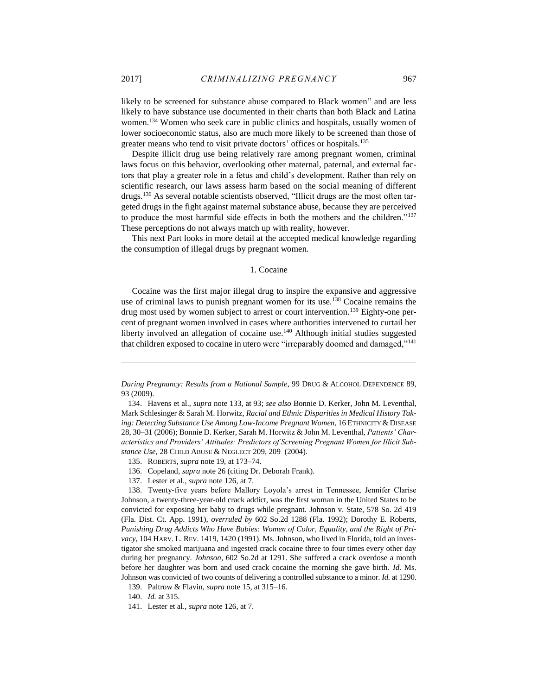likely to be screened for substance abuse compared to Black women" and are less likely to have substance use documented in their charts than both Black and Latina women.<sup>134</sup> Women who seek care in public clinics and hospitals, usually women of lower socioeconomic status, also are much more likely to be screened than those of greater means who tend to visit private doctors' offices or hospitals.<sup>135</sup>

Despite illicit drug use being relatively rare among pregnant women, criminal laws focus on this behavior, overlooking other maternal, paternal, and external factors that play a greater role in a fetus and child's development. Rather than rely on scientific research, our laws assess harm based on the social meaning of different drugs.<sup>136</sup> As several notable scientists observed, "Illicit drugs are the most often targeted drugs in the fight against maternal substance abuse, because they are perceived to produce the most harmful side effects in both the mothers and the children."<sup>137</sup> These perceptions do not always match up with reality, however.

<span id="page-21-0"></span>This next Part looks in more detail at the accepted medical knowledge regarding the consumption of illegal drugs by pregnant women.

#### 1. Cocaine

Cocaine was the first major illegal drug to inspire the expansive and aggressive use of criminal laws to punish pregnant women for its use.<sup>138</sup> Cocaine remains the drug most used by women subject to arrest or court intervention.<sup>139</sup> Eighty-one percent of pregnant women involved in cases where authorities intervened to curtail her liberty involved an allegation of cocaine use.<sup>140</sup> Although initial studies suggested that children exposed to cocaine in utero were "irreparably doomed and damaged,"<sup>141</sup>

137. Lester et al., *supra* note 126, at 7.

*During Pregnancy: Results from a National Sample*, 99 DRUG & ALCOHOL DEPENDENCE 89, 93 (2009).

<sup>134.</sup> Havens et al., *supra* note 133, at 93; *see also* Bonnie D. Kerker, John M. Leventhal, Mark Schlesinger & Sarah M. Horwitz, *Racial and Ethnic Disparities in Medical History Taking: Detecting Substance Use Among Low-Income Pregnant Women*, 16 ETHNICITY &DISEASE 28, 30–31 (2006); Bonnie D. Kerker, Sarah M. Horwitz & John M. Leventhal, *Patients' Characteristics and Providers' Attitudes: Predictors of Screening Pregnant Women for Illicit Substance Use*, 28 CHILD ABUSE & NEGLECT 209, 209 (2004).

<sup>135.</sup> ROBERTS, *supra* note 19, at 173–74.

<sup>136.</sup> Copeland, *supra* note 26 (citing Dr. Deborah Frank).

<sup>138.</sup> Twenty-five years before Mallory Loyola's arrest in Tennessee, Jennifer Clarise Johnson, a twenty-three-year-old crack addict, was the first woman in the United States to be convicted for exposing her baby to drugs while pregnant. Johnson v. State, 578 So. 2d 419 (Fla. Dist. Ct. App. 1991), *overruled by* 602 So.2d 1288 (Fla. 1992); Dorothy E. Roberts, *Punishing Drug Addicts Who Have Babies: Women of Color, Equality, and the Right of Privacy*, 104 HARV. L. REV. 1419, 1420 (1991). Ms. Johnson, who lived in Florida, told an investigator she smoked marijuana and ingested crack cocaine three to four times every other day during her pregnancy. *Johnson*, 602 So.2d at 1291. She suffered a crack overdose a month before her daughter was born and used crack cocaine the morning she gave birth. *Id.* Ms. Johnson was convicted of two counts of delivering a controlled substance to a minor. *Id.* at 1290.

<sup>139.</sup> Paltrow & Flavin, *supra* note 15, at 315–16.

<sup>140.</sup> *Id.* at 315.

<sup>141.</sup> Lester et al., *supra* note 126, at 7.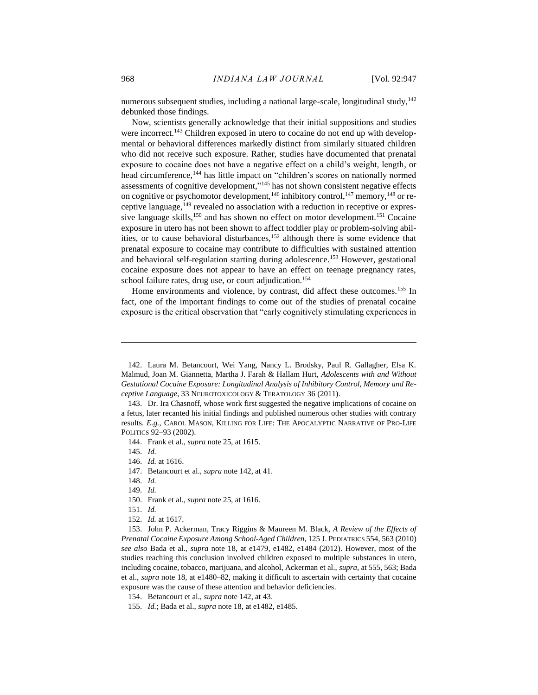numerous subsequent studies, including a national large-scale, longitudinal study,<sup>142</sup> debunked those findings.

Now, scientists generally acknowledge that their initial suppositions and studies were incorrect.<sup>143</sup> Children exposed in utero to cocaine do not end up with developmental or behavioral differences markedly distinct from similarly situated children who did not receive such exposure. Rather, studies have documented that prenatal exposure to cocaine does not have a negative effect on a child's weight, length, or head circumference,<sup>144</sup> has little impact on "children's scores on nationally normed assessments of cognitive development," <sup>145</sup> has not shown consistent negative effects on cognitive or psychomotor development,  $146$  inhibitory control,  $147$  memory,  $148$  or receptive language,<sup>149</sup> revealed no association with a reduction in receptive or expressive language skills,<sup>150</sup> and has shown no effect on motor development.<sup>151</sup> Cocaine exposure in utero has not been shown to affect toddler play or problem-solving abilities, or to cause behavioral disturbances,<sup>152</sup> although there is some evidence that prenatal exposure to cocaine may contribute to difficulties with sustained attention and behavioral self-regulation starting during adolescence.<sup>153</sup> However, gestational cocaine exposure does not appear to have an effect on teenage pregnancy rates, school failure rates, drug use, or court adjudication.<sup>154</sup>

Home environments and violence, by contrast, did affect these outcomes.<sup>155</sup> In fact, one of the important findings to come out of the studies of prenatal cocaine exposure is the critical observation that "early cognitively stimulating experiences in

 $\overline{a}$ 

150. Frank et al., *supra* note 25, at 1616.

<sup>142.</sup> Laura M. Betancourt, Wei Yang, Nancy L. Brodsky, Paul R. Gallagher, Elsa K. Malmud, Joan M. Giannetta, Martha J. Farah & Hallam Hurt, *Adolescents with and Without Gestational Cocaine Exposure: Longitudinal Analysis of Inhibitory Control, Memory and Receptive Language*, 33 NEUROTOXICOLOGY & TERATOLOGY 36 (2011).

<sup>143.</sup> Dr. Ira Chasnoff, whose work first suggested the negative implications of cocaine on a fetus, later recanted his initial findings and published numerous other studies with contrary results. *E.g.*, CAROL MASON, KILLING FOR LIFE: THE APOCALYPTIC NARRATIVE OF PRO-LIFE POLITICS 92–93 (2002).

<sup>144.</sup> Frank et al., *supra* note 25, at 1615.

<sup>145.</sup> *Id.*

<sup>146.</sup> *Id.* at 1616.

<sup>147.</sup> Betancourt et al., *supra* note 142, at 41.

<sup>148.</sup> *Id.*

<sup>149.</sup> *Id.*

<sup>151.</sup> *Id.*

<sup>152.</sup> *Id.* at 1617.

<sup>153.</sup> John P. Ackerman, Tracy Riggins & Maureen M. Black, *A Review of the Effects of Prenatal Cocaine Exposure Among School-Aged Children*, 125 J. PEDIATRICS 554, 563 (2010) *see also* Bada et al., *supra* note 18, at e1479, e1482, e1484 (2012). However, most of the studies reaching this conclusion involved children exposed to multiple substances in utero, including cocaine, tobacco, marijuana, and alcohol, Ackerman et al., *supra*, at 555, 563; Bada et al., *supra* note 18*,* at e1480–82, making it difficult to ascertain with certainty that cocaine exposure was the cause of these attention and behavior deficiencies.

<sup>154.</sup> Betancourt et al., *supra* note 142, at 43.

<sup>155.</sup> *Id.*; Bada et al., *supra* note 18, at e1482, e1485.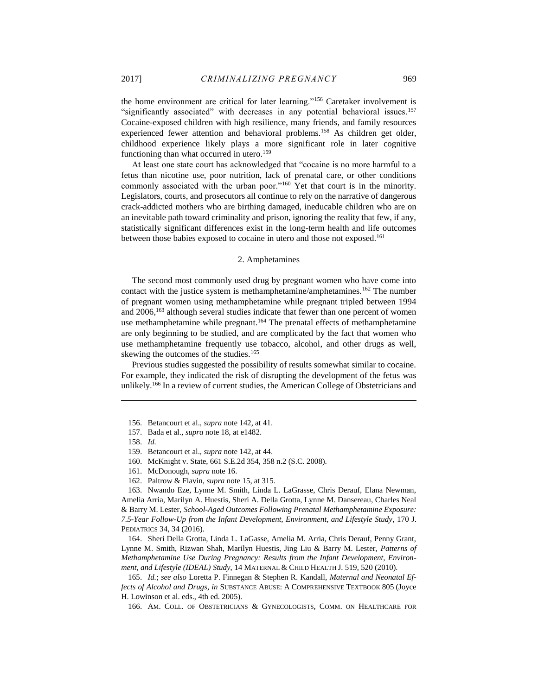the home environment are critical for later learning."<sup>156</sup> Caretaker involvement is "significantly associated" with decreases in any potential behavioral issues.<sup>157</sup> Cocaine-exposed children with high resilience, many friends, and family resources experienced fewer attention and behavioral problems.<sup>158</sup> As children get older, childhood experience likely plays a more significant role in later cognitive functioning than what occurred in utero.<sup>159</sup>

At least one state court has acknowledged that "cocaine is no more harmful to a fetus than nicotine use, poor nutrition, lack of prenatal care, or other conditions commonly associated with the urban poor."<sup>160</sup> Yet that court is in the minority. Legislators, courts, and prosecutors all continue to rely on the narrative of dangerous crack-addicted mothers who are birthing damaged, ineducable children who are on an inevitable path toward criminality and prison, ignoring the reality that few, if any, statistically significant differences exist in the long-term health and life outcomes between those babies exposed to cocaine in utero and those not exposed.<sup>161</sup>

#### 2. Amphetamines

<span id="page-23-0"></span>The second most commonly used drug by pregnant women who have come into contact with the justice system is methamphetamine/amphetamines.<sup>162</sup> The number of pregnant women using methamphetamine while pregnant tripled between 1994 and  $2006$ ,  $^{163}$  although several studies indicate that fewer than one percent of women use methamphetamine while pregnant.<sup>164</sup> The prenatal effects of methamphetamine are only beginning to be studied, and are complicated by the fact that women who use methamphetamine frequently use tobacco, alcohol, and other drugs as well, skewing the outcomes of the studies.<sup>165</sup>

Previous studies suggested the possibility of results somewhat similar to cocaine. For example, they indicated the risk of disrupting the development of the fetus was unlikely.<sup>166</sup> In a review of current studies, the American College of Obstetricians and

 $\overline{a}$ 

164. Sheri Della Grotta, Linda L. LaGasse, Amelia M. Arria, Chris Derauf, Penny Grant, Lynne M. Smith, Rizwan Shah, Marilyn Huestis, Jing Liu & Barry M. Lester, *Patterns of Methamphetamine Use During Pregnancy: Results from the Infant Development, Environment, and Lifestyle (IDEAL) Study*, 14 MATERNAL & CHILD HEALTH J. 519, 520 (2010).

<sup>156.</sup> Betancourt et al., *supra* note 142, at 41.

<sup>157.</sup> Bada et al., *supra* note 18, at e1482.

<sup>158.</sup> *Id.* 

<sup>159.</sup> Betancourt et al., *supra* note 142, at 44.

<sup>160.</sup> McKnight v. State, 661 S.E.2d 354, 358 n.2 (S.C. 2008).

<sup>161.</sup> McDonough, *supra* note 16.

<sup>162.</sup> Paltrow & Flavin, *supra* note 15, at 315.

<sup>163.</sup> Nwando Eze, Lynne M. Smith, Linda L. LaGrasse, Chris Derauf, Elana Newman, Amelia Arria, Marilyn A. Huestis, Sheri A. Della Grotta, Lynne M. Dansereau, Charles Neal & Barry M. Lester, *School-Aged Outcomes Following Prenatal Methamphetamine Exposure: 7.5-Year Follow-Up from the Infant Development, Environment, and Lifestyle Study*, 170 J. PEDIATRICS 34, 34 (2016).

<sup>165.</sup> *Id.*; *see also* Loretta P. Finnegan & Stephen R. Kandall, *Maternal and Neonatal Effects of Alcohol and Drugs*, *in* SUBSTANCE ABUSE: A COMPREHENSIVE TEXTBOOK 805 (Joyce H. Lowinson et al. eds., 4th ed. 2005).

<sup>166.</sup> AM. COLL. OF OBSTETRICIANS & GYNECOLOGISTS, COMM. ON HEALTHCARE FOR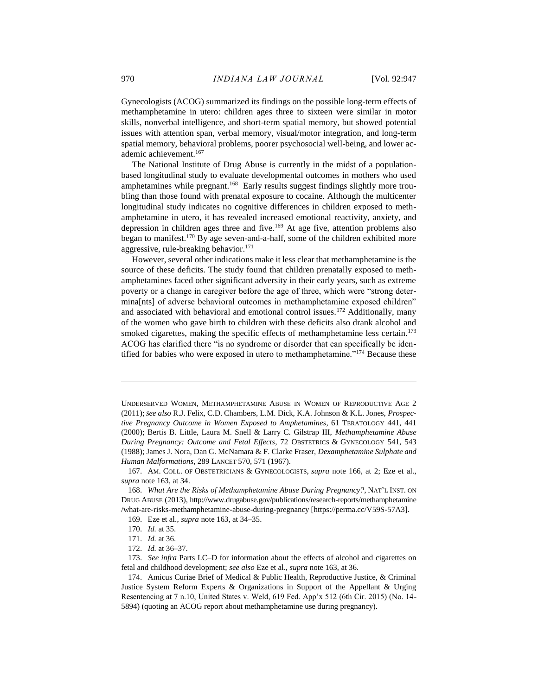Gynecologists (ACOG) summarized its findings on the possible long-term effects of methamphetamine in utero: children ages three to sixteen were similar in motor skills, nonverbal intelligence, and short-term spatial memory, but showed potential issues with attention span, verbal memory, visual/motor integration, and long-term spatial memory, behavioral problems, poorer psychosocial well-being, and lower academic achievement.<sup>167</sup>

The National Institute of Drug Abuse is currently in the midst of a populationbased longitudinal study to evaluate developmental outcomes in mothers who used amphetamines while pregnant.<sup>168</sup> Early results suggest findings slightly more troubling than those found with prenatal exposure to cocaine. Although the multicenter longitudinal study indicates no cognitive differences in children exposed to methamphetamine in utero, it has revealed increased emotional reactivity, anxiety, and depression in children ages three and five.<sup>169</sup> At age five, attention problems also began to manifest.<sup>170</sup> By age seven-and-a-half, some of the children exhibited more aggressive, rule-breaking behavior.<sup>171</sup>

However, several other indications make it less clear that methamphetamine is the source of these deficits. The study found that children prenatally exposed to methamphetamines faced other significant adversity in their early years, such as extreme poverty or a change in caregiver before the age of three, which were "strong determina[nts] of adverse behavioral outcomes in methamphetamine exposed children" and associated with behavioral and emotional control issues.<sup>172</sup> Additionally, many of the women who gave birth to children with these deficits also drank alcohol and smoked cigarettes, making the specific effects of methamphetamine less certain.<sup>173</sup> ACOG has clarified there "is no syndrome or disorder that can specifically be identified for babies who were exposed in utero to methamphetamine."<sup>174</sup> Because these

UNDERSERVED WOMEN, METHAMPHETAMINE ABUSE IN WOMEN OF REPRODUCTIVE AGE 2 (2011); *See also* R.J. Felix, C.D. Chambers, L.M. Dick, K.A. Johnson & K.L. Jones, *Prospective Pregnancy Outcome in Women Exposed to Amphetamines*, 61 TERATOLOGY 441, 441 (2000); Bertis B. Little, Laura M. Snell & Larry C. Gilstrap III, *Methamphetamine Abuse During Pregnancy: Outcome and Fetal Effects*, 72 OBSTETRICS & GYNECOLOGY 541, 543 (1988); James J. Nora, Dan G. McNamara & F. Clarke Fraser, *Dexamphetamine Sulphate and Human Malformations*, 289 LANCET 570, 571 (1967).

<sup>167.</sup> AM. COLL. OF OBSTETRICIANS & GYNECOLOGISTS*, supra* note 166, at 2; Eze et al., *supra* note 163, at 34.

<sup>168.</sup> *What Are the Risks of Methamphetamine Abuse During Pregnancy?*, NAT'L INST. ON DRUG ABUSE (2013), http://www.drugabuse.gov/publications/research-reports/methamphetamine /what-are-risks-methamphetamine-abuse-during-pregnancy [https://perma.cc/V59S-57A3].

<sup>169.</sup> Eze et al., *supra* note 163, at 34–35.

<sup>170.</sup> *Id.* at 35.

<sup>171.</sup> *Id.* at 36.

<sup>172.</sup> *Id.* at 36–37.

<sup>173.</sup> *See infra* Parts I.C–D for information about the effects of alcohol and cigarettes on fetal and childhood development; *see also* Eze et al., *supra* note 163, at 36.

<sup>174.</sup> Amicus Curiae Brief of Medical & Public Health, Reproductive Justice, & Criminal Justice System Reform Experts & Organizations in Support of the Appellant & Urging Resentencing at 7 n.10, United States v. Weld, 619 Fed. App'x 512 (6th Cir. 2015) (No. 14- 5894) (quoting an ACOG report about methamphetamine use during pregnancy).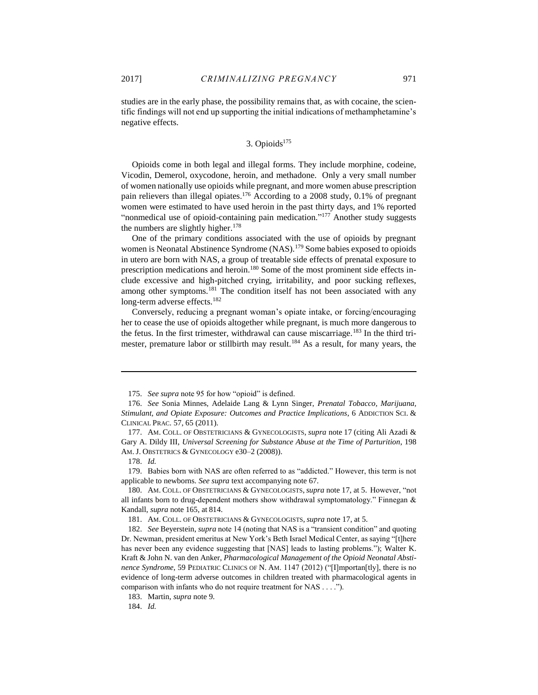<span id="page-25-0"></span>studies are in the early phase, the possibility remains that, as with cocaine, the scientific findings will not end up supporting the initial indications of methamphetamine's negative effects.

# $3.$  Opioids<sup>175</sup>

Opioids come in both legal and illegal forms. They include morphine, codeine, Vicodin, Demerol, oxycodone, heroin, and methadone. Only a very small number of women nationally use opioids while pregnant, and more women abuse prescription pain relievers than illegal opiates.<sup>176</sup> According to a 2008 study, 0.1% of pregnant women were estimated to have used heroin in the past thirty days, and 1% reported "nonmedical use of opioid-containing pain medication."<sup>177</sup> Another study suggests the numbers are slightly higher.<sup>178</sup>

One of the primary conditions associated with the use of opioids by pregnant women is Neonatal Abstinence Syndrome (NAS).<sup>179</sup> Some babies exposed to opioids in utero are born with NAS, a group of treatable side effects of prenatal exposure to prescription medications and heroin.<sup>180</sup> Some of the most prominent side effects include excessive and high-pitched crying, irritability, and poor sucking reflexes, among other symptoms.<sup>181</sup> The condition itself has not been associated with any long-term adverse effects.<sup>182</sup>

Conversely, reducing a pregnant woman's opiate intake, or forcing/encouraging her to cease the use of opioids altogether while pregnant, is much more dangerous to the fetus. In the first trimester, withdrawal can cause miscarriage.<sup>183</sup> In the third trimester, premature labor or stillbirth may result.<sup>184</sup> As a result, for many years, the

 $\overline{a}$ 

184. *Id.*

<sup>175.</sup> *See supra* note 95 for how "opioid" is defined.

<sup>176.</sup> *See* Sonia Minnes, Adelaide Lang & Lynn Singer, *Prenatal Tobacco, Marijuana, Stimulant, and Opiate Exposure: Outcomes and Practice Implications*, 6 ADDICTION SCI. & CLINICAL PRAC. 57, 65 (2011).

<sup>177.</sup> AM. COLL. OF OBSTETRICIANS & GYNECOLOGISTS, *supra* note 17 (citing Ali Azadi & Gary A. Dildy III, *Universal Screening for Substance Abuse at the Time of Parturition*, 198 AM. J. OBSTETRICS & GYNECOLOGY e30-2 (2008)).

<sup>178.</sup> *Id.*

<sup>179.</sup> Babies born with NAS are often referred to as "addicted." However, this term is not applicable to newborns. *See supra* text accompanying note 67.

<sup>180.</sup> AM. COLL. OF OBSTETRICIANS & GYNECOLOGISTS,*supra* note 17, at 5. However, "not all infants born to drug-dependent mothers show withdrawal symptomatology." Finnegan  $\&$ Kandall, *supra* note 165, at 814.

<sup>181.</sup> AM. COLL. OF OBSTETRICIANS & GYNECOLOGISTS, *supra* note 17, at 5.

<sup>182.</sup> *See* Beyerstein, *supra* note 14 (noting that NAS is a "transient condition" and quoting Dr. Newman, president emeritus at New York's Beth Israel Medical Center, as saying "[t]here has never been any evidence suggesting that [NAS] leads to lasting problems."); Walter K. Kraft & John N. van den Anker, *Pharmacological Management of the Opioid Neonatal Abstinence Syndrome*, 59 PEDIATRIC CLINICS OF N. AM. 1147 (2012) ("[I]mportan[tly], there is no evidence of long-term adverse outcomes in children treated with pharmacological agents in comparison with infants who do not require treatment for NAS . . . .").

<sup>183.</sup> Martin, *supra* note 9.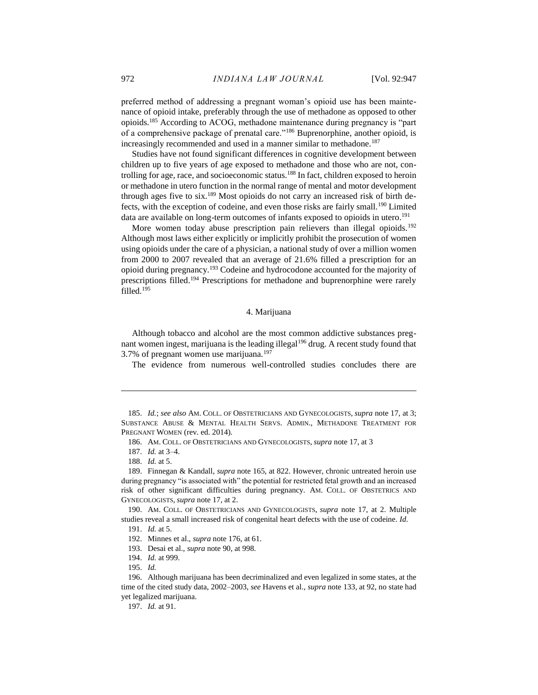preferred method of addressing a pregnant woman's opioid use has been maintenance of opioid intake, preferably through the use of methadone as opposed to other opioids.<sup>185</sup> According to ACOG, methadone maintenance during pregnancy is "part of a comprehensive package of prenatal care."<sup>186</sup> Buprenorphine, another opioid, is increasingly recommended and used in a manner similar to methadone.<sup>187</sup>

Studies have not found significant differences in cognitive development between children up to five years of age exposed to methadone and those who are not, controlling for age, race, and socioeconomic status.<sup>188</sup> In fact, children exposed to heroin or methadone in utero function in the normal range of mental and motor development through ages five to six.<sup>189</sup> Most opioids do not carry an increased risk of birth defects, with the exception of codeine, and even those risks are fairly small.<sup>190</sup> Limited data are available on long-term outcomes of infants exposed to opioids in utero. 191

More women today abuse prescription pain relievers than illegal opioids.<sup>192</sup> Although most laws either explicitly or implicitly prohibit the prosecution of women using opioids under the care of a physician, a national study of over a million women from 2000 to 2007 revealed that an average of 21.6% filled a prescription for an opioid during pregnancy.<sup>193</sup> Codeine and hydrocodone accounted for the majority of prescriptions filled.<sup>194</sup> Prescriptions for methadone and buprenorphine were rarely filled.<sup>195</sup>

# 4. Marijuana

<span id="page-26-0"></span>Although tobacco and alcohol are the most common addictive substances pregnant women ingest, marijuana is the leading illegal<sup>196</sup> drug. A recent study found that 3.7% of pregnant women use marijuana.<sup>197</sup>

The evidence from numerous well-controlled studies concludes there are

186. AM. COLL. OF OBSTETRICIANS AND GYNECOLOGISTS, *supra* note 17, at 3

188. *Id.* at 5.

 $\overline{a}$ 

189. Finnegan & Kandall, *supra* note 165, at 822. However, chronic untreated heroin use during pregnancy "is associated with" the potential for restricted fetal growth and an increased risk of other significant difficulties during pregnancy. AM. COLL. OF OBSTETRICS AND GYNECOLOGISTS, *supra* note 17, at 2.

190. AM. COLL. OF OBSTETRICIANS AND GYNECOLOGISTS, *supra* note 17, at 2. Multiple studies reveal a small increased risk of congenital heart defects with the use of codeine. *Id.*

191. *Id.* at 5.

192. Minnes et al., *supra* note 176, at 61.

194. *Id.* at 999.

195. *Id.*

196. Although marijuana has been decriminalized and even legalized in some states, at the time of the cited study data, 2002–2003, *see* Havens et al., *supra* note 133, at 92, no state had yet legalized marijuana.

197. *Id.* at 91.

<sup>185.</sup> *Id.*; *see also* AM. COLL. OF OBSTETRICIANS AND GYNECOLOGISTS, *supra* note 17, at 3; SUBSTANCE ABUSE & MENTAL HEALTH SERVS. ADMIN., METHADONE TREATMENT FOR PREGNANT WOMEN (rev. ed. 2014).

<sup>187.</sup> *Id.* at 3–4.

<sup>193.</sup> Desai et al., *supra* note 90, at 998.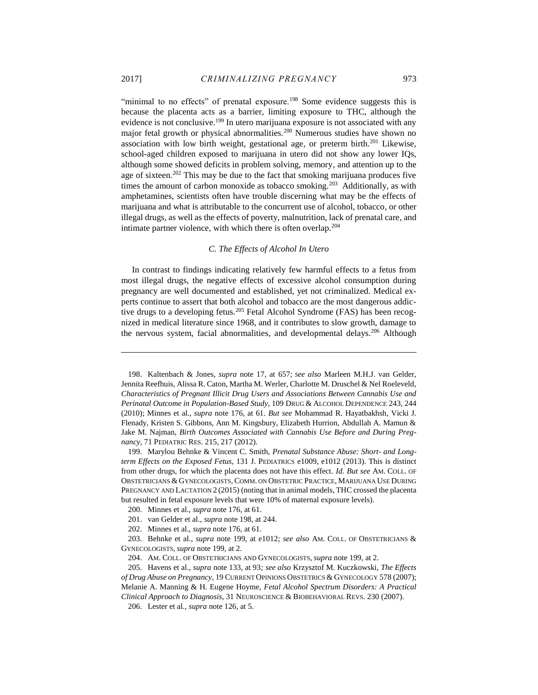"minimal to no effects" of prenatal exposure.<sup>198</sup> Some evidence suggests this is because the placenta acts as a barrier, limiting exposure to THC, although the evidence is not conclusive.<sup>199</sup> In utero marijuana exposure is not associated with any major fetal growth or physical abnormalities.<sup>200</sup> Numerous studies have shown no association with low birth weight, gestational age, or preterm birth.<sup>201</sup> Likewise, school-aged children exposed to marijuana in utero did not show any lower IQs, although some showed deficits in problem solving, memory, and attention up to the age of sixteen.<sup>202</sup> This may be due to the fact that smoking marijuana produces five times the amount of carbon monoxide as tobacco smoking.<sup>203</sup> Additionally, as with amphetamines, scientists often have trouble discerning what may be the effects of marijuana and what is attributable to the concurrent use of alcohol, tobacco, or other illegal drugs, as well as the effects of poverty, malnutrition, lack of prenatal care, and intimate partner violence, with which there is often overlap.<sup>204</sup>

#### *C. The Effects of Alcohol In Utero*

<span id="page-27-0"></span>In contrast to findings indicating relatively few harmful effects to a fetus from most illegal drugs, the negative effects of excessive alcohol consumption during pregnancy are well documented and established, yet not criminalized. Medical experts continue to assert that both alcohol and tobacco are the most dangerous addictive drugs to a developing fetus.<sup>205</sup> Fetal Alcohol Syndrome (FAS) has been recognized in medical literature since 1968, and it contributes to slow growth, damage to the nervous system, facial abnormalities, and developmental delays.<sup>206</sup> Although

<sup>198.</sup> Kaltenbach & Jones, *supra* note 17, at 657; *See also* Marleen M.H.J. van Gelder, Jennita Reefhuis, Alissa R. Caton, Martha M. Werler, Charlotte M. Druschel & Nel Roeleveld, *Characteristics of Pregnant Illicit Drug Users and Associations Between Cannabis Use and Perinatal Outcome in Population-Based Study*, 109 DRUG & ALCOHOL DEPENDENCE 243, 244 (2010); Minnes et al., *supra* note 176, at 61. *But see* Mohammad R. Hayatbakhsh, Vicki J. Flenady, Kristen S. Gibbons, Ann M. Kingsbury, Elizabeth Hurrion, Abdullah A. Mamun & Jake M. Najman, *Birth Outcomes Associated with Cannabis Use Before and During Pregnancy*, 71 PEDIATRIC RES. 215, 217 (2012).

<sup>199.</sup> Marylou Behnke & Vincent C. Smith, *Prenatal Substance Abuse: Short- and Longterm Effects on the Exposed Fetus*, 131 J. PEDIATRICS e1009, e1012 (2013). This is distinct from other drugs, for which the placenta does not have this effect. *Id. But see* AM. COLL. OF OBSTETRICIANS &GYNECOLOGISTS,COMM. ON OBSTETRIC PRACTICE, MARIJUANA USE DURING PREGNANCY AND LACTATION 2 (2015) (noting that in animal models, THC crossed the placenta but resulted in fetal exposure levels that were 10% of maternal exposure levels).

<sup>200.</sup> Minnes et al., *supra* note 176, at 61.

<sup>201.</sup> van Gelder et al., *supra* note 198, at 244.

<sup>202.</sup> Minnes et al., *supra* note 176, at 61.

<sup>203.</sup> Behnke et al., *supra* note 199, at e1012; *see also* AM. COLL. OF OBSTETRICIANS & GYNECOLOGISTS, *supra* note 199, at 2.

<sup>204.</sup> AM. COLL. OF OBSTETRICIANS AND GYNECOLOGISTS, *supra* note 199, at 2.

<sup>205.</sup> Havens et al., *supra* note 133, at 93*; see also* Krzysztof M. Kuczkowski, *The Effects of Drug Abuse on Pregnancy*, 19 CURRENT OPINIONS OBSTETRICS & GYNECOLOGY 578 (2007); Melanie A. Manning & H. Eugene Hoyme, *Fetal Alcohol Spectrum Disorders: A Practical Clinical Approach to Diagnosis*, 31 NEUROSCIENCE & BIOBEHAVIORAL REVS. 230 (2007).

<sup>206.</sup> Lester et al., *supra* note 126, at 5.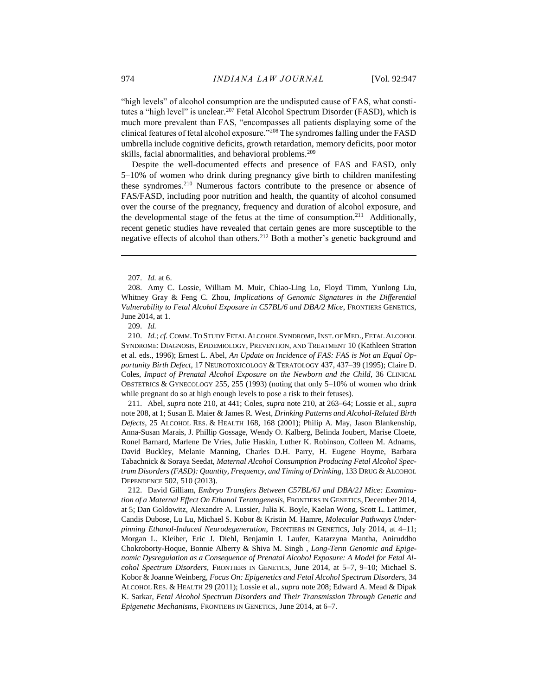"high levels" of alcohol consumption are the undisputed cause of FAS, what constitutes a "high level" is unclear.<sup>207</sup> Fetal Alcohol Spectrum Disorder (FASD), which is much more prevalent than FAS, "encompasses all patients displaying some of the clinical features of fetal alcohol exposure."<sup>208</sup> The syndromes falling under the FASD umbrella include cognitive deficits, growth retardation, memory deficits, poor motor skills, facial abnormalities, and behavioral problems.<sup>209</sup>

Despite the well-documented effects and presence of FAS and FASD, only 5–10% of women who drink during pregnancy give birth to children manifesting these syndromes.<sup>210</sup> Numerous factors contribute to the presence or absence of FAS/FASD, including poor nutrition and health, the quantity of alcohol consumed over the course of the pregnancy, frequency and duration of alcohol exposure, and the developmental stage of the fetus at the time of consumption.<sup>211</sup> Additionally, recent genetic studies have revealed that certain genes are more susceptible to the negative effects of alcohol than others.<sup>212</sup> Both a mother's genetic background and

 $\overline{a}$ 

209. *Id.*

210. *Id.*; *cf.* COMM.TO STUDY FETAL ALCOHOL SYNDROME,INST. OF MED., FETAL ALCOHOL SYNDROME: DIAGNOSIS, EPIDEMIOLOGY, PREVENTION, AND TREATMENT 10 (Kathleen Stratton et al. eds., 1996); Ernest L. Abel*, An Update on Incidence of FAS: FAS is Not an Equal Opportunity Birth Defect*, 17 NEUROTOXICOLOGY & TERATOLOGY 437, 437–39 (1995); Claire D. Coles, *Impact of Prenatal Alcohol Exposure on the Newborn and the Child*, 36 CLINICAL OBSTETRICS & GYNECOLOGY 255, 255 (1993) (noting that only 5–10% of women who drink while pregnant do so at high enough levels to pose a risk to their fetuses).

211. Abel, *supra* note 210, at 441; Coles, *supra* note 210, at 263–64; Lossie et al., *supra*  note 208, at 1; Susan E. Maier & James R. West*, Drinking Patterns and Alcohol-Related Birth Defects*, 25 ALCOHOL RES. & HEALTH 168, 168 (2001); Philip A. May, Jason Blankenship, Anna-Susan Marais, J. Phillip Gossage, Wendy O. Kalberg, Belinda Joubert, Marise Cloete, Ronel Barnard, Marlene De Vries, Julie Haskin, Luther K. Robinson, Colleen M. Adnams, David Buckley, Melanie Manning, Charles D.H. Parry, H. Eugene Hoyme, Barbara Tabachnick & Soraya Seedat, *Maternal Alcohol Consumption Producing Fetal Alcohol Spectrum Disorders (FASD): Quantity, Frequency, and Timing of Drinking*, 133 DRUG & ALCOHOL DEPENDENCE 502, 510 (2013).

212. David Gilliam, *Embryo Transfers Between C57BL/6J and DBA/2J Mice: Examination of a Maternal Effect On Ethanol Teratogenesis*, FRONTIERS IN GENETICS, December 2014, at 5; Dan Goldowitz, Alexandre A. Lussier, Julia K. Boyle, Kaelan Wong, Scott L. Lattimer, Candis Dubose, Lu Lu, Michael S. Kobor & Kristin M. Hamre, *Molecular Pathways Underpinning Ethanol-Induced Neurodegeneration*, FRONTIERS IN GENETICS, July 2014, at 4–11; Morgan L. Kleiber, Eric J. Diehl, Benjamin I. Laufer, Katarzyna Mantha, Aniruddho Chokroborty-Hoque, Bonnie Alberry & Shiva M. Singh , *Long-Term Genomic and Epigenomic Dysregulation as a Consequence of Prenatal Alcohol Exposure: A Model for Fetal Alcohol Spectrum Disorders*, FRONTIERS IN GENETICS, June 2014, at 5–7, 9–10; Michael S. Kobor & Joanne Weinberg, *Focus On: Epigenetics and Fetal Alcohol Spectrum Disorders*, 34 ALCOHOL RES. & HEALTH 29 (2011); Lossie et al., *supra* note 208; Edward A. Mead & Dipak K. Sarkar*, Fetal Alcohol Spectrum Disorders and Their Transmission Through Genetic and Epigenetic Mechanisms*, FRONTIERS IN GENETICS, June 2014, at 6–7.

<sup>207.</sup> *Id.* at 6.

<sup>208.</sup> Amy C. Lossie, William M. Muir, Chiao-Ling Lo, Floyd Timm, Yunlong Liu, Whitney Gray & Feng C. Zhou, *Implications of Genomic Signatures in the Differential Vulnerability to Fetal Alcohol Exposure in C57BL/6 and DBA/2 Mice*, FRONTIERS GENETICS, June 2014, at 1.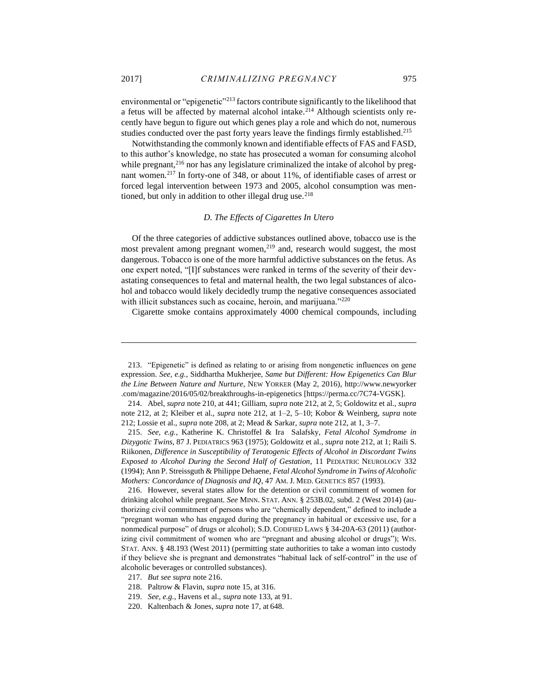environmental or "epigenetic"<sup>213</sup> factors contribute significantly to the likelihood that a fetus will be affected by maternal alcohol intake.<sup>214</sup> Although scientists only recently have begun to figure out which genes play a role and which do not, numerous studies conducted over the past forty years leave the findings firmly established.<sup>215</sup>

Notwithstanding the commonly known and identifiable effects of FAS and FASD, to this author's knowledge, no state has prosecuted a woman for consuming alcohol while pregnant,<sup>216</sup> nor has any legislature criminalized the intake of alcohol by pregnant women.<sup>217</sup> In forty-one of 348, or about 11%, of identifiable cases of arrest or forced legal intervention between 1973 and 2005, alcohol consumption was mentioned, but only in addition to other illegal drug use.<sup>218</sup>

# *D. The Effects of Cigarettes In Utero*

<span id="page-29-0"></span>Of the three categories of addictive substances outlined above, tobacco use is the most prevalent among pregnant women, $2^{19}$  and, research would suggest, the most dangerous. Tobacco is one of the more harmful addictive substances on the fetus. As one expert noted, "[I]f substances were ranked in terms of the severity of their devastating consequences to fetal and maternal health, the two legal substances of alcohol and tobacco would likely decidedly trump the negative consequences associated with illicit substances such as cocaine, heroin, and marijuana."<sup>220</sup>

Cigarette smoke contains approximately 4000 chemical compounds, including

<sup>213.</sup> "Epigenetic" is defined as relating to or arising from nongenetic influences on gene expression. *See, e.g.*, Siddhartha Mukherjee, *Same but Different: How Epigenetics Can Blur the Line Between Nature and Nurture*, NEW YORKER (May 2, 2016), http://www.newyorker .com/magazine/2016/05/02/breakthroughs-in-epigenetics [https://perma.cc/7C74-VGSK].

<sup>214.</sup> Abel, *supra* note 210, at 441; Gilliam, *supra* note 212, at 2, 5; Goldowitz et al., *supra* note 212, at 2; Kleiber et al., *supra* note 212, at 1–2, 5–10; Kobor & Weinberg, *supra* note 212; Lossie et al., *supra* note 208, at 2; Mead & Sarkar*, supra* note 212, at 1, 3–7.

<sup>215.</sup> *See, e.g.*, Katherine K. Christoffel & Ira Salafsky, *Fetal Alcohol Symdrome in Dizygotic Twins*, 87 J. PEDIATRICS 963 (1975); Goldowitz et al., *supra* note 212, at 1; Raili S. Riikonen, *Difference in Susceptibility of Teratogenic Effects of Alcohol in Discordant Twins Exposed to Alcohol During the Second Half of Gestation*, 11 PEDIATRIC NEUROLOGY 332 (1994); Ann P. Streissguth & Philippe Dehaene*, Fetal Alcohol Syndrome in Twins of Alcoholic Mothers: Concordance of Diagnosis and IQ*, 47 AM. J. MED. GENETICS 857 (1993).

<sup>216.</sup> However, several states allow for the detention or civil commitment of women for drinking alcohol while pregnant. *See* MINN. STAT. ANN. § 253B.02, subd. 2 (West 2014) (authorizing civil commitment of persons who are "chemically dependent," defined to include a "pregnant woman who has engaged during the pregnancy in habitual or excessive use, for a nonmedical purpose" of drugs or alcohol); S.D. CODIFIED LAWS § 34-20A-63 (2011) (authorizing civil commitment of women who are "pregnant and abusing alcohol or drugs"); WIS. STAT. ANN. § 48.193 (West 2011) (permitting state authorities to take a woman into custody if they believe she is pregnant and demonstrates "habitual lack of self-control" in the use of alcoholic beverages or controlled substances).

<sup>217.</sup> *But see supra* note 216.

<sup>218.</sup> Paltrow & Flavin, *supra* note 15, at 316.

<sup>219.</sup> *See, e.g.*, Havens et al., *supra* note 133, at 91.

<sup>220.</sup> Kaltenbach & Jones, *supra* note 17, at 648.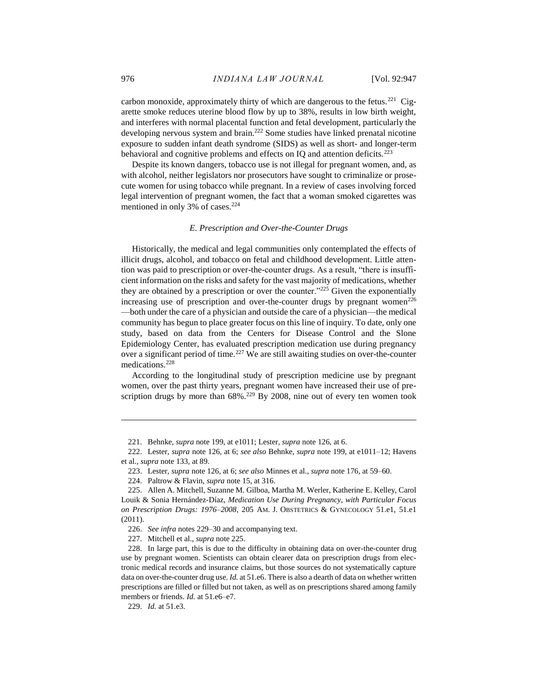carbon monoxide, approximately thirty of which are dangerous to the fetus.<sup>221</sup> Cigarette smoke reduces uterine blood flow by up to 38%, results in low birth weight, and interferes with normal placental function and fetal development, particularly the developing nervous system and brain.<sup>222</sup> Some studies have linked prenatal nicotine exposure to sudden infant death syndrome (SIDS) as well as short- and longer-term behavioral and cognitive problems and effects on IQ and attention deficits.<sup>223</sup>

Despite its known dangers, tobacco use is not illegal for pregnant women, and, as with alcohol, neither legislators nor prosecutors have sought to criminalize or prosecute women for using tobacco while pregnant. In a review of cases involving forced legal intervention of pregnant women, the fact that a woman smoked cigarettes was mentioned in only 3% of cases.<sup>224</sup>

# *E. Prescription and Over-the-Counter Drugs*

<span id="page-30-0"></span>Historically, the medical and legal communities only contemplated the effects of illicit drugs, alcohol, and tobacco on fetal and childhood development. Little attention was paid to prescription or over-the-counter drugs. As a result, "there is insufficient information on the risks and safety for the vast majority of medications, whether they are obtained by a prescription or over the counter."<sup>225</sup> Given the exponentially increasing use of prescription and over-the-counter drugs by pregnant women<sup>226</sup> —both under the care of a physician and outside the care of a physician—the medical community has begun to place greater focus on this line of inquiry. To date, only one study, based on data from the Centers for Disease Control and the Slone Epidemiology Center, has evaluated prescription medication use during pregnancy over a significant period of time.<sup>227</sup> We are still awaiting studies on over-the-counter medications.<sup>228</sup>

According to the longitudinal study of prescription medicine use by pregnant women, over the past thirty years, pregnant women have increased their use of prescription drugs by more than  $68\%$ .<sup>229</sup> By 2008, nine out of every ten women took

229. *Id.* at 51.e3.

<sup>221.</sup> Behnke, *supra* note 199, at e1011; Lester*, supra* note 126, at 6.

<sup>222.</sup> Lester, *supra* note 126, at 6; *see also* Behnke, *supra* note 199, at e1011–12; Havens et al., *supra* note 133, at 89.

<sup>223.</sup> Lester*, supra* note 126, at 6; *see also* Minnes et al., *supra* note 176, at 59–60.

<sup>224.</sup> Paltrow & Flavin, *supra* note 15, at 316.

<sup>225.</sup> Allen A. Mitchell, Suzanne M. Gilboa, Martha M. Werler, Katherine E. Kelley, Carol Louik & Sonia Hernández-Díaz, *Medication Use During Pregnancy, with Particular Focus on Prescription Drugs: 1976–2008*, 205 AM. J. OBSTETRICS & GYNECOLOGY 51.e1, 51.e1 (2011).

<sup>226.</sup> *See infra* notes 229–30 and accompanying text.

<sup>227.</sup> Mitchell et al., *supra* note 225.

<sup>228.</sup> In large part, this is due to the difficulty in obtaining data on over-the-counter drug use by pregnant women. Scientists can obtain clearer data on prescription drugs from electronic medical records and insurance claims, but those sources do not systematically capture data on over-the-counter drug use. *Id.* at 51.e6. There is also a dearth of data on whether written prescriptions are filled or filled but not taken, as well as on prescriptions shared among family members or friends. *Id.* at 51.e6–e7.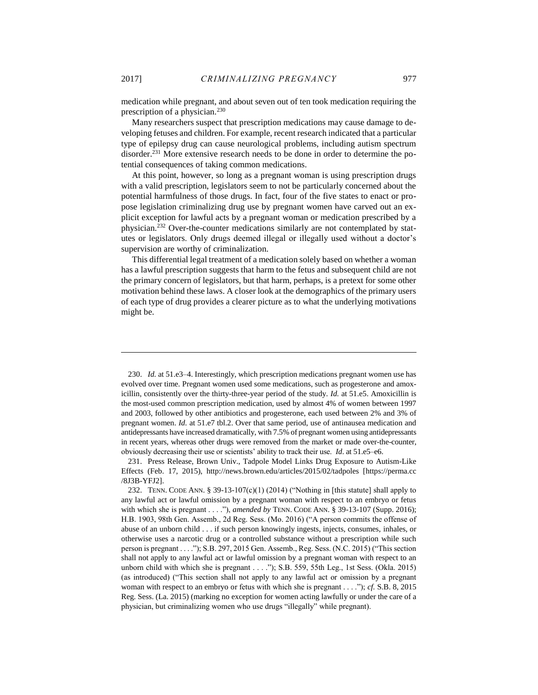medication while pregnant, and about seven out of ten took medication requiring the prescription of a physician.<sup>230</sup>

Many researchers suspect that prescription medications may cause damage to developing fetuses and children. For example, recent research indicated that a particular type of epilepsy drug can cause neurological problems, including autism spectrum disorder.<sup>231</sup> More extensive research needs to be done in order to determine the potential consequences of taking common medications.

At this point, however, so long as a pregnant woman is using prescription drugs with a valid prescription, legislators seem to not be particularly concerned about the potential harmfulness of those drugs. In fact, four of the five states to enact or propose legislation criminalizing drug use by pregnant women have carved out an explicit exception for lawful acts by a pregnant woman or medication prescribed by a physician.<sup>232</sup> Over-the-counter medications similarly are not contemplated by statutes or legislators. Only drugs deemed illegal or illegally used without a doctor's supervision are worthy of criminalization.

This differential legal treatment of a medication solely based on whether a woman has a lawful prescription suggests that harm to the fetus and subsequent child are not the primary concern of legislators, but that harm, perhaps, is a pretext for some other motivation behind these laws. A closer look at the demographics of the primary users of each type of drug provides a clearer picture as to what the underlying motivations might be.

<sup>230.</sup> *Id.* at 51.e3–4. Interestingly, which prescription medications pregnant women use has evolved over time. Pregnant women used some medications, such as progesterone and amoxicillin, consistently over the thirty-three-year period of the study. *Id.* at 51.e5. Amoxicillin is the most-used common prescription medication, used by almost 4% of women between 1997 and 2003, followed by other antibiotics and progesterone, each used between 2% and 3% of pregnant women. *Id.* at 51.e7 tbl.2. Over that same period, use of antinausea medication and antidepressants have increased dramatically, with 7.5% of pregnant women using antidepressants in recent years, whereas other drugs were removed from the market or made over-the-counter, obviously decreasing their use or scientists' ability to track their use. *Id*. at 51.e5–e6.

<sup>231.</sup> Press Release, Brown Univ., Tadpole Model Links Drug Exposure to Autism-Like Effects (Feb. 17, 2015), http://news.brown.edu/articles/2015/02/tadpoles [https://perma.cc /8J3B-YFJ2].

<sup>232.</sup> TENN. CODE ANN. § 39-13-107(c)(1) (2014) ("Nothing in [this statute] shall apply to any lawful act or lawful omission by a pregnant woman with respect to an embryo or fetus with which she is pregnant . . . ."), *amended by* TENN. CODE ANN. § 39-13-107 (Supp. 2016); H.B. 1903, 98th Gen. Assemb., 2d Reg. Sess. (Mo. 2016) ("A person commits the offense of abuse of an unborn child . . . if such person knowingly ingests, injects, consumes, inhales, or otherwise uses a narcotic drug or a controlled substance without a prescription while such person is pregnant . . . ."); S.B. 297, 2015 Gen. Assemb., Reg. Sess. (N.C. 2015) ("This section shall not apply to any lawful act or lawful omission by a pregnant woman with respect to an unborn child with which she is pregnant . . . ."); S.B. 559, 55th Leg., 1st Sess. (Okla. 2015) (as introduced) ("This section shall not apply to any lawful act or omission by a pregnant woman with respect to an embryo or fetus with which she is pregnant . . . ."); *cf.* S.B. 8, 2015 Reg. Sess. (La. 2015) (marking no exception for women acting lawfully or under the care of a physician, but criminalizing women who use drugs "illegally" while pregnant).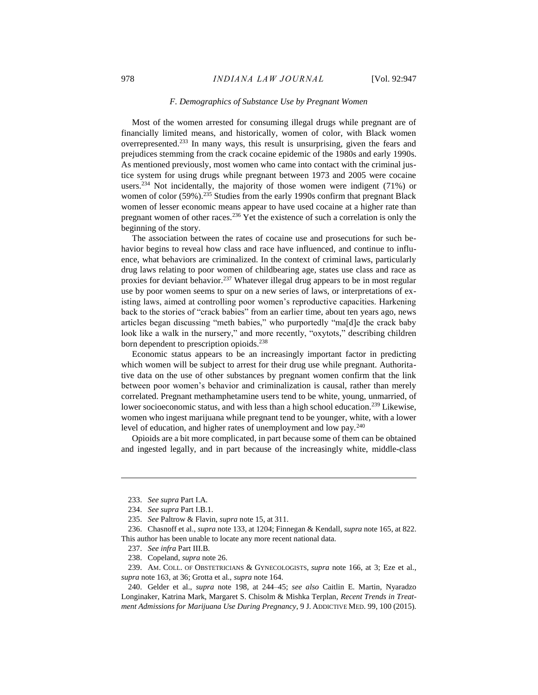#### *F. Demographics of Substance Use by Pregnant Women*

<span id="page-32-0"></span>Most of the women arrested for consuming illegal drugs while pregnant are of financially limited means, and historically, women of color, with Black women overrepresented. <sup>233</sup> In many ways, this result is unsurprising, given the fears and prejudices stemming from the crack cocaine epidemic of the 1980s and early 1990s. As mentioned previously, most women who came into contact with the criminal justice system for using drugs while pregnant between 1973 and 2005 were cocaine users.<sup>234</sup> Not incidentally, the majority of those women were indigent (71%) or women of color (59%).<sup>235</sup> Studies from the early 1990s confirm that pregnant Black women of lesser economic means appear to have used cocaine at a higher rate than pregnant women of other races.<sup>236</sup> Yet the existence of such a correlation is only the beginning of the story.

The association between the rates of cocaine use and prosecutions for such behavior begins to reveal how class and race have influenced, and continue to influence, what behaviors are criminalized. In the context of criminal laws, particularly drug laws relating to poor women of childbearing age, states use class and race as proxies for deviant behavior.<sup>237</sup> Whatever illegal drug appears to be in most regular use by poor women seems to spur on a new series of laws, or interpretations of existing laws, aimed at controlling poor women's reproductive capacities. Harkening back to the stories of "crack babies" from an earlier time, about ten years ago, news articles began discussing "meth babies," who purportedly "ma[d]e the crack baby look like a walk in the nursery," and more recently, "oxytots," describing children born dependent to prescription opioids.<sup>238</sup>

Economic status appears to be an increasingly important factor in predicting which women will be subject to arrest for their drug use while pregnant. Authoritative data on the use of other substances by pregnant women confirm that the link between poor women's behavior and criminalization is causal, rather than merely correlated. Pregnant methamphetamine users tend to be white, young, unmarried, of lower socioeconomic status, and with less than a high school education.<sup>239</sup> Likewise, women who ingest marijuana while pregnant tend to be younger, white, with a lower level of education, and higher rates of unemployment and low pay.<sup>240</sup>

Opioids are a bit more complicated, in part because some of them can be obtained and ingested legally, and in part because of the increasingly white, middle-class

 $\overline{a}$ 

238. Copeland, *supra* note 26.

<sup>233.</sup> *See supra* Part I.A.

<sup>234.</sup> *See supra* Part I.B.1.

<sup>235.</sup> *See* Paltrow & Flavin, *supra* note 15, at 311.

<sup>236.</sup> Chasnoff et al., *supra* note 133, at 1204; Finnegan & Kendall, *supra* note 165, at 822. This author has been unable to locate any more recent national data.

<sup>237.</sup> *See infra* Part III.B.

<sup>239.</sup> AM. COLL. OF OBSTETRICIANS & GYNECOLOGISTS, *supra* note 166, at 3; Eze et al., *supra* note 163, at 36; Grotta et al., *supra* note 164.

<sup>240.</sup> Gelder et al., *supra* note 198, at 244–45; *see also* Caitlin E. Martin, Nyaradzo Longinaker, Katrina Mark, Margaret S. Chisolm & Mishka Terplan, *Recent Trends in Treatment Admissions for Marijuana Use During Pregnancy*, 9 J. ADDICTIVE MED. 99, 100 (2015).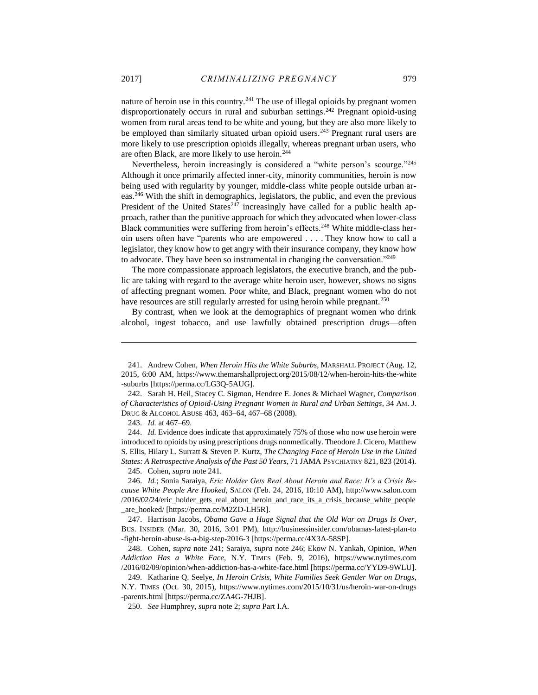nature of heroin use in this country.<sup>241</sup> The use of illegal opioids by pregnant women disproportionately occurs in rural and suburban settings.<sup>242</sup> Pregnant opioid-using women from rural areas tend to be white and young, but they are also more likely to be employed than similarly situated urban opioid users.<sup>243</sup> Pregnant rural users are more likely to use prescription opioids illegally, whereas pregnant urban users, who are often Black, are more likely to use heroin.<sup>244</sup>

Nevertheless, heroin increasingly is considered a "white person's scourge."<sup>245</sup> Although it once primarily affected inner-city, minority communities, heroin is now being used with regularity by younger, middle-class white people outside urban areas.<sup>246</sup> With the shift in demographics, legislators, the public, and even the previous President of the United States<sup>247</sup> increasingly have called for a public health approach, rather than the punitive approach for which they advocated when lower-class Black communities were suffering from heroin's effects.<sup>248</sup> White middle-class heroin users often have "parents who are empowered . . . . They know how to call a legislator, they know how to get angry with their insurance company, they know how to advocate. They have been so instrumental in changing the conversation."<sup>249</sup>

The more compassionate approach legislators, the executive branch, and the public are taking with regard to the average white heroin user, however, shows no signs of affecting pregnant women. Poor white, and Black, pregnant women who do not have resources are still regularly arrested for using heroin while pregnant.<sup>250</sup>

By contrast, when we look at the demographics of pregnant women who drink alcohol, ingest tobacco, and use lawfully obtained prescription drugs—often

 $\overline{a}$ 

245. Cohen, *supra* note 241.

246. *Id.*; Sonia Saraiya, *Eric Holder Gets Real About Heroin and Race: It's a Crisis Because White People Are Hooked*, SALON (Feb. 24, 2016, 10:10 AM), http://www.salon.com /2016/02/24/eric\_holder\_gets\_real\_about\_heroin\_and\_race\_its\_a\_crisis\_because\_white\_people \_are\_hooked/ [https://perma.cc/M2ZD-LH5R].

247. Harrison Jacobs, *Obama Gave a Huge Signal that the Old War on Drugs Is Over*, BUS. INSIDER (Mar. 30, 2016, 3:01 PM), http://businessinsider.com/obamas-latest-plan-to -fight-heroin-abuse-is-a-big-step-2016-3 [https://perma.cc/4X3A-58SP].

248. Cohen, *supra* note 241; Saraiya, *supra* note 246; Ekow N. Yankah, Opinion, *When Addiction Has a White Face*, N.Y. TIMES (Feb. 9, 2016), https://www.nytimes.com /2016/02/09/opinion/when-addiction-has-a-white-face.html [https://perma.cc/YYD9-9WLU].

249. Katharine Q. Seelye, *In Heroin Crisis, White Families Seek Gentler War on Drugs*, N.Y. TIMES (Oct. 30, 2015), https://www.nytimes.com/2015/10/31/us/heroin-war-on-drugs -parents.html [https://perma.cc/ZA4G-7HJB].

250. *See* Humphrey*, supra* note 2; *supra* Part I.A.

<sup>241.</sup> Andrew Cohen, *When Heroin Hits the White Suburbs*, MARSHALL PROJECT (Aug. 12, 2015, 6:00 AM, https://www.themarshallproject.org/2015/08/12/when-heroin-hits-the-white -suburbs [https://perma.cc/LG3Q-5AUG].

<sup>242.</sup> Sarah H. Heil, Stacey C. Sigmon, Hendree E. Jones & Michael Wagner, *Comparison of Characteristics of Opioid-Using Pregnant Women in Rural and Urban Settings*, 34 AM. J. DRUG & ALCOHOL ABUSE 463, 463–64, 467–68 (2008).

<sup>243.</sup> *Id.* at 467–69.

<sup>244.</sup> *Id.* Evidence does indicate that approximately 75% of those who now use heroin were introduced to opioids by using prescriptions drugs nonmedically. Theodore J. Cicero, Matthew S. Ellis, Hilary L. Surratt & Steven P. Kurtz, *The Changing Face of Heroin Use in the United States: A Retrospective Analysis of the Past 50 Years*, 71 JAMA PSYCHIATRY 821, 823 (2014).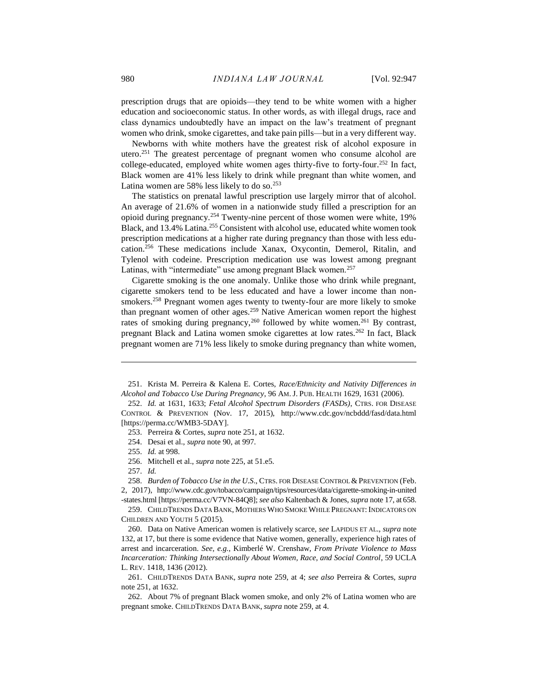prescription drugs that are opioids—they tend to be white women with a higher education and socioeconomic status. In other words, as with illegal drugs, race and class dynamics undoubtedly have an impact on the law's treatment of pregnant women who drink, smoke cigarettes, and take pain pills—but in a very different way.

Newborns with white mothers have the greatest risk of alcohol exposure in utero. <sup>251</sup> The greatest percentage of pregnant women who consume alcohol are college-educated, employed white women ages thirty-five to forty-four.<sup>252</sup> In fact, Black women are 41% less likely to drink while pregnant than white women, and Latina women are 58% less likely to do so.<sup>253</sup>

The statistics on prenatal lawful prescription use largely mirror that of alcohol. An average of 21.6% of women in a nationwide study filled a prescription for an opioid during pregnancy.<sup>254</sup> Twenty-nine percent of those women were white, 19% Black, and 13.4% Latina.<sup>255</sup> Consistent with alcohol use, educated white women took prescription medications at a higher rate during pregnancy than those with less education.<sup>256</sup> These medications include Xanax, Oxycontin, Demerol, Ritalin, and Tylenol with codeine. Prescription medication use was lowest among pregnant Latinas, with "intermediate" use among pregnant Black women.<sup>257</sup>

Cigarette smoking is the one anomaly. Unlike those who drink while pregnant, cigarette smokers tend to be less educated and have a lower income than nonsmokers.<sup>258</sup> Pregnant women ages twenty to twenty-four are more likely to smoke than pregnant women of other ages.<sup>259</sup> Native American women report the highest rates of smoking during pregnancy,<sup>260</sup> followed by white women.<sup>261</sup> By contrast, pregnant Black and Latina women smoke cigarettes at low rates.<sup>262</sup> In fact, Black pregnant women are 71% less likely to smoke during pregnancy than white women,

257. *Id.*

 $\overline{a}$ 

258. *Burden of Tobacco Use in the U.S.*, CTRS. FOR DISEASE CONTROL & PREVENTION (Feb. 2, 2017), http://www.cdc.gov/tobacco/campaign/tips/resources/data/cigarette-smoking-in-united

-states.html [https://perma.cc/V7VN-84Q8]; *see also* Kaltenbach & Jones, *supra* note 17, at 658. 259. CHILDTRENDS DATA BANK, MOTHERS WHO SMOKE WHILE PREGNANT: INDICATORS ON

CHILDREN AND YOUTH 5 (2015).

260. Data on Native American women is relatively scarce, *see* LAPIDUS ET AL., *supra* note 132, at 17, but there is some evidence that Native women, generally, experience high rates of arrest and incarceration. *See, e.g.*, Kimberlé W. Crenshaw, *From Private Violence to Mass Incarceration: Thinking Intersectionally About Women, Race, and Social Control*, 59 UCLA L. REV. 1418, 1436 (2012).

261. CHILDTRENDS DATA BANK, *supra* note 259, at 4; *see also* Perreira & Cortes, *supra*  note 251, at 1632.

262. About 7% of pregnant Black women smoke, and only 2% of Latina women who are pregnant smoke. CHILDTRENDS DATA BANK, *supra* note 259, at 4.

<sup>251.</sup> Krista M. Perreira & Kalena E. Cortes, *Race/Ethnicity and Nativity Differences in Alcohol and Tobacco Use During Pregnancy*, 96 AM. J. PUB. HEALTH 1629, 1631 (2006).

<sup>252.</sup> *Id.* at 1631, 1633; *Fetal Alcohol Spectrum Disorders (FASDs)*, CTRS. FOR DISEASE CONTROL & PREVENTION (Nov. 17, 2015), http://www.cdc.gov/ncbddd/fasd/data.html [https://perma.cc/WMB3-5DAY].

<sup>253.</sup> Perreira & Cortes, *supra* note 251, at 1632.

<sup>254.</sup> Desai et al., *supra* note 90, at 997.

<sup>255.</sup> *Id.* at 998.

<sup>256.</sup> Mitchell et al., *supra* note 225, at 51.e5.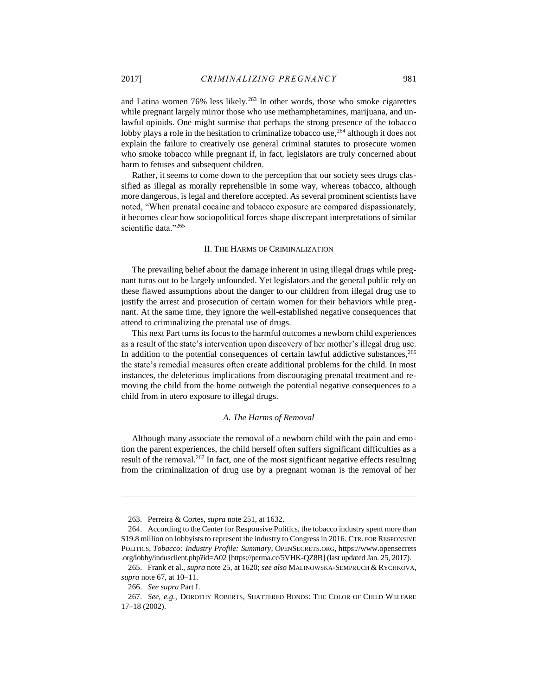and Latina women 76% less likely.<sup>263</sup> In other words, those who smoke cigarettes while pregnant largely mirror those who use methamphetamines, marijuana, and unlawful opioids. One might surmise that perhaps the strong presence of the tobacco lobby plays a role in the hesitation to criminalize tobacco use,  $264$  although it does not explain the failure to creatively use general criminal statutes to prosecute women who smoke tobacco while pregnant if, in fact, legislators are truly concerned about harm to fetuses and subsequent children.

Rather, it seems to come down to the perception that our society sees drugs classified as illegal as morally reprehensible in some way, whereas tobacco, although more dangerous, is legal and therefore accepted. As several prominent scientists have noted, "When prenatal cocaine and tobacco exposure are compared dispassionately, it becomes clear how sociopolitical forces shape discrepant interpretations of similar scientific data."265

#### II. THE HARMS OF CRIMINALIZATION

<span id="page-35-0"></span>The prevailing belief about the damage inherent in using illegal drugs while pregnant turns out to be largely unfounded. Yet legislators and the general public rely on these flawed assumptions about the danger to our children from illegal drug use to justify the arrest and prosecution of certain women for their behaviors while pregnant. At the same time, they ignore the well-established negative consequences that attend to criminalizing the prenatal use of drugs.

This next Part turns its focus to the harmful outcomes a newborn child experiences as a result of the state's intervention upon discovery of her mother's illegal drug use. In addition to the potential consequences of certain lawful addictive substances,<sup>266</sup> the state's remedial measures often create additional problems for the child. In most instances, the deleterious implications from discouraging prenatal treatment and removing the child from the home outweigh the potential negative consequences to a child from in utero exposure to illegal drugs.

## *A. The Harms of Removal*

<span id="page-35-1"></span>Although many associate the removal of a newborn child with the pain and emotion the parent experiences, the child herself often suffers significant difficulties as a result of the removal.<sup>267</sup> In fact, one of the most significant negative effects resulting from the criminalization of drug use by a pregnant woman is the removal of her

<sup>263.</sup> Perreira & Cortes, *supra* note 251, at 1632.

<sup>264.</sup> According to the Center for Responsive Politics, the tobacco industry spent more than \$19.8 million on lobbyists to represent the industry to Congress in 2016. CTR. FOR RESPONSIVE POLITICS, *Tobacco: Industry Profile: Summary*, OPENSECRETS.ORG, https://www.opensecrets .org/lobby/indusclient.php?id=A02 [https://perma.cc/5VHK-QZ8B] (last updated Jan. 25, 2017).

<sup>265.</sup> Frank et al., *supra* note 25, at 1620; *see also* MALINOWSKA-SEMPRUCH & RYCHKOVA, *supra* note 67, at 10–11.

<sup>266.</sup> *See supra* Part I.

<sup>267.</sup> *See, e.g.*, DOROTHY ROBERTS, SHATTERED BONDS: THE COLOR OF CHILD WELFARE 17–18 (2002).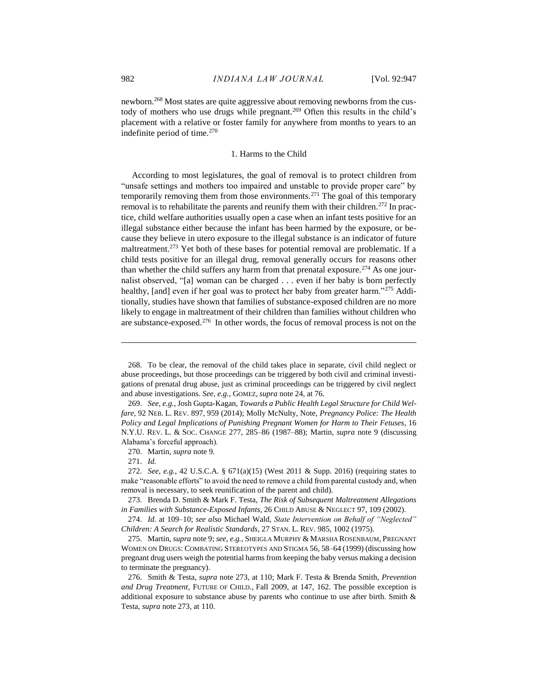newborn.<sup>268</sup> Most states are quite aggressive about removing newborns from the custody of mothers who use drugs while pregnant.<sup>269</sup> Often this results in the child's placement with a relative or foster family for anywhere from months to years to an indefinite period of time.<sup>270</sup>

# 1. Harms to the Child

<span id="page-36-0"></span>According to most legislatures, the goal of removal is to protect children from "unsafe settings and mothers too impaired and unstable to provide proper care" by temporarily removing them from those environments.<sup>271</sup> The goal of this temporary removal is to rehabilitate the parents and reunify them with their children.<sup>272</sup> In practice, child welfare authorities usually open a case when an infant tests positive for an illegal substance either because the infant has been harmed by the exposure, or because they believe in utero exposure to the illegal substance is an indicator of future maltreatment.<sup>273</sup> Yet both of these bases for potential removal are problematic. If a child tests positive for an illegal drug, removal generally occurs for reasons other than whether the child suffers any harm from that prenatal exposure.<sup>274</sup> As one journalist observed, "[a] woman can be charged . . . even if her baby is born perfectly healthy, [and] even if her goal was to protect her baby from greater harm."<sup>275</sup> Additionally, studies have shown that families of substance-exposed children are no more likely to engage in maltreatment of their children than families without children who are substance-exposed.<sup>276</sup> In other words, the focus of removal process is not on the

271. *Id.*

<sup>268.</sup> To be clear, the removal of the child takes place in separate, civil child neglect or abuse proceedings, but those proceedings can be triggered by both civil and criminal investigations of prenatal drug abuse, just as criminal proceedings can be triggered by civil neglect and abuse investigations. *See, e.g.*, GOMEZ, *supra* note 24, at 76.

<sup>269.</sup> *See, e.g.*, Josh Gupta-Kagan, *Towards a Public Health Legal Structure for Child Welfare*, 92 NEB. L. REV. 897, 959 (2014); Molly McNulty, Note, *Pregnancy Police: The Health Policy and Legal Implications of Punishing Pregnant Women for Harm to Their Fetuses*, 16 N.Y.U. REV. L. & SOC. CHANGE 277, 285–86 (1987–88); Martin, *supra* note 9 (discussing Alabama's forceful approach).

<sup>270.</sup> Martin, *supra* note 9.

<sup>272.</sup> *See, e.g.*, 42 U.S.C.A. § 671(a)(15) (West 2011 & Supp. 2016) (requiring states to make "reasonable efforts" to avoid the need to remove a child from parental custody and, when removal is necessary, to seek reunification of the parent and child).

<sup>273.</sup> Brenda D. Smith & Mark F. Testa*, The Risk of Subsequent Maltreatment Allegations in Families with Substance-Exposed Infants*, 26 CHILD ABUSE & NEGLECT 97, 109 (2002).

<sup>274.</sup> *Id.* at 109–10; *see also* Michael Wald, *State Intervention on Behalf of "Neglected" Children: A Search for Realistic Standards*, 27 STAN. L. REV. 985, 1002 (1975).

<sup>275.</sup> Martin, *supra* note 9; *see, e.g.*, SHEIGLA MURPHY & MARSHA ROSENBAUM, PREGNANT WOMEN ON DRUGS: COMBATING STEREOTYPES AND STIGMA 56, 58–64 (1999) (discussing how pregnant drug users weigh the potential harms from keeping the baby versus making a decision to terminate the pregnancy).

<sup>276.</sup> Smith & Testa, *supra* note 273, at 110; Mark F. Testa & Brenda Smith, *Prevention and Drug Treatment*, FUTURE OF CHILD., Fall 2009, at 147, 162. The possible exception is additional exposure to substance abuse by parents who continue to use after birth. Smith & Testa*, supra* note 273, at 110.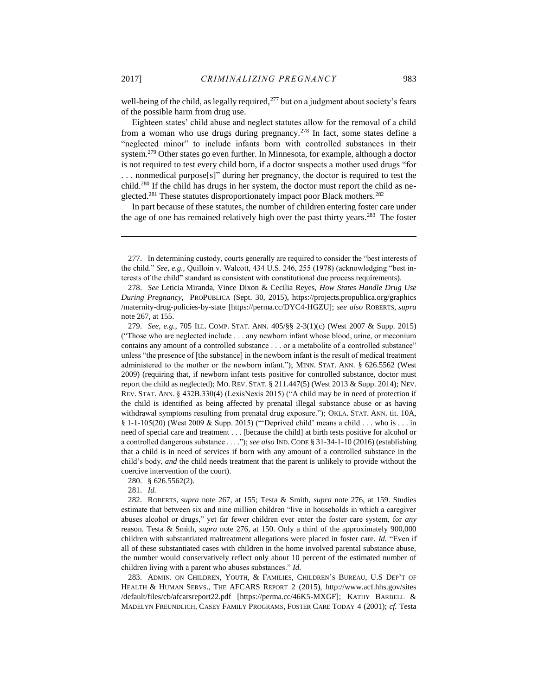well-being of the child, as legally required,<sup>277</sup> but on a judgment about society's fears of the possible harm from drug use.

Eighteen states' child abuse and neglect statutes allow for the removal of a child from a woman who use drugs during pregnancy.<sup>278</sup> In fact, some states define a "neglected minor" to include infants born with controlled substances in their system.<sup>279</sup> Other states go even further. In Minnesota, for example, although a doctor is not required to test every child born, if a doctor suspects a mother used drugs "for . . . nonmedical purpose[s]" during her pregnancy, the doctor is required to test the child.<sup>280</sup> If the child has drugs in her system, the doctor must report the child as neglected.<sup>281</sup> These statutes disproportionately impact poor Black mothers.<sup>282</sup>

In part because of these statutes, the number of children entering foster care under the age of one has remained relatively high over the past thirty years.<sup>283</sup> The foster

280. § 626.5562(2).

281. *Id.*

283. ADMIN. ON CHILDREN, YOUTH, & FAMILIES, CHILDREN'S BUREAU, U.S DEP'T OF HEALTH & HUMAN SERVS., THE AFCARS REPORT 2 (2015), http://www.acf.hhs.gov/sites /default/files/cb/afcarsreport22.pdf [https://perma.cc/46K5-MXGF]; KATHY BARBELL & MADELYN FREUNDLICH, CASEY FAMILY PROGRAMS, FOSTER CARE TODAY 4 (2001); *cf.* Testa

<sup>277.</sup> In determining custody, courts generally are required to consider the "best interests of the child." *See, e.g.*, Quilloin v. Walcott, 434 U.S. 246, 255 (1978) (acknowledging "best interests of the child" standard as consistent with constitutional due process requirements).

<sup>278.</sup> *See* Leticia Miranda, Vince Dixon & Cecilia Reyes, *How States Handle Drug Use During Pregnancy*, PROPUBLICA (Sept. 30, 2015), https://projects.propublica.org/graphics /maternity-drug-policies-by-state [https://perma.cc/DYC4-HGZU]; *see also* ROBERTS, *supra*  note 267, at 155.

<sup>279.</sup> *See, e.g.*, 705 ILL. COMP. STAT. ANN. 405/§§ 2-3(1)(c) (West 2007 & Supp. 2015) ("Those who are neglected include . . . any newborn infant whose blood, urine, or meconium contains any amount of a controlled substance . . . or a metabolite of a controlled substance" unless "the presence of [the substance] in the newborn infant is the result of medical treatment administered to the mother or the newborn infant."); MINN. STAT. ANN. § 626.5562 (West 2009) (requiring that, if newborn infant tests positive for controlled substance, doctor must report the child as neglected); MO. REV. STAT. § 211.447(5) (West 2013 & Supp. 2014); NEV. REV. STAT. ANN. § 432B.330(4) (LexisNexis 2015) ("A child may be in need of protection if the child is identified as being affected by prenatal illegal substance abuse or as having withdrawal symptoms resulting from prenatal drug exposure."); OKLA. STAT. ANN. tit. 10A, § 1-1-105(20) (West 2009 & Supp. 2015) ("Deprived child' means a child . . . who is . . . in need of special care and treatment . . . [because the child] at birth tests positive for alcohol or a controlled dangerous substance . . . ."); *see also* IND. CODE § 31-34-1-10 (2016) (establishing that a child is in need of services if born with any amount of a controlled substance in the child's body, *and* the child needs treatment that the parent is unlikely to provide without the coercive intervention of the court).

<sup>282.</sup> ROBERTS, *supra* note 267, at 155; Testa & Smith, *supra* note 276, at 159. Studies estimate that between six and nine million children "live in households in which a caregiver abuses alcohol or drugs," yet far fewer children ever enter the foster care system, for *any*  reason. Testa & Smith, *supra* note 276, at 150. Only a third of the approximately 900,000 children with substantiated maltreatment allegations were placed in foster care. *Id.* "Even if all of these substantiated cases with children in the home involved parental substance abuse, the number would conservatively reflect only about 10 percent of the estimated number of children living with a parent who abuses substances." *Id.*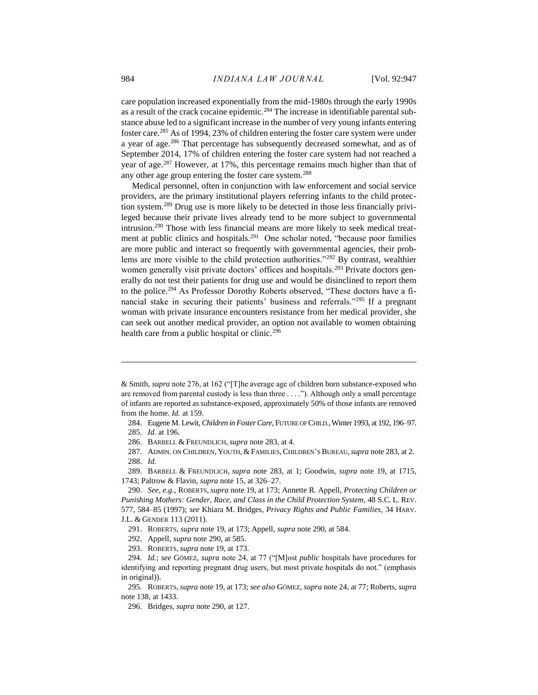care population increased exponentially from the mid-1980s through the early 1990s as a result of the crack cocaine epidemic.<sup>284</sup> The increase in identifiable parental substance abuse led to a significant increase in the number of very young infants entering foster care.<sup>285</sup> As of 1994, 23% of children entering the foster care system were under a year of age.<sup>286</sup> That percentage has subsequently decreased somewhat, and as of September 2014, 17% of children entering the foster care system had not reached a year of age.<sup>287</sup> However, at 17%, this percentage remains much higher than that of any other age group entering the foster care system.<sup>288</sup>

Medical personnel, often in conjunction with law enforcement and social service providers, are the primary institutional players referring infants to the child protection system.<sup>289</sup> Drug use is more likely to be detected in those less financially privileged because their private lives already tend to be more subject to governmental intrusion.<sup>290</sup> Those with less financial means are more likely to seek medical treatment at public clinics and hospitals.<sup>291</sup> One scholar noted, "because poor families are more public and interact so frequently with governmental agencies, their problems are more visible to the child protection authorities."<sup>292</sup> By contrast, wealthier women generally visit private doctors' offices and hospitals.<sup>293</sup> Private doctors generally do not test their patients for drug use and would be disinclined to report them to the police.<sup>294</sup> As Professor Dorothy Roberts observed, "These doctors have a financial stake in securing their patients' business and referrals."<sup>295</sup> If a pregnant woman with private insurance encounters resistance from her medical provider, she can seek out another medical provider, an option not available to women obtaining health care from a public hospital or clinic.<sup>296</sup>

284. Eugene M. Lewit, *Children in Foster Care*, FUTURE OF CHILD.,Winter 1993, at 192, 196–97.

 $\overline{a}$ 

286. BARBELL & FREUNDLICH, *supra* note 283, at 4.

287. ADMIN. ON CHILDREN, YOUTH, & FAMILIES, CHILDREN'S BUREAU,*supra* note 283, at 2. 288. *Id.*

289. BARBELL & FREUNDLICH, *supra* note 283, at 1; Goodwin, *supra* note 19, at 1715, 1743; Paltrow & Flavin, *supra* note 15, at 326–27.

290. *See, e.g.*, ROBERTS, *supra* note 19, at 173; Annette R. Appell, *Protecting Children or Punishing Mothers: Gender, Race, and Class in the Child Protection System*, 48 S.C. L. REV. 577, 584–85 (1997); *see* Khiara M. Bridges, *Privacy Rights and Public Families*, 34 HARV. J.L. & GENDER 113 (2011).

291. ROBERTS, *supra* note 19, at 173; Appell, *supra* note 290, at 584.

292. Appell, *supra* note 290, at 585.

293. ROBERTS, *supra* note 19, at 173.

296. Bridges, *supra* note 290, at 127.

<sup>&</sup>amp; Smith, *supra* note 276, at 162 ("[T]he average age of children born substance-exposed who are removed from parental custody is less than three . . . ."). Although only a small percentage of infants are reported as substance-exposed, approximately 50% of those infants are removed from the home. *Id.* at 159.

<sup>285.</sup> *Id.* at 196.

<sup>294.</sup> *Id.*; *see* GÓMEZ, *supra* note 24, at 77 ("[M]ost *public* hospitals have procedures for identifying and reporting pregnant drug users, but most private hospitals do not." (emphasis in original)).

<sup>295.</sup> ROBERTS,*supra* note 19, at 173; *see also* GÓMEZ, *supra* note 24, at 77; Roberts, *supra*  note 138, at 1433.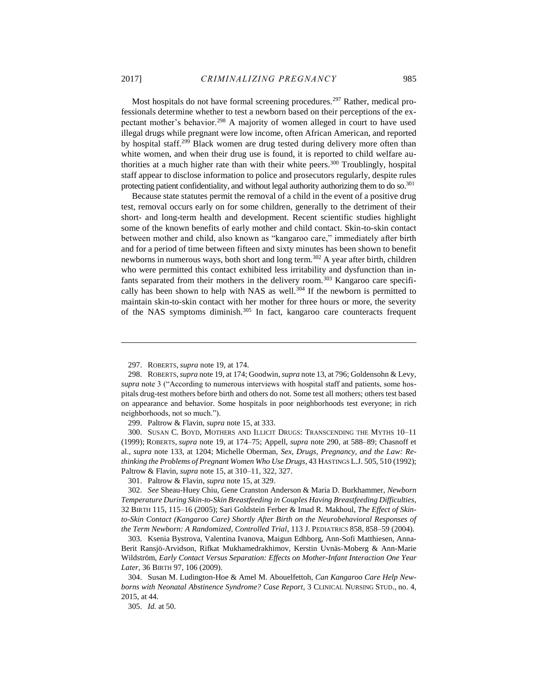Most hospitals do not have formal screening procedures.<sup>297</sup> Rather, medical professionals determine whether to test a newborn based on their perceptions of the expectant mother's behavior.<sup>298</sup> A majority of women alleged in court to have used illegal drugs while pregnant were low income, often African American, and reported by hospital staff.<sup>299</sup> Black women are drug tested during delivery more often than white women, and when their drug use is found, it is reported to child welfare authorities at a much higher rate than with their white peers.<sup>300</sup> Troublingly, hospital staff appear to disclose information to police and prosecutors regularly, despite rules protecting patient confidentiality, and without legal authority authorizing them to do so.<sup>301</sup>

Because state statutes permit the removal of a child in the event of a positive drug test, removal occurs early on for some children, generally to the detriment of their short- and long-term health and development. Recent scientific studies highlight some of the known benefits of early mother and child contact. Skin-to-skin contact between mother and child, also known as "kangaroo care," immediately after birth and for a period of time between fifteen and sixty minutes has been shown to benefit newborns in numerous ways, both short and long term.<sup>302</sup> A year after birth, children who were permitted this contact exhibited less irritability and dysfunction than infants separated from their mothers in the delivery room.<sup>303</sup> Kangaroo care specifically has been shown to help with NAS as well.<sup>304</sup> If the newborn is permitted to maintain skin-to-skin contact with her mother for three hours or more, the severity of the NAS symptoms diminish.<sup>305</sup> In fact, kangaroo care counteracts frequent

 $\overline{a}$ 

300. SUSAN C. BOYD, MOTHERS AND ILLICIT DRUGS: TRANSCENDING THE MYTHS 10–11 (1999); ROBERTS, *supra* note 19, at 174–75; Appell, *supra* note 290, at 588–89; Chasnoff et al., *supra* note 133, at 1204; Michelle Oberman, *Sex, Drugs, Pregnancy, and the Law: Rethinking the Problems of Pregnant Women Who Use Drugs*, 43 HASTINGS L.J. 505, 510 (1992); Paltrow & Flavin, *supra* note 15, at 310–11, 322, 327.

301. Paltrow & Flavin, *supra* note 15, at 329.

302. *See* Sheau-Huey Chiu, Gene Cranston Anderson & Maria D. Burkhammer, *Newborn Temperature During Skin-to-Skin Breastfeeding in Couples Having Breastfeeding Difficulties*, 32 BIRTH 115, 115–16 (2005); Sari Goldstein Ferber & Imad R. Makhoul, *The Effect of Skinto-Skin Contact (Kangaroo Care) Shortly After Birth on the Neurobehavioral Responses of the Term Newborn: A Randomized, Controlled Trial*, 113 J. PEDIATRICS 858, 858–59 (2004).

303. Ksenia Bystrova, Valentina Ivanova, Maigun Edhborg, Ann-Sofi Matthiesen, Anna-Berit Ransjö-Arvidson, Rifkat Mukhamedrakhimov, Kerstin Uvnäs-Moberg & Ann-Marie Wildström, *Early Contact Versus Separation: Effects on Mother-Infant Interaction One Year Later*, 36 BIRTH 97, 106 (2009).

304. Susan M. Ludington-Hoe & Amel M. Abouelfettoh, *Can Kangaroo Care Help Newborns with Neonatal Abstinence Syndrome? Case Report*, 3 CLINICAL NURSING STUD., no. 4, 2015, at 44.

305. *Id.* at 50.

<sup>297.</sup> ROBERTS, *supra* note 19, at 174.

<sup>298.</sup> ROBERTS,*supra* note 19, at 174; Goodwin, *supra* note 13, at 796; Goldensohn & Levy, *supra* note 3 ("According to numerous interviews with hospital staff and patients, some hospitals drug-test mothers before birth and others do not. Some test all mothers; others test based on appearance and behavior. Some hospitals in poor neighborhoods test everyone; in rich neighborhoods, not so much.").

<sup>299.</sup> Paltrow & Flavin, *supra* note 15, at 333.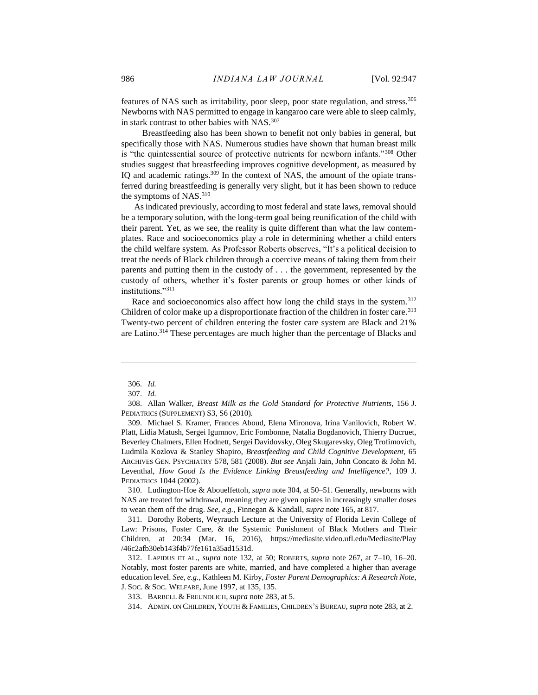features of NAS such as irritability, poor sleep, poor state regulation, and stress.<sup>306</sup> Newborns with NAS permitted to engage in kangaroo care were able to sleep calmly, in stark contrast to other babies with NAS.<sup>307</sup>

Breastfeeding also has been shown to benefit not only babies in general, but specifically those with NAS. Numerous studies have shown that human breast milk is "the quintessential source of protective nutrients for newborn infants."<sup>308</sup> Other studies suggest that breastfeeding improves cognitive development, as measured by IQ and academic ratings.<sup>309</sup> In the context of NAS, the amount of the opiate transferred during breastfeeding is generally very slight, but it has been shown to reduce the symptoms of NAS.<sup>310</sup>

As indicated previously, according to most federal and state laws, removal should be a temporary solution, with the long-term goal being reunification of the child with their parent. Yet, as we see, the reality is quite different than what the law contemplates. Race and socioeconomics play a role in determining whether a child enters the child welfare system. As Professor Roberts observes, "It's a political decision to treat the needs of Black children through a coercive means of taking them from their parents and putting them in the custody of . . . the government, represented by the custody of others, whether it's foster parents or group homes or other kinds of institutions."<sup>311</sup>

Race and socioeconomics also affect how long the child stays in the system.<sup>312</sup> Children of color make up a disproportionate fraction of the children in foster care.<sup>313</sup> Twenty-two percent of children entering the foster care system are Black and 21% are Latino.<sup>314</sup> These percentages are much higher than the percentage of Blacks and

 $\overline{a}$ 

310. Ludington-Hoe & Abouelfettoh, *supra* note 304, at 50–51. Generally, newborns with NAS are treated for withdrawal, meaning they are given opiates in increasingly smaller doses to wean them off the drug. *See, e.g.*, Finnegan & Kandall, *supra* note 165, at 817.

311. Dorothy Roberts, Weyrauch Lecture at the University of Florida Levin College of Law: Prisons, Foster Care, & the Systemic Punishment of Black Mothers and Their Children, at 20:34 (Mar. 16, 2016), https://mediasite.video.ufl.edu/Mediasite/Play /46c2afb30eb143f4b77fe161a35ad1531d.

<sup>306.</sup> *Id.*

<sup>307.</sup> *Id.*

<sup>308.</sup> Allan Walker, *Breast Milk as the Gold Standard for Protective Nutrients*, 156 J. PEDIATRICS (SUPPLEMENT) S3, S6 (2010).

<sup>309.</sup> Michael S. Kramer, Frances Aboud, Elena Mironova, Irina Vanilovich, Robert W. Platt, Lidia Matush, Sergei Igumnov, Eric Fombonne, Natalia Bogdanovich, Thierry Ducruet, Beverley Chalmers, Ellen Hodnett, Sergei Davidovsky, Oleg Skugarevsky, Oleg Trofimovich, Ludmila Kozlova & Stanley Shapiro, *Breastfeeding and Child Cognitive Development*, 65 ARCHIVES GEN. PSYCHIATRY 578, 581 (2008). *But see* Anjali Jain, John Concato & John M. Leventhal, *How Good Is the Evidence Linking Breastfeeding and Intelligence?*, 109 J. PEDIATRICS 1044 (2002).

<sup>312.</sup> LAPIDUS ET AL., *supra* note 132, at 50; ROBERTS, *supra* note 267, at 7–10, 16–20. Notably, most foster parents are white, married, and have completed a higher than average education level. *See, e.g.*, Kathleen M. Kirby, *Foster Parent Demographics: A Research Note*, J. SOC. & SOC. WELFARE, June 1997, at 135, 135.

<sup>313.</sup> BARBELL & FREUNDLICH, *supra* note 283, at 5.

<sup>314.</sup> ADMIN. ON CHILDREN, YOUTH & FAMILIES, CHILDREN'S BUREAU, *supra* note 283, at 2.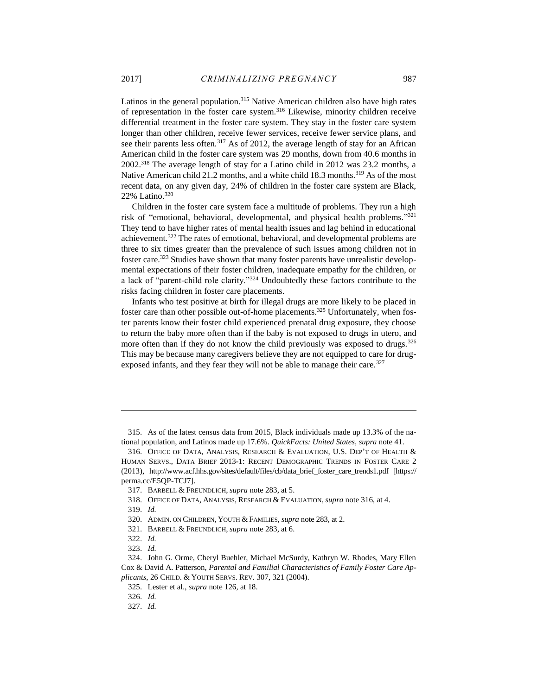Latinos in the general population.<sup>315</sup> Native American children also have high rates of representation in the foster care system.<sup>316</sup> Likewise, minority children receive differential treatment in the foster care system. They stay in the foster care system longer than other children, receive fewer services, receive fewer service plans, and see their parents less often.<sup>317</sup> As of 2012, the average length of stay for an African American child in the foster care system was 29 months, down from 40.6 months in 2002.<sup>318</sup> The average length of stay for a Latino child in 2012 was 23.2 months, a Native American child 21.2 months, and a white child 18.3 months.<sup>319</sup> As of the most recent data, on any given day, 24% of children in the foster care system are Black, 22% Latino.<sup>320</sup>

Children in the foster care system face a multitude of problems. They run a high risk of "emotional, behavioral, developmental, and physical health problems." 321 They tend to have higher rates of mental health issues and lag behind in educational achievement.<sup>322</sup> The rates of emotional, behavioral, and developmental problems are three to six times greater than the prevalence of such issues among children not in foster care.<sup>323</sup> Studies have shown that many foster parents have unrealistic developmental expectations of their foster children, inadequate empathy for the children, or a lack of "parent-child role clarity."<sup>324</sup> Undoubtedly these factors contribute to the risks facing children in foster care placements.

Infants who test positive at birth for illegal drugs are more likely to be placed in foster care than other possible out-of-home placements.<sup>325</sup> Unfortunately, when foster parents know their foster child experienced prenatal drug exposure, they choose to return the baby more often than if the baby is not exposed to drugs in utero, and more often than if they do not know the child previously was exposed to drugs.<sup>326</sup> This may be because many caregivers believe they are not equipped to care for drugexposed infants, and they fear they will not be able to manage their care.<sup>327</sup>

<sup>315.</sup> As of the latest census data from 2015, Black individuals made up 13.3% of the national population, and Latinos made up 17.6%. *QuickFacts: United States*, *supra* note 41.

<sup>316.</sup> OFFICE OF DATA, ANALYSIS, RESEARCH & EVALUATION, U.S. DEP'T OF HEALTH & HUMAN SERVS., DATA BRIEF 2013-1: RECENT DEMOGRAPHIC TRENDS IN FOSTER CARE 2 (2013), http://www.acf.hhs.gov/sites/default/files/cb/data\_brief\_foster\_care\_trends1.pdf [https:// perma.cc/E5QP-TCJ7].

<sup>317.</sup> BARBELL & FREUNDLICH, *supra* note 283, at 5.

<sup>318.</sup> OFFICE OF DATA, ANALYSIS, RESEARCH & EVALUATION, *supra* note 316, at 4. 319. *Id.*

<sup>320.</sup> ADMIN. ON CHILDREN, YOUTH & FAMILIES, *supra* note 283, at 2.

<sup>321.</sup> BARBELL & FREUNDLICH, *supra* note 283, at 6.

<sup>322.</sup> *Id.*

<sup>323.</sup> *Id.*

<sup>324.</sup> John G. Orme, Cheryl Buehler, Michael McSurdy, Kathryn W. Rhodes, Mary Ellen Cox & David A. Patterson, *Parental and Familial Characteristics of Family Foster Care Applicants*, 26 CHILD. & YOUTH SERVS. REV. 307, 321 (2004).

<sup>325.</sup> Lester et al., *supra* note 126, at 18.

<sup>326.</sup> *Id.*

<sup>327.</sup> *Id.*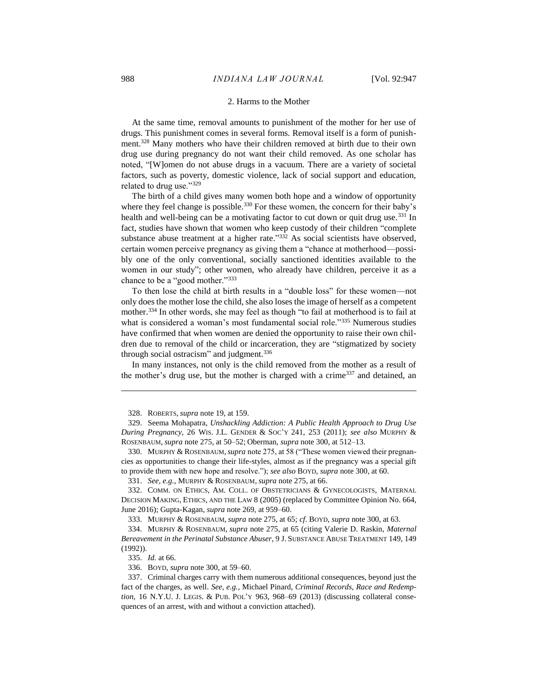#### 2. Harms to the Mother

<span id="page-42-0"></span>At the same time, removal amounts to punishment of the mother for her use of drugs. This punishment comes in several forms. Removal itself is a form of punishment.<sup>328</sup> Many mothers who have their children removed at birth due to their own drug use during pregnancy do not want their child removed. As one scholar has noted, "[W]omen do not abuse drugs in a vacuum. There are a variety of societal factors, such as poverty, domestic violence, lack of social support and education, related to drug use."<sup>329</sup>

The birth of a child gives many women both hope and a window of opportunity where they feel change is possible.<sup>330</sup> For these women, the concern for their baby's health and well-being can be a motivating factor to cut down or quit drug use.<sup>331</sup> In fact, studies have shown that women who keep custody of their children "complete substance abuse treatment at a higher rate."<sup>332</sup> As social scientists have observed, certain women perceive pregnancy as giving them a "chance at motherhood—possibly one of the only conventional, socially sanctioned identities available to the women in our study"; other women, who already have children, perceive it as a chance to be a "good mother."<sup>333</sup>

To then lose the child at birth results in a "double loss" for these women—not only does the mother lose the child, she also loses the image of herself as a competent mother.<sup>334</sup> In other words, she may feel as though "to fail at motherhood is to fail at what is considered a woman's most fundamental social role."<sup>335</sup> Numerous studies have confirmed that when women are denied the opportunity to raise their own children due to removal of the child or incarceration, they are "stigmatized by society through social ostracism" and judgment. $336$ 

In many instances, not only is the child removed from the mother as a result of the mother's drug use, but the mother is charged with a crime<sup>337</sup> and detained, an

331. *See, e.g.*, MURPHY & ROSENBAUM, *supra* note 275, at 66.

<sup>328.</sup> ROBERTS, *supra* note 19, at 159.

<sup>329.</sup> Seema Mohapatra, *Unshackling Addiction: A Public Health Approach to Drug Use During Pregnancy*, 26 WIS. J.L. GENDER & SOC'Y 241, 253 (2011); *see also* MURPHY & ROSENBAUM, *supra* note 275, at 50–52; Oberman, *supra* note 300, at 512–13.

<sup>330.</sup> MURPHY & ROSENBAUM,*supra* note 275, at 58 ("These women viewed their pregnancies as opportunities to change their life-styles, almost as if the pregnancy was a special gift to provide them with new hope and resolve."); *see also* BOYD, *supra* note 300, at 60.

<sup>332.</sup> COMM. ON ETHICS, AM. COLL. OF OBSTETRICIANS & GYNECOLOGISTS, MATERNAL DECISION MAKING, ETHICS, AND THE LAW 8 (2005) (replaced by Committee Opinion No. 664, June 2016); Gupta-Kagan, *supra* note 269, at 959–60.

<sup>333.</sup> MURPHY & ROSENBAUM, *supra* note 275, at 65; *cf*. BOYD, *supra* note 300, at 63.

<sup>334.</sup> MURPHY & ROSENBAUM, *supra* note 275, at 65 (citing Valerie D. Raskin, *Maternal Bereavement in the Perinatal Substance Abuser*, 9 J. SUBSTANCE ABUSE TREATMENT 149, 149 (1992)).

<sup>335.</sup> *Id.* at 66.

<sup>336.</sup> BOYD, *supra* note 300, at 59–60.

<sup>337.</sup> Criminal charges carry with them numerous additional consequences, beyond just the fact of the charges, as well. *See, e.g.*, Michael Pinard, *Criminal Records, Race and Redemption*, 16 N.Y.U. J. Legis. & PUB. POL'Y 963, 968–69 (2013) (discussing collateral consequences of an arrest, with and without a conviction attached).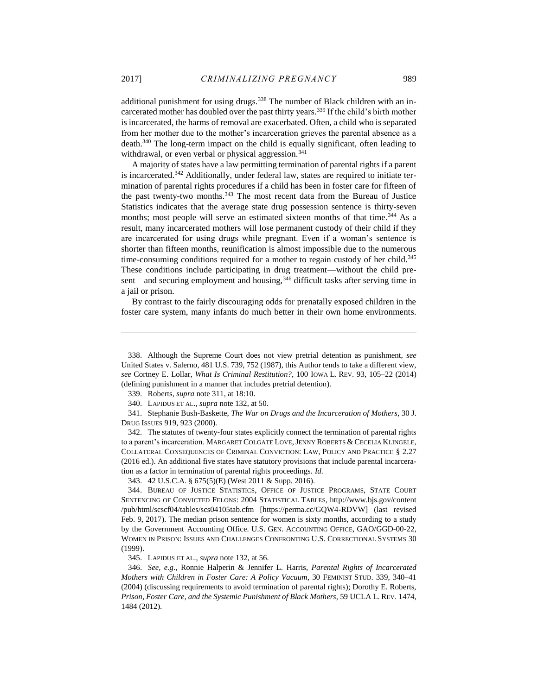additional punishment for using drugs.<sup>338</sup> The number of Black children with an incarcerated mother has doubled over the past thirty years.<sup>339</sup> If the child's birth mother is incarcerated, the harms of removal are exacerbated. Often, a child who is separated from her mother due to the mother's incarceration grieves the parental absence as a death.<sup>340</sup> The long-term impact on the child is equally significant, often leading to withdrawal, or even verbal or physical aggression.<sup>341</sup>

A majority of states have a law permitting termination of parental rights if a parent is incarcerated.<sup>342</sup> Additionally, under federal law, states are required to initiate termination of parental rights procedures if a child has been in foster care for fifteen of the past twenty-two months.<sup>343</sup> The most recent data from the Bureau of Justice Statistics indicates that the average state drug possession sentence is thirty-seven months; most people will serve an estimated sixteen months of that time.<sup>344</sup> As a result, many incarcerated mothers will lose permanent custody of their child if they are incarcerated for using drugs while pregnant. Even if a woman's sentence is shorter than fifteen months, reunification is almost impossible due to the numerous time-consuming conditions required for a mother to regain custody of her child.<sup>345</sup> These conditions include participating in drug treatment—without the child present—and securing employment and housing,<sup>346</sup> difficult tasks after serving time in a jail or prison.

By contrast to the fairly discouraging odds for prenatally exposed children in the foster care system, many infants do much better in their own home environments.

343. 42 U.S.C.A. § 675(5)(E) (West 2011 & Supp. 2016).

345. LAPIDUS ET AL., *supra* note 132, at 56.

346. *See, e.g.*, Ronnie Halperin & Jennifer L. Harris, *Parental Rights of Incarcerated Mothers with Children in Foster Care: A Policy Vacuum*, 30 FEMINIST STUD. 339, 340–41 (2004) (discussing requirements to avoid termination of parental rights); Dorothy E. Roberts, *Prison, Foster Care, and the Systemic Punishment of Black Mothers*, 59 UCLA L. REV. 1474, 1484 (2012).

<sup>338.</sup> Although the Supreme Court does not view pretrial detention as punishment, *see* United States v. Salerno, 481 U.S. 739, 752 (1987), this Author tends to take a different view, *see* Cortney E. Lollar, *What Is Criminal Restitution?*, 100 IOWA L. REV. 93, 105–22 (2014) (defining punishment in a manner that includes pretrial detention).

<sup>339.</sup> Roberts, *supra* note 311, at 18:10.

<sup>340.</sup> LAPIDUS ET AL., *supra* note 132, at 50.

<sup>341.</sup> Stephanie Bush-Baskette, *The War on Drugs and the Incarceration of Mothers*, 30 J. DRUG ISSUES 919, 923 (2000).

<sup>342.</sup> The statutes of twenty-four states explicitly connect the termination of parental rights to a parent's incarceration. MARGARET COLGATE LOVE,JENNY ROBERTS & CECELIA KLINGELE, COLLATERAL CONSEQUENCES OF CRIMINAL CONVICTION: LAW, POLICY AND PRACTICE § 2.27 (2016 ed.). An additional five states have statutory provisions that include parental incarceration as a factor in termination of parental rights proceedings. *Id.* 

<sup>344.</sup> BUREAU OF JUSTICE STATISTICS, OFFICE OF JUSTICE PROGRAMS, STATE COURT SENTENCING OF CONVICTED FELONS: 2004 STATISTICAL TABLES, http://www.bjs.gov/content /pub/html/scscf04/tables/scs04105tab.cfm [https://perma.cc/GQW4-RDVW] (last revised Feb. 9, 2017). The median prison sentence for women is sixty months, according to a study by the Government Accounting Office. U.S. GEN. ACCOUNTING OFFICE, GAO/GGD-00-22, WOMEN IN PRISON: ISSUES AND CHALLENGES CONFRONTING U.S. CORRECTIONAL SYSTEMS 30 (1999).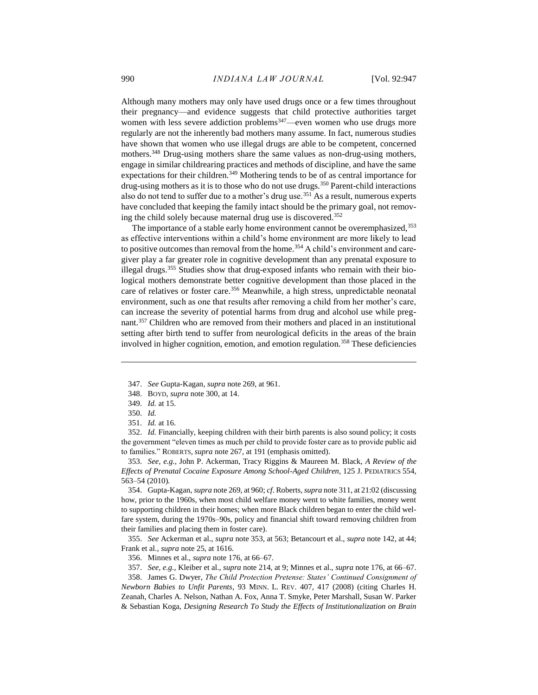Although many mothers may only have used drugs once or a few times throughout their pregnancy—and evidence suggests that child protective authorities target women with less severe addiction problems<sup>347</sup>—even women who use drugs more regularly are not the inherently bad mothers many assume. In fact, numerous studies have shown that women who use illegal drugs are able to be competent, concerned mothers.<sup>348</sup> Drug-using mothers share the same values as non-drug-using mothers, engage in similar childrearing practices and methods of discipline, and have the same expectations for their children.<sup>349</sup> Mothering tends to be of as central importance for drug-using mothers as it is to those who do not use drugs.<sup>350</sup> Parent-child interactions also do not tend to suffer due to a mother's drug use.<sup>351</sup> As a result, numerous experts have concluded that keeping the family intact should be the primary goal, not removing the child solely because maternal drug use is discovered.<sup>352</sup>

The importance of a stable early home environment cannot be overemphasized, 353 as effective interventions within a child's home environment are more likely to lead to positive outcomes than removal from the home.<sup>354</sup> A child's environment and caregiver play a far greater role in cognitive development than any prenatal exposure to illegal drugs.<sup>355</sup> Studies show that drug-exposed infants who remain with their biological mothers demonstrate better cognitive development than those placed in the care of relatives or foster care.<sup>356</sup> Meanwhile, a high stress, unpredictable neonatal environment, such as one that results after removing a child from her mother's care, can increase the severity of potential harms from drug and alcohol use while pregnant.<sup>357</sup> Children who are removed from their mothers and placed in an institutional setting after birth tend to suffer from neurological deficits in the areas of the brain involved in higher cognition, emotion, and emotion regulation.<sup>358</sup> These deficiencies

 $\overline{a}$ 

352. *Id.* Financially, keeping children with their birth parents is also sound policy; it costs the government "eleven times as much per child to provide foster care as to provide public aid to families." ROBERTS, *supra* note 267, at 191 (emphasis omitted).

353. *See, e.g.*, John P. Ackerman, Tracy Riggins & Maureen M. Black, *A Review of the Effects of Prenatal Cocaine Exposure Among School-Aged Children*, 125 J. PEDIATRICS 554, 563–54 (2010).

354. Gupta-Kagan, *supra* note 269, at 960; *cf*. Roberts*, supra* note 311, at 21:02 (discussing how, prior to the 1960s, when most child welfare money went to white families, money went to supporting children in their homes; when more Black children began to enter the child welfare system, during the 1970s–90s, policy and financial shift toward removing children from their families and placing them in foster care).

355. *See* Ackerman et al., *supra* note 353*,* at 563; Betancourt et al., *supra* note 142, at 44; Frank et al., *supra* note 25, at 1616.

356. Minnes et al., *supra* note 176, at 66–67.

357. *See, e.g.*, Kleiber et al., *supra* note 214, at 9; Minnes et al., *supra* note 176, at 66–67.

358. James G. Dwyer, *The Child Protection Pretense: States' Continued Consignment of Newborn Babies to Unfit Parents*, 93 MINN. L. REV. 407, 417 (2008) (citing Charles H. Zeanah, Charles A. Nelson, Nathan A. Fox, Anna T. Smyke, Peter Marshall, Susan W. Parker & Sebastian Koga, *Designing Research To Study the Effects of Institutionalization on Brain* 

<sup>347.</sup> *See* Gupta-Kagan, *supra* note 269, at 961.

<sup>348.</sup> BOYD, *supra* note 300, at 14.

<sup>349.</sup> *Id.* at 15.

<sup>350.</sup> *Id.*

<sup>351.</sup> *Id.* at 16.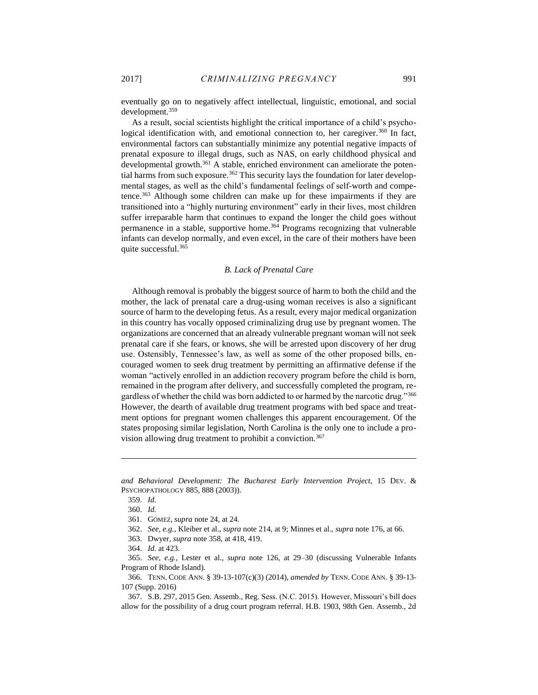eventually go on to negatively affect intellectual, linguistic, emotional, and social development.<sup>359</sup>

As a result, social scientists highlight the critical importance of a child's psychological identification with, and emotional connection to, her caregiver.<sup>360</sup> In fact, environmental factors can substantially minimize any potential negative impacts of prenatal exposure to illegal drugs, such as NAS, on early childhood physical and developmental growth.<sup>361</sup> A stable, enriched environment can ameliorate the potential harms from such exposure.<sup>362</sup> This security lays the foundation for later developmental stages, as well as the child's fundamental feelings of self-worth and competence.<sup>363</sup> Although some children can make up for these impairments if they are transitioned into a "highly nurturing environment" early in their lives, most children suffer irreparable harm that continues to expand the longer the child goes without permanence in a stable, supportive home.<sup>364</sup> Programs recognizing that vulnerable infants can develop normally, and even excel, in the care of their mothers have been quite successful.<sup>365</sup>

# *B. Lack of Prenatal Care*

<span id="page-45-0"></span>Although removal is probably the biggest source of harm to both the child and the mother, the lack of prenatal care a drug-using woman receives is also a significant source of harm to the developing fetus. As a result, every major medical organization in this country has vocally opposed criminalizing drug use by pregnant women. The organizations are concerned that an already vulnerable pregnant woman will not seek prenatal care if she fears, or knows, she will be arrested upon discovery of her drug use. Ostensibly, Tennessee's law, as well as some of the other proposed bills, encouraged women to seek drug treatment by permitting an affirmative defense if the woman "actively enrolled in an addiction recovery program before the child is born, remained in the program after delivery, and successfully completed the program, regardless of whether the child was born addicted to or harmed by the narcotic drug."<sup>366</sup> However, the dearth of available drug treatment programs with bed space and treatment options for pregnant women challenges this apparent encouragement. Of the states proposing similar legislation, North Carolina is the only one to include a provision allowing drug treatment to prohibit a conviction.<sup>367</sup>

*and Behavioral Development: The Bucharest Early Intervention Project*, 15 DEV. & PSYCHOPATHOLOGY 885, 888 (2003)).

<sup>359.</sup> *Id.*

<sup>360.</sup> *Id.*

<sup>361.</sup> GÓMEZ, *supra* note 24, at 24.

<sup>362.</sup> *See, e.g.*, Kleiber et al., *supra* note 214, at 9; Minnes et al., *supra* note 176, at 66.

<sup>363.</sup> Dwyer, *supra* note 358, at 418, 419.

<sup>364.</sup> *Id.* at 423.

<sup>365.</sup> *See, e.g.*, Lester et al., *supra* note 126, at 29–30 (discussing Vulnerable Infants Program of Rhode Island).

<sup>366.</sup> TENN. CODE ANN. § 39-13-107(c)(3) (2014), *amended by* TENN. CODE ANN. § 39-13- 107 (Supp. 2016)

<sup>367.</sup> S.B. 297, 2015 Gen. Assemb., Reg. Sess. (N.C. 2015). However, Missouri's bill does allow for the possibility of a drug court program referral. H.B. 1903, 98th Gen. Assemb., 2d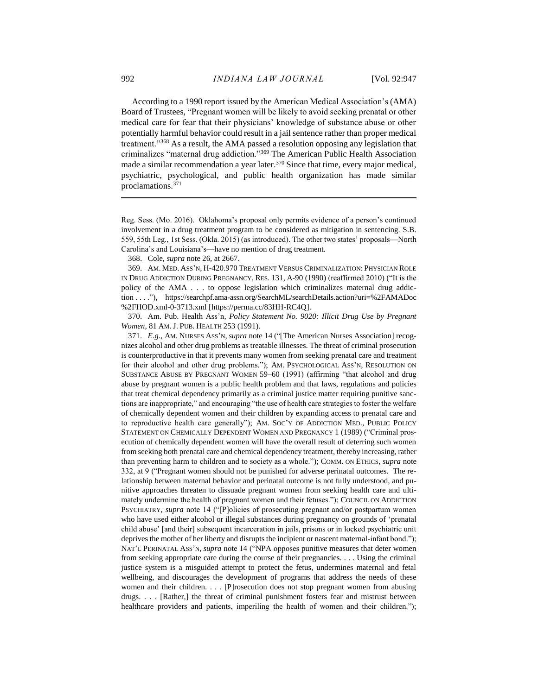According to a 1990 report issued by the American Medical Association's (AMA) Board of Trustees, "Pregnant women will be likely to avoid seeking prenatal or other medical care for fear that their physicians' knowledge of substance abuse or other potentially harmful behavior could result in a jail sentence rather than proper medical treatment."<sup>368</sup> As a result, the AMA passed a resolution opposing any legislation that criminalizes "maternal drug addiction."<sup>369</sup> The American Public Health Association made a similar recommendation a year later.<sup>370</sup> Since that time, every major medical, psychiatric, psychological, and public health organization has made similar proclamations.<sup>371</sup>

Reg. Sess. (Mo. 2016). Oklahoma's proposal only permits evidence of a person's continued involvement in a drug treatment program to be considered as mitigation in sentencing. S.B. 559, 55th Leg., 1st Sess. (Okla. 2015) (as introduced). The other two states' proposals—North Carolina's and Louisiana's—have no mention of drug treatment.

368. Cole, *supra* note 26, at 2667.

369. AM. MED. ASS'N, H-420.970 TREATMENT VERSUS CRIMINALIZATION: PHYSICIAN ROLE IN DRUG ADDICTION DURING PREGNANCY, RES. 131, A-90 (1990) (reaffirmed 2010) ("It is the policy of the AMA . . . to oppose legislation which criminalizes maternal drug addiction . . . ."), https://searchpf.ama-assn.org/SearchML/searchDetails.action?uri=%2FAMADoc %2FHOD.xml-0-3713.xml [https://perma.cc/83HH-RC4Q].

370. Am. Pub. Health Ass'n, *Policy Statement No. 9020: Illicit Drug Use by Pregnant Women*, 81 AM. J. PUB. HEALTH 253 (1991).

371. *E.g.*, AM. NURSES ASS'N, *supra* note 14 ("[The American Nurses Association] recognizes alcohol and other drug problems as treatable illnesses. The threat of criminal prosecution is counterproductive in that it prevents many women from seeking prenatal care and treatment for their alcohol and other drug problems."); AM. PSYCHOLOGICAL ASS'N, RESOLUTION ON SUBSTANCE ABUSE BY PREGNANT WOMEN 59–60 (1991) (affirming "that alcohol and drug abuse by pregnant women is a public health problem and that laws, regulations and policies that treat chemical dependency primarily as a criminal justice matter requiring punitive sanctions are inappropriate," and encouraging "the use of health care strategies to foster the welfare of chemically dependent women and their children by expanding access to prenatal care and to reproductive health care generally"); AM. SOC'Y OF ADDICTION MED., PUBLIC POLICY STATEMENT ON CHEMICALLY DEPENDENT WOMEN AND PREGNANCY 1 (1989) ("Criminal prosecution of chemically dependent women will have the overall result of deterring such women from seeking both prenatal care and chemical dependency treatment, thereby increasing, rather than preventing harm to children and to society as a whole."); COMM. ON ETHICS, *supra* note 332, at 9 ("Pregnant women should not be punished for adverse perinatal outcomes. The relationship between maternal behavior and perinatal outcome is not fully understood, and punitive approaches threaten to dissuade pregnant women from seeking health care and ultimately undermine the health of pregnant women and their fetuses."); COUNCIL ON ADDICTION PSYCHIATRY, *supra* note 14 ("[P]olicies of prosecuting pregnant and/or postpartum women who have used either alcohol or illegal substances during pregnancy on grounds of 'prenatal child abuse' [and their] subsequent incarceration in jails, prisons or in locked psychiatric unit deprives the mother of her liberty and disrupts the incipient or nascent maternal-infant bond."); NAT'L PERINATAL ASS'N, *supra* note 14 ("NPA opposes punitive measures that deter women from seeking appropriate care during the course of their pregnancies. . . . Using the criminal justice system is a misguided attempt to protect the fetus, undermines maternal and fetal wellbeing, and discourages the development of programs that address the needs of these women and their children. . . . [P]rosecution does not stop pregnant women from abusing drugs. . . . [Rather,] the threat of criminal punishment fosters fear and mistrust between healthcare providers and patients, imperiling the health of women and their children.");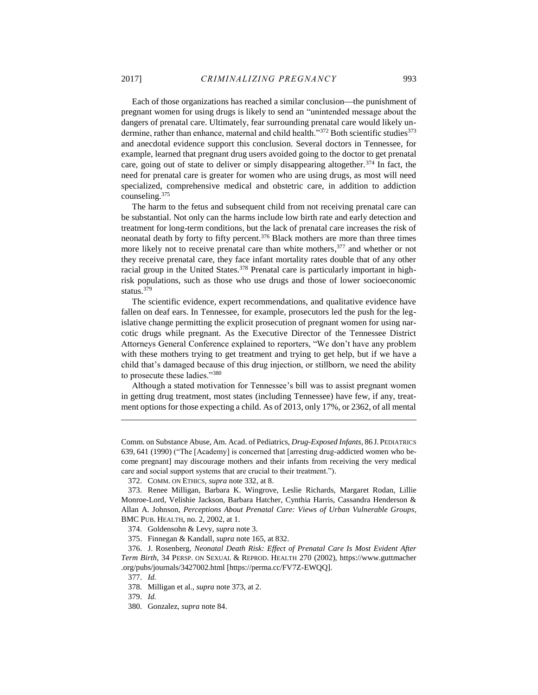Each of those organizations has reached a similar conclusion—the punishment of pregnant women for using drugs is likely to send an "unintended message about the dangers of prenatal care. Ultimately, fear surrounding prenatal care would likely undermine, rather than enhance, maternal and child health." $372$  Both scientific studies $373$ and anecdotal evidence support this conclusion. Several doctors in Tennessee, for example, learned that pregnant drug users avoided going to the doctor to get prenatal care, going out of state to deliver or simply disappearing altogether.<sup>374</sup> In fact, the need for prenatal care is greater for women who are using drugs, as most will need specialized, comprehensive medical and obstetric care, in addition to addiction counseling.<sup>375</sup>

The harm to the fetus and subsequent child from not receiving prenatal care can be substantial. Not only can the harms include low birth rate and early detection and treatment for long-term conditions, but the lack of prenatal care increases the risk of neonatal death by forty to fifty percent.<sup>376</sup> Black mothers are more than three times more likely not to receive prenatal care than white mothers,<sup>377</sup> and whether or not they receive prenatal care, they face infant mortality rates double that of any other racial group in the United States.<sup>378</sup> Prenatal care is particularly important in highrisk populations, such as those who use drugs and those of lower socioeconomic status.<sup>379</sup>

The scientific evidence, expert recommendations, and qualitative evidence have fallen on deaf ears. In Tennessee, for example, prosecutors led the push for the legislative change permitting the explicit prosecution of pregnant women for using narcotic drugs while pregnant. As the Executive Director of the Tennessee District Attorneys General Conference explained to reporters, "We don't have any problem with these mothers trying to get treatment and trying to get help, but if we have a child that's damaged because of this drug injection, or stillborn, we need the ability to prosecute these ladies."<sup>380</sup>

Although a stated motivation for Tennessee's bill was to assist pregnant women in getting drug treatment, most states (including Tennessee) have few, if any, treatment options for those expecting a child. As of 2013, only 17%, or 2362, of all mental

Comm. on Substance Abuse, Am. Acad. of Pediatrics, *Drug-Exposed Infants*, 86 J.PEDIATRICS 639, 641 (1990) ("The [Academy] is concerned that [arresting drug-addicted women who become pregnant] may discourage mothers and their infants from receiving the very medical care and social support systems that are crucial to their treatment.").

<sup>372.</sup> COMM. ON ETHICS, *supra* note 332, at 8.

<sup>373.</sup> Renee Milligan, Barbara K. Wingrove, Leslie Richards, Margaret Rodan, Lillie Monroe-Lord, Velishie Jackson, Barbara Hatcher, Cynthia Harris, Cassandra Henderson & Allan A. Johnson, *Perceptions About Prenatal Care: Views of Urban Vulnerable Groups*, BMC PUB. HEALTH, no. 2, 2002, at 1.

<sup>374.</sup> Goldensohn & Levy, *supra* note 3.

<sup>375.</sup> Finnegan & Kandall, *supra* note 165, at 832.

<sup>376.</sup> J. Rosenberg, *Neonatal Death Risk: Effect of Prenatal Care Is Most Evident After Term Birth*, 34 PERSP. ON SEXUAL & REPROD. HEALTH 270 (2002), https://www.guttmacher .org/pubs/journals/3427002.html [https://perma.cc/FV7Z-EWQQ].

<sup>377.</sup> *Id.*

<sup>378.</sup> Milligan et al., *supra* note 373, at 2.

<sup>379.</sup> *Id.*

<sup>380.</sup> Gonzalez, *supra* note 84.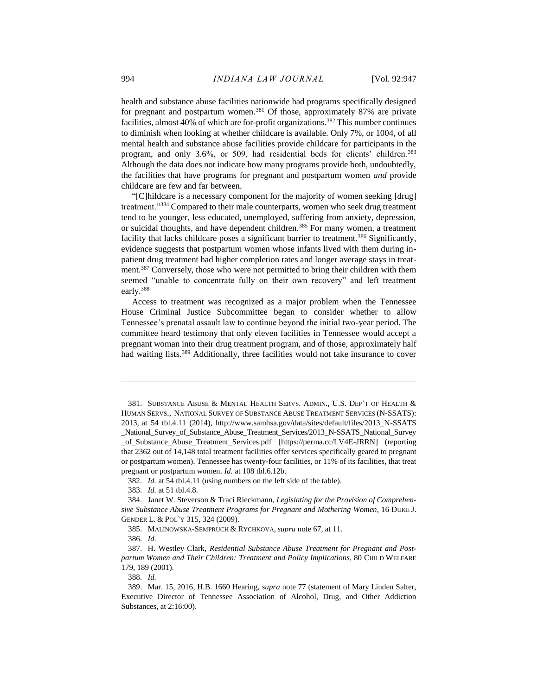health and substance abuse facilities nationwide had programs specifically designed for pregnant and postpartum women.<sup>381</sup> Of those, approximately 87% are private facilities, almost 40% of which are for-profit organizations.<sup>382</sup> This number continues to diminish when looking at whether childcare is available. Only 7%, or 1004, of all mental health and substance abuse facilities provide childcare for participants in the program, and only 3.6%, or 509, had residential beds for clients' children.<sup>383</sup> Although the data does not indicate how many programs provide both, undoubtedly, the facilities that have programs for pregnant and postpartum women *and* provide childcare are few and far between.

"[C]hildcare is a necessary component for the majority of women seeking [drug] treatment."<sup>384</sup> Compared to their male counterparts, women who seek drug treatment tend to be younger, less educated, unemployed, suffering from anxiety, depression, or suicidal thoughts, and have dependent children.<sup>385</sup> For many women, a treatment facility that lacks childcare poses a significant barrier to treatment.<sup>386</sup> Significantly, evidence suggests that postpartum women whose infants lived with them during inpatient drug treatment had higher completion rates and longer average stays in treatment.<sup>387</sup> Conversely, those who were not permitted to bring their children with them seemed "unable to concentrate fully on their own recovery" and left treatment early.<sup>388</sup>

Access to treatment was recognized as a major problem when the Tennessee House Criminal Justice Subcommittee began to consider whether to allow Tennessee's prenatal assault law to continue beyond the initial two-year period. The committee heard testimony that only eleven facilities in Tennessee would accept a pregnant woman into their drug treatment program, and of those, approximately half had waiting lists.<sup>389</sup> Additionally, three facilities would not take insurance to cover

 $\overline{a}$ 

388. *Id.* 

<sup>381.</sup> SUBSTANCE ABUSE & MENTAL HEALTH SERVS. ADMIN., U.S. DEP'T OF HEALTH & HUMAN SERVS., NATIONAL SURVEY OF SUBSTANCE ABUSE TREATMENT SERVICES (N-SSATS): 2013, at 54 tbl.4.11 (2014), http://www.samhsa.gov/data/sites/default/files/2013\_N-SSATS \_National\_Survey\_of\_Substance\_Abuse\_Treatment\_Services/2013\_N-SSATS\_National\_Survey \_of\_Substance\_Abuse\_Treatment\_Services.pdf [https://perma.cc/LV4E-JRRN] (reporting that 2362 out of 14,148 total treatment facilities offer services specifically geared to pregnant or postpartum women). Tennessee has twenty-four facilities, or 11% of its facilities, that treat pregnant or postpartum women. *Id.* at 108 tbl.6.12b.

<sup>382.</sup> *Id.* at 54 tbl.4.11 (using numbers on the left side of the table).

<sup>383.</sup> *Id.* at 51 tbl.4.8.

<sup>384.</sup> Janet W. Steverson & Traci Rieckmann, *Legislating for the Provision of Comprehensive Substance Abuse Treatment Programs for Pregnant and Mothering Women*, 16 DUKE J. GENDER L. & POL'Y 315, 324 (2009).

<sup>385.</sup> MALINOWSKA-SEMPRUCH & RYCHKOVA, *supra* note 67, at 11.

<sup>386.</sup> *Id.*

<sup>387.</sup> H. Westley Clark, *Residential Substance Abuse Treatment for Pregnant and Postpartum Women and Their Children: Treatment and Policy Implications*, 80 CHILD WELFARE 179, 189 (2001).

<sup>389.</sup> Mar. 15, 2016, H.B. 1660 Hearing, *supra* note 77 (statement of Mary Linden Salter, Executive Director of Tennessee Association of Alcohol, Drug, and Other Addiction Substances, at 2:16:00).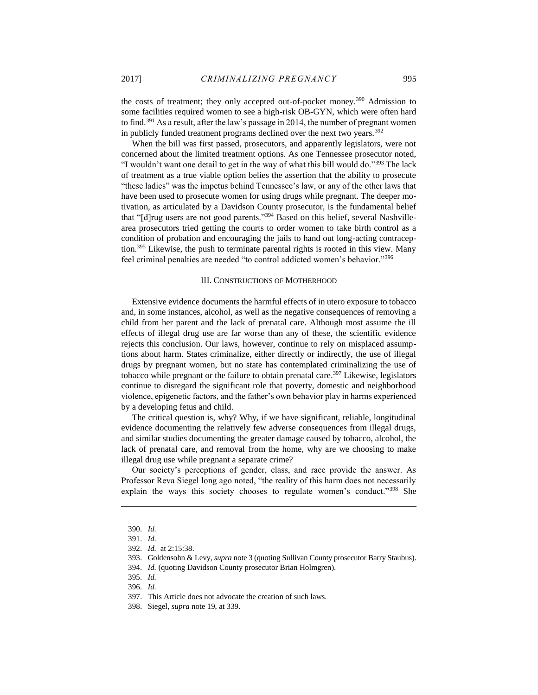the costs of treatment; they only accepted out-of-pocket money.<sup>390</sup> Admission to some facilities required women to see a high-risk OB-GYN, which were often hard to find.<sup>391</sup> As a result, after the law's passage in 2014, the number of pregnant women in publicly funded treatment programs declined over the next two years.<sup>392</sup>

When the bill was first passed, prosecutors, and apparently legislators, were not concerned about the limited treatment options. As one Tennessee prosecutor noted, "I wouldn't want one detail to get in the way of what this bill would do."<sup>393</sup> The lack of treatment as a true viable option belies the assertion that the ability to prosecute "these ladies" was the impetus behind Tennessee's law, or any of the other laws that have been used to prosecute women for using drugs while pregnant. The deeper motivation, as articulated by a Davidson County prosecutor, is the fundamental belief that "[d]rug users are not good parents."<sup>394</sup> Based on this belief, several Nashvillearea prosecutors tried getting the courts to order women to take birth control as a condition of probation and encouraging the jails to hand out long-acting contraception.<sup>395</sup> Likewise, the push to terminate parental rights is rooted in this view. Many feel criminal penalties are needed "to control addicted women's behavior."<sup>396</sup>

## III. CONSTRUCTIONS OF MOTHERHOOD

<span id="page-49-0"></span>Extensive evidence documents the harmful effects of in utero exposure to tobacco and, in some instances, alcohol, as well as the negative consequences of removing a child from her parent and the lack of prenatal care. Although most assume the ill effects of illegal drug use are far worse than any of these, the scientific evidence rejects this conclusion. Our laws, however, continue to rely on misplaced assumptions about harm. States criminalize, either directly or indirectly, the use of illegal drugs by pregnant women, but no state has contemplated criminalizing the use of tobacco while pregnant or the failure to obtain prenatal care.<sup>397</sup> Likewise, legislators continue to disregard the significant role that poverty, domestic and neighborhood violence, epigenetic factors, and the father's own behavior play in harms experienced by a developing fetus and child.

The critical question is, why? Why, if we have significant, reliable, longitudinal evidence documenting the relatively few adverse consequences from illegal drugs, and similar studies documenting the greater damage caused by tobacco, alcohol, the lack of prenatal care, and removal from the home, why are we choosing to make illegal drug use while pregnant a separate crime?

Our society's perceptions of gender, class, and race provide the answer. As Professor Reva Siegel long ago noted, "the reality of this harm does not necessarily explain the ways this society chooses to regulate women's conduct."<sup>398</sup> She

<sup>390.</sup> *Id.* 

<sup>391.</sup> *Id.*

<sup>392.</sup> *Id.* at 2:15:38.

<sup>393.</sup> Goldensohn & Levy, *supra* note 3 (quoting Sullivan County prosecutor Barry Staubus).

<sup>394.</sup> *Id.* (quoting Davidson County prosecutor Brian Holmgren).

<sup>395.</sup> *Id.*

<sup>396.</sup> *Id.*

<sup>397.</sup> This Article does not advocate the creation of such laws.

<sup>398.</sup> Siegel, *supra* note 19, at 339.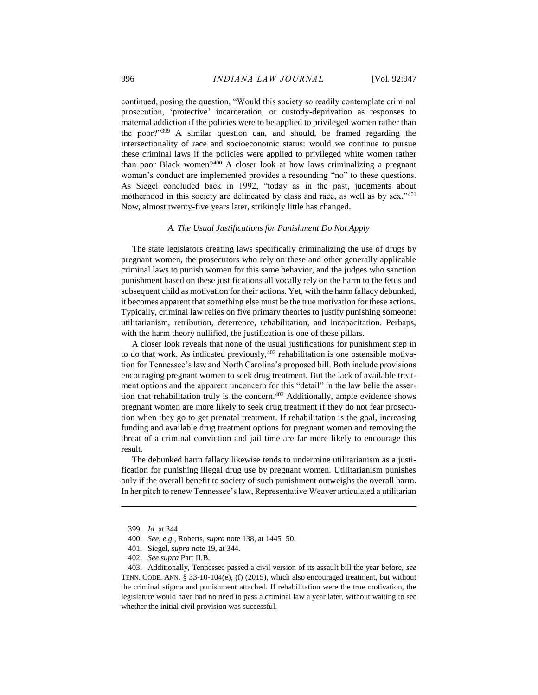continued, posing the question, "Would this society so readily contemplate criminal prosecution, 'protective' incarceration, or custody-deprivation as responses to maternal addiction if the policies were to be applied to privileged women rather than the poor?"<sup>399</sup> A similar question can, and should, be framed regarding the intersectionality of race and socioeconomic status: would we continue to pursue these criminal laws if the policies were applied to privileged white women rather than poor Black women? $400$  A closer look at how laws criminalizing a pregnant woman's conduct are implemented provides a resounding "no" to these questions. As Siegel concluded back in 1992, "today as in the past, judgments about motherhood in this society are delineated by class and race, as well as by sex."401 Now, almost twenty-five years later, strikingly little has changed.

# *A. The Usual Justifications for Punishment Do Not Apply*

<span id="page-50-0"></span>The state legislators creating laws specifically criminalizing the use of drugs by pregnant women, the prosecutors who rely on these and other generally applicable criminal laws to punish women for this same behavior, and the judges who sanction punishment based on these justifications all vocally rely on the harm to the fetus and subsequent child as motivation for their actions. Yet, with the harm fallacy debunked, it becomes apparent that something else must be the true motivation for these actions. Typically, criminal law relies on five primary theories to justify punishing someone: utilitarianism, retribution, deterrence, rehabilitation, and incapacitation. Perhaps, with the harm theory nullified, the justification is one of these pillars.

A closer look reveals that none of the usual justifications for punishment step in to do that work. As indicated previously,  $402$  rehabilitation is one ostensible motivation for Tennessee's law and North Carolina's proposed bill. Both include provisions encouraging pregnant women to seek drug treatment. But the lack of available treatment options and the apparent unconcern for this "detail" in the law belie the assertion that rehabilitation truly is the concern.<sup>403</sup> Additionally, ample evidence shows pregnant women are more likely to seek drug treatment if they do not fear prosecution when they go to get prenatal treatment. If rehabilitation is the goal, increasing funding and available drug treatment options for pregnant women and removing the threat of a criminal conviction and jail time are far more likely to encourage this result.

The debunked harm fallacy likewise tends to undermine utilitarianism as a justification for punishing illegal drug use by pregnant women. Utilitarianism punishes only if the overall benefit to society of such punishment outweighs the overall harm. In her pitch to renew Tennessee's law, Representative Weaver articulated a utilitarian

<sup>399.</sup> *Id.* at 344.

<sup>400.</sup> *See, e.g.*, Roberts, *supra* note 138, at 1445-50.

<sup>401.</sup> Siegel, *supra* note 19, at 344.

<sup>402.</sup> *See supra* Part II.B.

<sup>403.</sup> Additionally, Tennessee passed a civil version of its assault bill the year before, *see*  TENN. CODE. ANN. § 33-10-104(e), (f) (2015), which also encouraged treatment, but without the criminal stigma and punishment attached. If rehabilitation were the true motivation, the legislature would have had no need to pass a criminal law a year later, without waiting to see whether the initial civil provision was successful.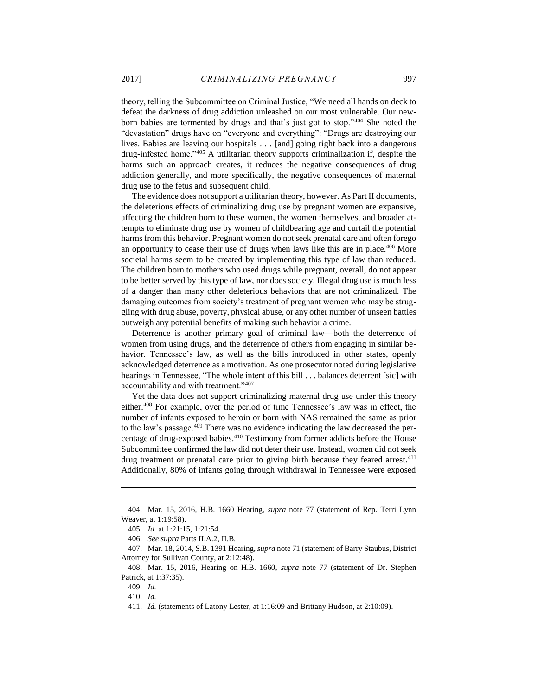theory, telling the Subcommittee on Criminal Justice, "We need all hands on deck to defeat the darkness of drug addiction unleashed on our most vulnerable. Our newborn babies are tormented by drugs and that's just got to stop."<sup>404</sup> She noted the "devastation" drugs have on "everyone and everything": "Drugs are destroying our lives. Babies are leaving our hospitals . . . [and] going right back into a dangerous drug-infested home."<sup>405</sup> A utilitarian theory supports criminalization if, despite the harms such an approach creates, it reduces the negative consequences of drug addiction generally, and more specifically, the negative consequences of maternal drug use to the fetus and subsequent child.

The evidence does not support a utilitarian theory, however. As Part II documents, the deleterious effects of criminalizing drug use by pregnant women are expansive, affecting the children born to these women, the women themselves, and broader attempts to eliminate drug use by women of childbearing age and curtail the potential harms from this behavior. Pregnant women do not seek prenatal care and often forego an opportunity to cease their use of drugs when laws like this are in place. $406$  More societal harms seem to be created by implementing this type of law than reduced. The children born to mothers who used drugs while pregnant, overall, do not appear to be better served by this type of law, nor does society. Illegal drug use is much less of a danger than many other deleterious behaviors that are not criminalized. The damaging outcomes from society's treatment of pregnant women who may be struggling with drug abuse, poverty, physical abuse, or any other number of unseen battles outweigh any potential benefits of making such behavior a crime.

Deterrence is another primary goal of criminal law—both the deterrence of women from using drugs, and the deterrence of others from engaging in similar behavior. Tennessee's law, as well as the bills introduced in other states, openly acknowledged deterrence as a motivation. As one prosecutor noted during legislative hearings in Tennessee, "The whole intent of this bill . . . balances deterrent [sic] with accountability and with treatment."<sup>407</sup>

Yet the data does not support criminalizing maternal drug use under this theory either.<sup>408</sup> For example, over the period of time Tennessee's law was in effect, the number of infants exposed to heroin or born with NAS remained the same as prior to the law's passage.<sup>409</sup> There was no evidence indicating the law decreased the percentage of drug-exposed babies.<sup>410</sup> Testimony from former addicts before the House Subcommittee confirmed the law did not deter their use. Instead, women did not seek drug treatment or prenatal care prior to giving birth because they feared arrest.<sup>411</sup> Additionally, 80% of infants going through withdrawal in Tennessee were exposed

<sup>404.</sup> Mar. 15, 2016, H.B. 1660 Hearing, *supra* note 77 (statement of Rep. Terri Lynn Weaver, at 1:19:58).

<sup>405.</sup> *Id.* at 1:21:15, 1:21:54.

<sup>406.</sup> *See supra* Parts II.A.2, II.B.

<sup>407.</sup> Mar. 18, 2014, S.B. 1391 Hearing, *supra* note 71 (statement of Barry Staubus, District Attorney for Sullivan County, at 2:12:48).

<sup>408.</sup> Mar. 15, 2016, Hearing on H.B. 1660, *supra* note 77 (statement of Dr. Stephen Patrick, at 1:37:35).

<sup>409.</sup> *Id.* 

<sup>410.</sup> *Id.* 

<sup>411.</sup> *Id.* (statements of Latony Lester, at 1:16:09 and Brittany Hudson, at 2:10:09)*.*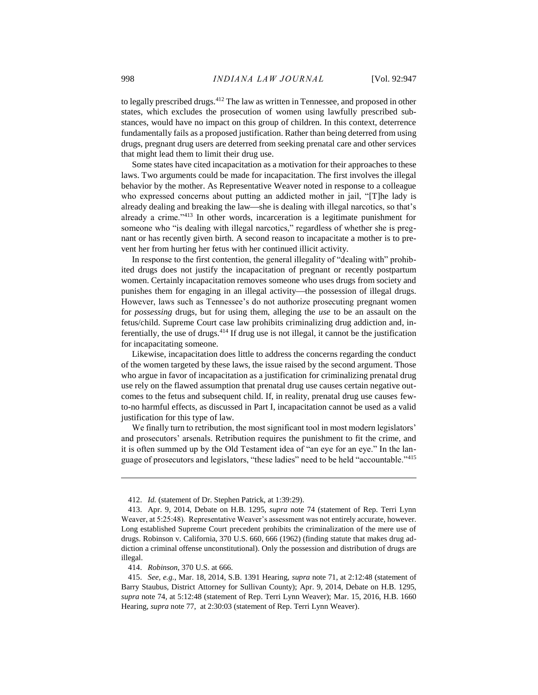to legally prescribed drugs.<sup>412</sup> The law as written in Tennessee, and proposed in other states, which excludes the prosecution of women using lawfully prescribed substances, would have no impact on this group of children. In this context, deterrence fundamentally fails as a proposed justification. Rather than being deterred from using drugs, pregnant drug users are deterred from seeking prenatal care and other services that might lead them to limit their drug use.

Some states have cited incapacitation as a motivation for their approaches to these laws. Two arguments could be made for incapacitation. The first involves the illegal behavior by the mother. As Representative Weaver noted in response to a colleague who expressed concerns about putting an addicted mother in jail, "[T]he lady is already dealing and breaking the law—she is dealing with illegal narcotics, so that's already a crime."<sup>413</sup> In other words, incarceration is a legitimate punishment for someone who "is dealing with illegal narcotics," regardless of whether she is pregnant or has recently given birth. A second reason to incapacitate a mother is to prevent her from hurting her fetus with her continued illicit activity.

In response to the first contention, the general illegality of "dealing with" prohibited drugs does not justify the incapacitation of pregnant or recently postpartum women. Certainly incapacitation removes someone who uses drugs from society and punishes them for engaging in an illegal activity—the possession of illegal drugs. However, laws such as Tennessee's do not authorize prosecuting pregnant women for *possessing* drugs, but for using them, alleging the *use* to be an assault on the fetus/child. Supreme Court case law prohibits criminalizing drug addiction and, inferentially, the use of drugs.<sup>414</sup> If drug use is not illegal, it cannot be the justification for incapacitating someone.

Likewise, incapacitation does little to address the concerns regarding the conduct of the women targeted by these laws, the issue raised by the second argument. Those who argue in favor of incapacitation as a justification for criminalizing prenatal drug use rely on the flawed assumption that prenatal drug use causes certain negative outcomes to the fetus and subsequent child. If, in reality, prenatal drug use causes fewto-no harmful effects, as discussed in Part I, incapacitation cannot be used as a valid justification for this type of law.

We finally turn to retribution, the most significant tool in most modern legislators' and prosecutors' arsenals. Retribution requires the punishment to fit the crime, and it is often summed up by the Old Testament idea of "an eye for an eye." In the language of prosecutors and legislators, "these ladies" need to be held "accountable."<sup>415</sup>

<sup>412.</sup> *Id.* (statement of Dr. Stephen Patrick, at 1:39:29).

<sup>413.</sup> Apr. 9, 2014, Debate on H.B. 1295, *supra* note 74 (statement of Rep. Terri Lynn Weaver, at 5:25:48). Representative Weaver's assessment was not entirely accurate, however. Long established Supreme Court precedent prohibits the criminalization of the mere use of drugs. Robinson v. California, 370 U.S. 660, 666 (1962) (finding statute that makes drug addiction a criminal offense unconstitutional). Only the possession and distribution of drugs are illegal.

<sup>414.</sup> *Robinson*, 370 U.S. at 666.

<sup>415.</sup> *See, e.g.*, Mar. 18, 2014, S.B. 1391 Hearing, *supra* note 71, at 2:12:48 (statement of Barry Staubus, District Attorney for Sullivan County); Apr. 9, 2014, Debate on H.B. 1295, *supra* note 74, at 5:12:48 (statement of Rep. Terri Lynn Weaver); Mar. 15, 2016, H.B. 1660 Hearing, *supra* note 77, at 2:30:03 (statement of Rep. Terri Lynn Weaver).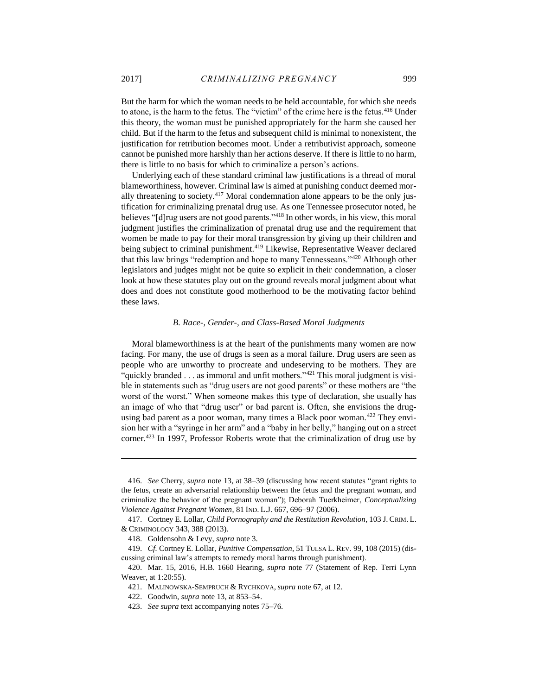But the harm for which the woman needs to be held accountable, for which she needs to atone, is the harm to the fetus. The "victim" of the crime here is the fetus.<sup>416</sup> Under this theory, the woman must be punished appropriately for the harm she caused her child. But if the harm to the fetus and subsequent child is minimal to nonexistent, the justification for retribution becomes moot. Under a retributivist approach, someone cannot be punished more harshly than her actions deserve. If there is little to no harm, there is little to no basis for which to criminalize a person's actions.

Underlying each of these standard criminal law justifications is a thread of moral blameworthiness, however. Criminal law is aimed at punishing conduct deemed morally threatening to society.<sup>417</sup> Moral condemnation alone appears to be the only justification for criminalizing prenatal drug use. As one Tennessee prosecutor noted, he believes "[d]rug users are not good parents."<sup>418</sup> In other words, in his view, this moral judgment justifies the criminalization of prenatal drug use and the requirement that women be made to pay for their moral transgression by giving up their children and being subject to criminal punishment.<sup>419</sup> Likewise, Representative Weaver declared that this law brings "redemption and hope to many Tennesseans."<sup>420</sup> Although other legislators and judges might not be quite so explicit in their condemnation, a closer look at how these statutes play out on the ground reveals moral judgment about what does and does not constitute good motherhood to be the motivating factor behind these laws.

# *B. Race-, Gender-, and Class-Based Moral Judgments*

<span id="page-53-0"></span>Moral blameworthiness is at the heart of the punishments many women are now facing. For many, the use of drugs is seen as a moral failure. Drug users are seen as people who are unworthy to procreate and undeserving to be mothers. They are "quickly branded  $\dots$  as immoral and unfit mothers."<sup>421</sup> This moral judgment is visible in statements such as "drug users are not good parents" or these mothers are "the worst of the worst." When someone makes this type of declaration, she usually has an image of who that "drug user" or bad parent is. Often, she envisions the drugusing bad parent as a poor woman, many times a Black poor woman.<sup>422</sup> They envision her with a "syringe in her arm" and a "baby in her belly," hanging out on a street corner.<sup>423</sup> In 1997, Professor Roberts wrote that the criminalization of drug use by

<sup>416.</sup> *See* Cherry, *supra* note 13, at 38–39 (discussing how recent statutes "grant rights to the fetus, create an adversarial relationship between the fetus and the pregnant woman, and criminalize the behavior of the pregnant woman"); Deborah Tuerkheimer, *Conceptualizing Violence Against Pregnant Women*, 81 IND. L.J. 667, 696–97 (2006).

<sup>417.</sup> Cortney E. Lollar, *Child Pornography and the Restitution Revolution*, 103 J. CRIM. L. & CRIMINOLOGY 343, 388 (2013).

<sup>418.</sup> Goldensohn & Levy, *supra* note 3.

<sup>419.</sup> *Cf.* Cortney E. Lollar, *Punitive Compensation*, 51 TULSA L. REV. 99, 108 (2015) (discussing criminal law's attempts to remedy moral harms through punishment).

<sup>420.</sup> Mar. 15, 2016, H.B. 1660 Hearing, *supra* note 77 (Statement of Rep. Terri Lynn Weaver, at 1:20:55).

<sup>421.</sup> MALINOWSKA-SEMPRUCH & RYCHKOVA, *supra* note 67, at 12.

<sup>422.</sup> Goodwin, *supra* note 13, at 853–54.

<sup>423.</sup> *See supra* text accompanying notes 75–76.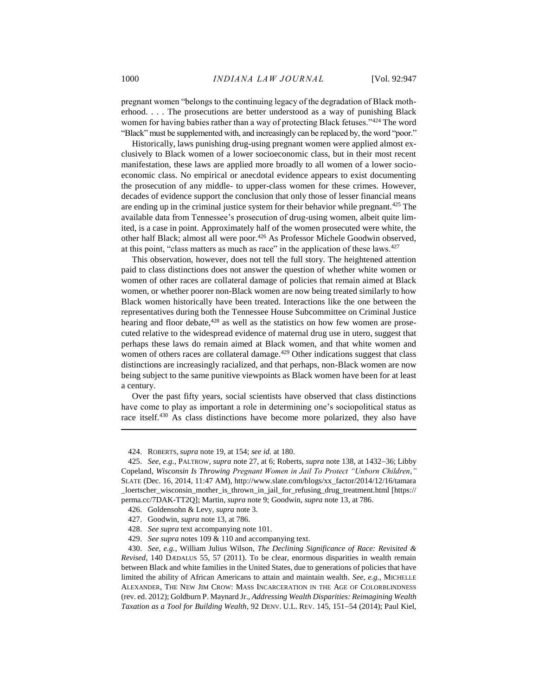pregnant women "belongs to the continuing legacy of the degradation of Black motherhood. . . . The prosecutions are better understood as a way of punishing Black women for having babies rather than a way of protecting Black fetuses."<sup>424</sup> The word "Black" must be supplemented with, and increasingly can be replaced by, the word "poor."

Historically, laws punishing drug-using pregnant women were applied almost exclusively to Black women of a lower socioeconomic class, but in their most recent manifestation, these laws are applied more broadly to all women of a lower socioeconomic class. No empirical or anecdotal evidence appears to exist documenting the prosecution of any middle- to upper-class women for these crimes. However, decades of evidence support the conclusion that only those of lesser financial means are ending up in the criminal justice system for their behavior while pregnant.<sup>425</sup> The available data from Tennessee's prosecution of drug-using women, albeit quite limited, is a case in point. Approximately half of the women prosecuted were white, the other half Black; almost all were poor.<sup>426</sup> As Professor Michele Goodwin observed, at this point, "class matters as much as race" in the application of these laws.<sup>427</sup>

This observation, however, does not tell the full story. The heightened attention paid to class distinctions does not answer the question of whether white women or women of other races are collateral damage of policies that remain aimed at Black women, or whether poorer non-Black women are now being treated similarly to how Black women historically have been treated. Interactions like the one between the representatives during both the Tennessee House Subcommittee on Criminal Justice hearing and floor debate,<sup>428</sup> as well as the statistics on how few women are prosecuted relative to the widespread evidence of maternal drug use in utero, suggest that perhaps these laws do remain aimed at Black women, and that white women and women of others races are collateral damage.<sup>429</sup> Other indications suggest that class distinctions are increasingly racialized, and that perhaps, non-Black women are now being subject to the same punitive viewpoints as Black women have been for at least a century.

Over the past fifty years, social scientists have observed that class distinctions have come to play as important a role in determining one's sociopolitical status as race itself.<sup>430</sup> As class distinctions have become more polarized, they also have

<sup>424.</sup> ROBERTS, *supra* note 19, at 154; *see id.* at 180.

<sup>425.</sup> *See, e.g.*, PALTROW, *supra* note 27, at 6; Roberts, *supra* note 138, at 1432–36; Libby Copeland, *Wisconsin Is Throwing Pregnant Women in Jail To Protect "Unborn Children*,*"*  SLATE (Dec. 16, 2014, 11:47 AM), http://www.slate.com/blogs/xx\_factor/2014/12/16/tamara \_loertscher\_wisconsin\_mother\_is\_thrown\_in\_jail\_for\_refusing\_drug\_treatment.html [https:// perma.cc/7DAK-TT2Q]; Martin, *supra* note 9; Goodwin, *supra* note 13, at 786.

<sup>426.</sup> Goldensohn & Levy, *supra* note 3.

<sup>427.</sup> Goodwin, *supra* note 13, at 786.

<sup>428.</sup> *See supra* text accompanying note 101.

<sup>429.</sup> *See supra* notes 109 & 110 and accompanying text.

<sup>430.</sup> *See, e.g.*, William Julius Wilson, *The Declining Significance of Race: Revisited & Revised*, 140 DÆDALUS 55, 57 (2011). To be clear, enormous disparities in wealth remain between Black and white families in the United States, due to generations of policies that have limited the ability of African Americans to attain and maintain wealth. *See, e.g.*, MICHELLE ALEXANDER, THE NEW JIM CROW: MASS INCARCERATION IN THE AGE OF COLORBLINDNESS (rev. ed. 2012); Goldburn P. Maynard Jr., *Addressing Wealth Disparities: Reimagining Wealth*  Taxation as a Tool for Building Wealth, 92 DENV. U.L. REV. 145, 151-54 (2014); Paul Kiel,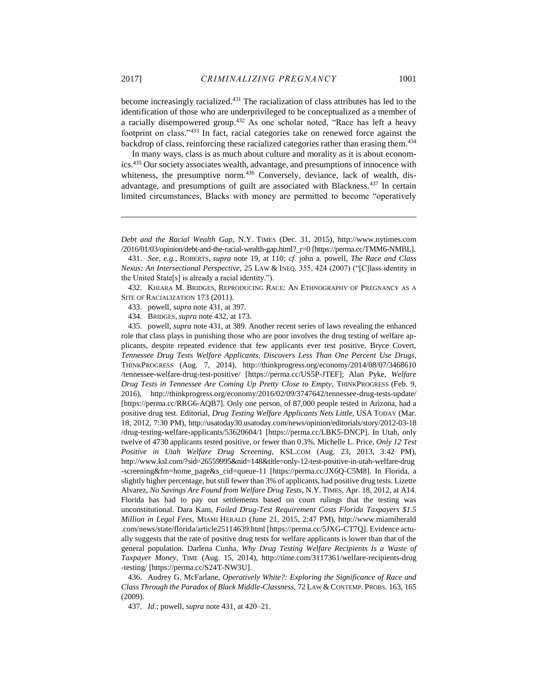become increasingly racialized.<sup>431</sup> The racialization of class attributes has led to the identification of those who are underprivileged to be conceptualized as a member of a racially disempowered group.<sup>432</sup> As one scholar noted, "Race has left a heavy footprint on class."<sup>433</sup> In fact, racial categories take on renewed force against the backdrop of class, reinforcing these racialized categories rather than erasing them.<sup>434</sup>

In many ways, class is as much about culture and morality as it is about economics.<sup>435</sup> Our society associates wealth, advantage, and presumptions of innocence with whiteness, the presumptive norm.<sup>436</sup> Conversely, deviance, lack of wealth, disadvantage, and presumptions of guilt are associated with Blackness.<sup>437</sup> In certain limited circumstances, Blacks with money are permitted to become "operatively

432. KHIARA M. BRIDGES, REPRODUCING RACE: AN ETHNOGRAPHY OF PREGNANCY AS A SITE OF RACIALIZATION 173 (2011).

433. powell, *supra* note 431, at 397.

434. BRIDGES, *supra* note 432, at 173.

435. powell, *supra* note 431, at 389. Another recent series of laws revealing the enhanced role that class plays in punishing those who are poor involves the drug testing of welfare applicants, despite repeated evidence that few applicants ever test positive. Bryce Covert, *Tennessee Drug Tests Welfare Applicants, Discovers Less Than One Percent Use Drugs*, THINKPROGRESS (Aug. 7, 2014), http://thinkprogress.org/economy/2014/08/07/3468610 /tennessee-welfare-drug-test-positive/ [https://perma.cc/US5P-JTEF]; Alan Pyke, *Welfare Drug Tests in Tennessee Are Coming Up Pretty Close to Empty*, THINKPROGRESS (Feb. 9, 2016), http://thinkprogress.org/economy/2016/02/09/3747642/tennessee-drug-tests-update/ [https://perma.cc/RRG6-AQB7]. Only one person, of 87,000 people tested in Arizona, had a positive drug test. Editorial, *Drug Testing Welfare Applicants Nets Little*, USA TODAY (Mar. 18, 2012, 7:30 PM), http://usatoday30.usatoday.com/news/opinion/editorials/story/2012-03-18 /drug-testing-welfare-applicants/53620604/1 [https://perma.cc/LBK5-DNCP]. In Utah, only twelve of 4730 applicants tested positive, or fewer than 0.3%. Michelle L. Price, *Only 12 Test Positive in Utah Welfare Drug Screening*, KSL.COM (Aug. 23, 2013, 3:42 PM), http://www.ksl.com/?sid=26559995&nid=148&title=only-12-test-positive-in-utah-welfare-drug -screening&fm=home\_page&s\_cid=queue-11 [https://perma.cc/JX6Q-C5M8]. In Florida, a slightly higher percentage, but still fewer than 3% of applicants, had positive drug tests. Lizette Alvarez, *No Savings Are Found from Welfare Drug Tests*, N.Y. TIMES, Apr. 18, 2012, at A14. Florida has had to pay out settlements based on court rulings that the testing was unconstitutional. Dara Kam, *Failed Drug-Test Requirement Costs Florida Taxpayers \$1.5 Million in Legal Fees*, MIAMI HERALD (June 21, 2015, 2:47 PM), http://www.miamiherald .com/news/state/florida/article25114639.html [https://perma.cc/5JXG-CT7Q]. Evidence actually suggests that the rate of positive drug tests for welfare applicants is lower than that of the general population. Darlena Cunha, *Why Drug Testing Welfare Recipients Is a Waste of Taxpayer Money*, TIME (Aug. 15, 2014), http://time.com/3117361/welfare-recipients-drug -testing/ [https://perma.cc/S24T-NW3U].

436. Audrey G. McFarlane, *Operatively White?: Exploring the Significance of Race and Class Through the Paradox of Black Middle-Classness*, 72 LAW & CONTEMP. PROBS. 163, 165 (2009).

437. *Id.*; powell, *supra* note 431, at 420–21.

*Debt and the Racial Wealth Gap,* N.Y. TIMES (Dec. 31, 2015), http://www.nytimes.com /2016/01/03/opinion/debt-and-the-racial-wealth-gap.html?\_r=0 [https://perma.cc/TMM6-NMBL].

<sup>431.</sup> *See, e.g.*, ROBERTS, *supra* note 19, at 110; *cf*. john a. powell, *The Race and Class Nexus: An Intersectional Perspective*, 25 LAW & INEQ. 355, 424 (2007) ("[C]lass identity in the United State[s] is already a racial identity.").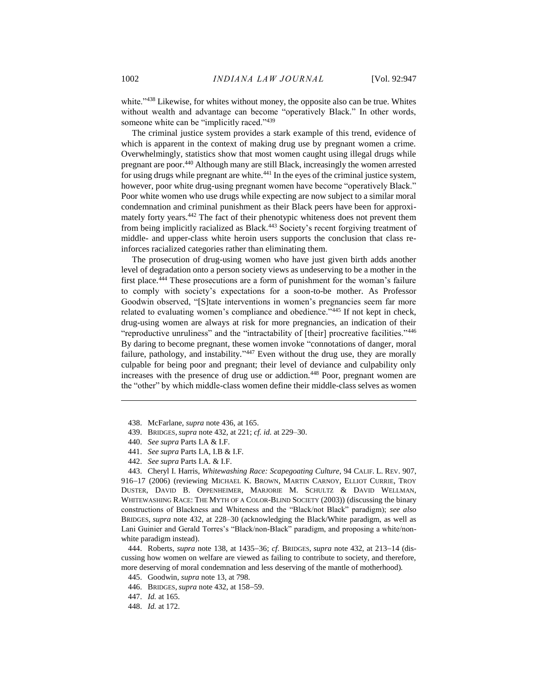white."<sup>438</sup> Likewise, for whites without money, the opposite also can be true. Whites without wealth and advantage can become "operatively Black." In other words, someone white can be "implicitly raced."<sup>439</sup>

The criminal justice system provides a stark example of this trend, evidence of which is apparent in the context of making drug use by pregnant women a crime. Overwhelmingly, statistics show that most women caught using illegal drugs while pregnant are poor.<sup>440</sup> Although many are still Black, increasingly the women arrested for using drugs while pregnant are white.<sup>441</sup> In the eyes of the criminal justice system, however, poor white drug-using pregnant women have become "operatively Black." Poor white women who use drugs while expecting are now subject to a similar moral condemnation and criminal punishment as their Black peers have been for approximately forty years.<sup>442</sup> The fact of their phenotypic whiteness does not prevent them from being implicitly racialized as Black.<sup>443</sup> Society's recent forgiving treatment of middle- and upper-class white heroin users supports the conclusion that class reinforces racialized categories rather than eliminating them.

The prosecution of drug-using women who have just given birth adds another level of degradation onto a person society views as undeserving to be a mother in the first place.<sup>444</sup> These prosecutions are a form of punishment for the woman's failure to comply with society's expectations for a soon-to-be mother. As Professor Goodwin observed, "[S]tate interventions in women's pregnancies seem far more related to evaluating women's compliance and obedience."<sup>445</sup> If not kept in check, drug-using women are always at risk for more pregnancies, an indication of their "reproductive unruliness" and the "intractability of [their] procreative facilities."446 By daring to become pregnant, these women invoke "connotations of danger, moral failure, pathology, and instability."<sup>447</sup> Even without the drug use, they are morally culpable for being poor and pregnant; their level of deviance and culpability only increases with the presence of drug use or addiction.<sup>448</sup> Poor, pregnant women are the "other" by which middle-class women define their middle-class selves as women

439. BRIDGES, *supra* note 432, at 221; *cf. id.* at 229–30.

 $\overline{a}$ 

- 441. *See supra* Parts I.A, I.B & I.F.
- 442. *See supra* Parts I.A. & I.F.

443. Cheryl I. Harris, *Whitewashing Race: Scapegoating Culture*, 94 CALIF. L. REV. 907, 916-17 (2006) (reviewing MICHAEL K. BROWN, MARTIN CARNOY, ELLIOT CURRIE, TROY DUSTER, DAVID B. OPPENHEIMER, MARJORIE M. SCHULTZ & DAVID WELLMAN, WHITEWASHING RACE: THE MYTH OF A COLOR-BLIND SOCIETY (2003)) (discussing the binary constructions of Blackness and Whiteness and the "Black/not Black" paradigm); *see also* BRIDGES, *supra* note 432, at 228–30 (acknowledging the Black/White paradigm, as well as Lani Guinier and Gerald Torres's "Black/non-Black" paradigm, and proposing a white/nonwhite paradigm instead).

444. Roberts, *supra* note 138, at 1435–36; *cf.* BRIDGES, *supra* note 432, at 213–14 (discussing how women on welfare are viewed as failing to contribute to society, and therefore, more deserving of moral condemnation and less deserving of the mantle of motherhood).

<sup>438.</sup> McFarlane, *supra* note 436, at 165.

<sup>440.</sup> *See supra* Parts I.A & I.F.

<sup>445.</sup> Goodwin, *supra* note 13, at 798.

<sup>446.</sup> BRIDGES, *supra* note 432, at 158-59.

<sup>447.</sup> *Id.* at 165.

<sup>448.</sup> *Id.* at 172.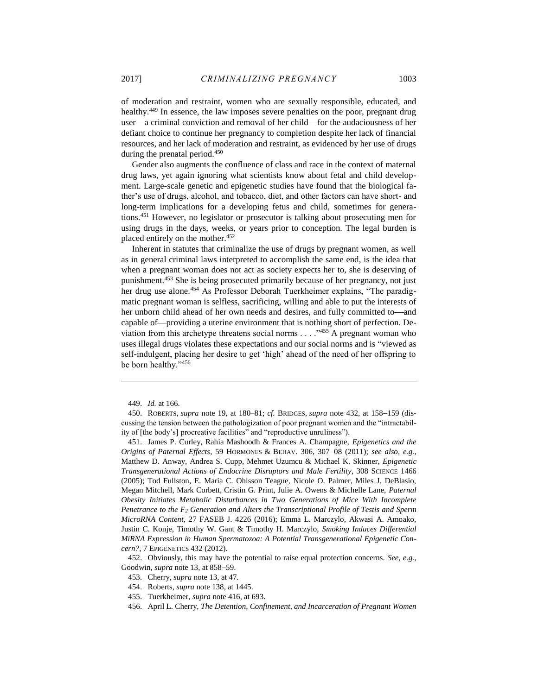of moderation and restraint, women who are sexually responsible, educated, and healthy.<sup>449</sup> In essence, the law imposes severe penalties on the poor, pregnant drug user—a criminal conviction and removal of her child—for the audaciousness of her defiant choice to continue her pregnancy to completion despite her lack of financial resources, and her lack of moderation and restraint, as evidenced by her use of drugs during the prenatal period.<sup>450</sup>

Gender also augments the confluence of class and race in the context of maternal drug laws, yet again ignoring what scientists know about fetal and child development. Large-scale genetic and epigenetic studies have found that the biological father's use of drugs, alcohol, and tobacco, diet, and other factors can have short- and long-term implications for a developing fetus and child, sometimes for generations.<sup>451</sup> However, no legislator or prosecutor is talking about prosecuting men for using drugs in the days, weeks, or years prior to conception. The legal burden is placed entirely on the mother.<sup>452</sup>

Inherent in statutes that criminalize the use of drugs by pregnant women, as well as in general criminal laws interpreted to accomplish the same end, is the idea that when a pregnant woman does not act as society expects her to, she is deserving of punishment.<sup>453</sup> She is being prosecuted primarily because of her pregnancy, not just her drug use alone.<sup>454</sup> As Professor Deborah Tuerkheimer explains, "The paradigmatic pregnant woman is selfless, sacrificing, willing and able to put the interests of her unborn child ahead of her own needs and desires, and fully committed to—and capable of—providing a uterine environment that is nothing short of perfection. Deviation from this archetype threatens social norms . . . . "455 A pregnant woman who uses illegal drugs violates these expectations and our social norms and is "viewed as self-indulgent, placing her desire to get 'high' ahead of the need of her offspring to be born healthy."<sup>456</sup>

<sup>449.</sup> *Id.* at 166.

<sup>450.</sup> ROBERTS, *supra* note 19, at 180–81; *cf.* BRIDGES, *supra* note 432, at 158–159 (discussing the tension between the pathologization of poor pregnant women and the "intractability of [the body's] procreative facilities" and "reproductive unruliness").

<sup>451.</sup> James P. Curley, Rahia Mashoodh & Frances A. Champagne, *Epigenetics and the Origins of Paternal Effects*, 59 HORMONES & BEHAV. 306, 307-08 (2011); see also, e.g., Matthew D. Anway, Andrea S. Cupp, Mehmet Uzumcu & Michael K. Skinner, *Epigenetic Transgenerational Actions of Endocrine Disruptors and Male Fertility*, 308 SCIENCE 1466 (2005); Tod Fullston, E. Maria C. Ohlsson Teague, Nicole O. Palmer, Miles J. DeBlasio, Megan Mitchell, Mark Corbett, Cristin G. Print, Julie A. Owens & Michelle Lane, *Paternal Obesity Initiates Metabolic Disturbances in Two Generations of Mice With Incomplete Penetrance to the F<sup>2</sup> Generation and Alters the Transcriptional Profile of Testis and Sperm MicroRNA Content*, 27 FASEB J. 4226 (2016); Emma L. Marczylo, Akwasi A. Amoako, Justin C. Konje, Timothy W. Gant & Timothy H. Marczylo, *Smoking Induces Differential MiRNA Expression in Human Spermatozoa: A Potential Transgenerational Epigenetic Concern?*, 7 EPIGENETICS 432 (2012).

<sup>452.</sup> Obviously, this may have the potential to raise equal protection concerns. *See, e.g.*, Goodwin, *supra* note 13, at 858–59.

<sup>453.</sup> Cherry, *supra* note 13, at 47.

<sup>454.</sup> Roberts, *supra* note 138, at 1445.

<sup>455.</sup> Tuerkheimer, *supra* note 416, at 693.

<sup>456.</sup> April L. Cherry, *The Detention, Confinement, and Incarceration of Pregnant Women*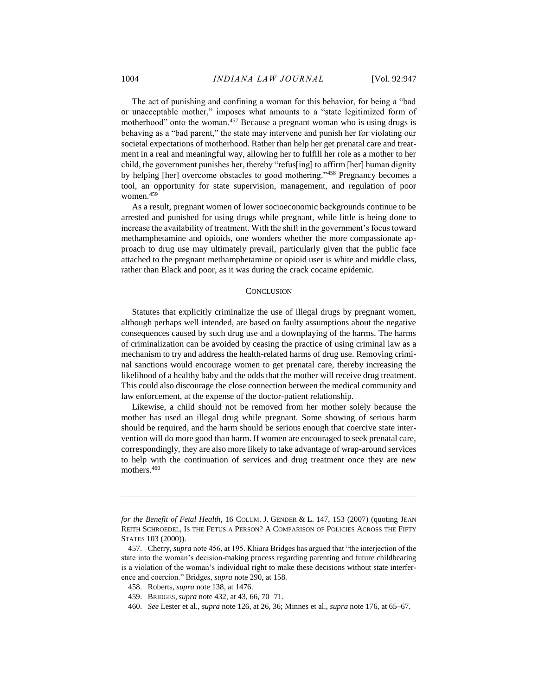The act of punishing and confining a woman for this behavior, for being a "bad or unacceptable mother," imposes what amounts to a "state legitimized form of motherhood" onto the woman.<sup>457</sup> Because a pregnant woman who is using drugs is behaving as a "bad parent," the state may intervene and punish her for violating our societal expectations of motherhood. Rather than help her get prenatal care and treatment in a real and meaningful way, allowing her to fulfill her role as a mother to her child, the government punishes her, thereby "refus[ing] to affirm [her] human dignity by helping [her] overcome obstacles to good mothering."<sup>458</sup> Pregnancy becomes a tool, an opportunity for state supervision, management, and regulation of poor women.<sup>459</sup>

As a result, pregnant women of lower socioeconomic backgrounds continue to be arrested and punished for using drugs while pregnant, while little is being done to increase the availability of treatment. With the shift in the government's focus toward methamphetamine and opioids, one wonders whether the more compassionate approach to drug use may ultimately prevail, particularly given that the public face attached to the pregnant methamphetamine or opioid user is white and middle class, rather than Black and poor, as it was during the crack cocaine epidemic.

#### **CONCLUSION**

<span id="page-58-0"></span>Statutes that explicitly criminalize the use of illegal drugs by pregnant women, although perhaps well intended, are based on faulty assumptions about the negative consequences caused by such drug use and a downplaying of the harms. The harms of criminalization can be avoided by ceasing the practice of using criminal law as a mechanism to try and address the health-related harms of drug use. Removing criminal sanctions would encourage women to get prenatal care, thereby increasing the likelihood of a healthy baby and the odds that the mother will receive drug treatment. This could also discourage the close connection between the medical community and law enforcement, at the expense of the doctor-patient relationship.

Likewise, a child should not be removed from her mother solely because the mother has used an illegal drug while pregnant. Some showing of serious harm should be required, and the harm should be serious enough that coercive state intervention will do more good than harm. If women are encouraged to seek prenatal care, correspondingly, they are also more likely to take advantage of wrap-around services to help with the continuation of services and drug treatment once they are new mothers.<sup>460</sup>

*for the Benefit of Fetal Health*, 16 COLUM. J. GENDER & L. 147, 153 (2007) (quoting JEAN REITH SCHROEDEL, IS THE FETUS A PERSON? A COMPARISON OF POLICIES ACROSS THE FIFTY STATES 103 (2000)).

<sup>457.</sup> Cherry, *supra* note 456, at 195. Khiara Bridges has argued that "the interjection of the state into the woman's decision-making process regarding parenting and future childbearing is a violation of the woman's individual right to make these decisions without state interference and coercion." Bridges, *supra* note 290, at 158.

<sup>458.</sup> Roberts, *supra* note 138, at 1476.

<sup>459.</sup> BRIDGES, *supra* note 432, at 43, 66, 70-71.

<sup>460.</sup> *See* Lester et al., *supra* note 126, at 26, 36; Minnes et al., *supra* note 176, at 65–67.